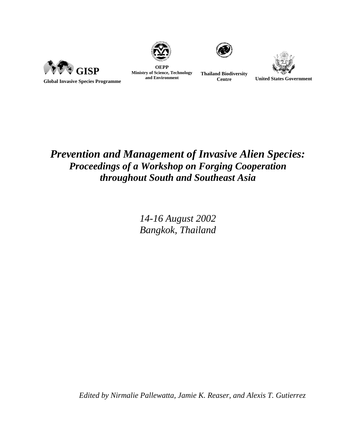





**OEPP Ministry of Science, Technology Thailand Biodiversity**<br> **and Environment Centre** 



**Centre United States Government**

# *Prevention and Management of Invasive Alien Species: Proceedings of a Workshop on Forging Cooperation throughout South and Southeast Asia*

*14-16 August 2002 Bangkok, Thailand* 

*Edited by Nirmalie Pallewatta, Jamie K. Reaser, and Alexis T. Gutierrez*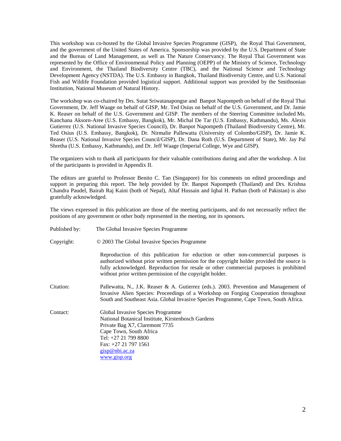This workshop was co-hosted by the Global Invasive Species Programme (GISP), the Royal Thai Government, and the government of the United States of America. Sponsorship was provided by the U.S. Department of State and the Bureau of Land Management, as well as The Nature Conservancy. The Royal Thai Government was represented by the Office of Environmental Policy and Planning (OEPP) of the Ministry of Science, Technology and Environment, the Thailand Biodiversity Centre (TBC), and the National Science and Technology Development Agency (NSTDA). The U.S. Embassy in Bangkok, Thailand Biodiversity Centre, and U.S. National Fish and Wildife Foundation provided logistical support. Additional support was provided by the Smithsonian Institution, National Museum of Natural History.

The workshop was co-chaired by Drs. Sutat Sriwatanapongse and Banpot Napompeth on behalf of the Royal Thai Government, Dr. Jeff Waage on behalf of GISP, Mr. Ted Osius on behalf of the U.S. Government, and Dr. Jamie K. Reaser on behalf of the U.S. Government and GISP. The members of the Steering Committee included Ms. Kanchana Aksorn-Aree (U.S. Embassy, Bangkok), Mr. Michal De Tar (U.S. Embassy, Kathmandu), Ms. Alexis Gutierrez (U.S. National Invasive Species Council), Dr. Banpot Napompeth (Thailand Biodiversity Centre), Mr. Ted Osius (U.S. Embassy, Bangkok), Dr. Nirmalie Pallewatta (University of Colombo/GISP), Dr. Jamie K. Reaser (U.S. National Invasive Species Council/GISP), Dr. Dana Roth (U.S. Department of State), Mr. Jay Pal Shretha (U.S. Embassy, Kathmandu), and Dr. Jeff Waage (Imperial College, Wye and GISP).

The organizers wish to thank all participants for their valuable contributions during and after the workshop. A list of the participants is provided in Appendix II.

The editors are grateful to Professor Benito C. Tan (Singapore) for his comments on edited proceedings and support in preparing this report. The help provided by Dr. Banpot Napompeth (Thailand) and Drs. Krishna Chandra Paudel, Bairab Raj Kaini (both of Nepal), Altaf Hussain and Iqbal H. Pathan (both of Pakistan) is also gratefully acknowledged.

The views expressed in this publication are those of the meeting participants, and do not necessarily reflect the positions of any government or other body represented in the meeting, nor its sponsors.

| Published by: | The Global Invasive Species Programme                                                                                                                                                                                                                                                                                                   |
|---------------|-----------------------------------------------------------------------------------------------------------------------------------------------------------------------------------------------------------------------------------------------------------------------------------------------------------------------------------------|
| Copyright:    | © 2003 The Global Invasive Species Programme                                                                                                                                                                                                                                                                                            |
|               | Reproduction of this publication for eduction or other non-commercial purposes is<br>authorized without prior written permission for the copyright holder provided the source is<br>fully acknowledged. Reproduction for resale or other commercial purposes is prohibited<br>without prior written permission of the copyright holder. |
| Citation:     | Pallewatta, N., J.K. Reaser & A. Gutierrez (eds.). 2003. Prevention and Management of<br>Invasive Alien Species: Proceedings of a Workshop on Forging Cooperation throughout<br>South and Southeast Asia. Global Invasive Species Programme, Cape Town, South Africa.                                                                   |
| Contact:      | Global Invasive Species Programme<br>National Botanical Institute, Kirstenbosch Gardens<br>Private Bag X7, Claremont 7735<br>Cape Town, South Africa<br>Tel: +27 21 799 8800<br>Fax: +27 21 797 1561<br>gisp@nbi.ac.za                                                                                                                  |
|               | www.gisp.org                                                                                                                                                                                                                                                                                                                            |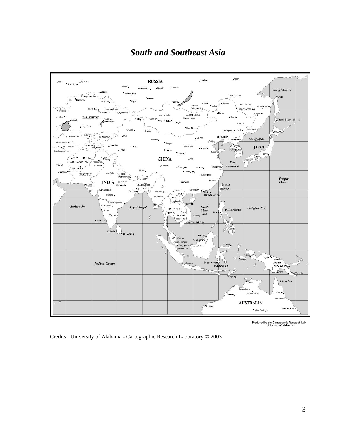# *South and Southeast Asia*



Produced by the Cartographic Research Lab<br>University of Alabama

Credits: University of Alabama - Cartographic Research Laboratory © 2003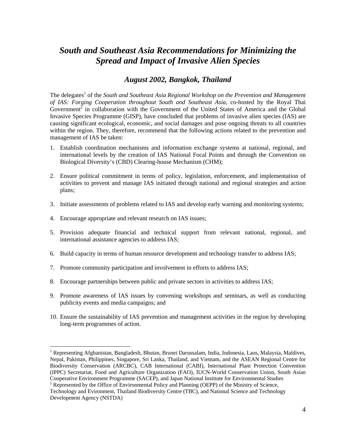## *South and Southeast Asia Recommendations for Minimizing the Spread and Impact of Invasive Alien Species*

## *August 2002, Bangkok, Thailand*

The delegates<sup>1</sup> of the *South and Southeast Asia Regional Workshop on the Prevention and Management of IAS: Forging Cooperation throughout South and Southeast Asia,* co-hosted by the Royal Thai Government<sup>2</sup> in collaboration with the Government of the United States of America and the Global Invasive Species Programme (GISP), have concluded that problems of invasive alien species (IAS) are causing significant ecological, economic, and social damages and pose ongoing threats to all countries within the region. They, therefore, recommend that the following actions related to the prevention and management of IAS be taken:

- 1. Establish coordination mechanisms and information exchange systems at national, regional, and international levels by the creation of IAS National Focal Points and through the Convention on Biological Diversity's (CBD) Clearing-house Mechanism (CHM);
- 2. Ensure political commitment in terms of policy, legislation, enforcement, and implementation of activities to prevent and manage IAS initiated through national and regional strategies and action plans;
- 3. Initiate assessments of problems related to IAS and develop early warning and monitoring systems;
- 4. Encourage appropriate and relevant research on IAS issues;

 $\overline{a}$ 

- 5. Provision adequate financial and technical support from relevant national, regional, and international assistance agencies to address IAS;
- 6. Build capacity in terms of human resource development and technology transfer to address IAS;
- 7. Promote community participation and involvement in efforts to address IAS;
- 8. Encourage partnerships between public and private sectors in activities to address IAS;
- 9. Promote awareness of IAS issues by convening workshops and seminars, as well as conducting publicity events and media campaigns; and
- 10. Ensure the sustainability of IAS prevention and management activities in the region by developing long-term programmes of action.

<sup>2</sup> Represented by the Office of Environmental Policy and Planning (OEPP) of the Ministry of Science,

<sup>&</sup>lt;sup>1</sup> Representing Afghanistan, Bangladesh, Bhutan, Brunei Darussalam, India, Indonesia, Laos, Malaysia, Maldives, Nepal, Pakistan, Philippines, Singapore, Sri Lanka, Thailand, and Vietnam, and the ASEAN Regional Centre for Biodiversity Conservation (ARCBC), CAB International (CABI), International Plant Protection Convention (IPPC) Secretariat, Food and Agriculture Organization (FAO), IUCN-World Conservation Union, South Asian Cooperative Environment Programme (SACEP), and Japan National Institute for Environmental Studies 2

Technology and Evironment, Thailand Biodiversity Centre (TBC), and National Science and Technology Development Agency (NSTDA)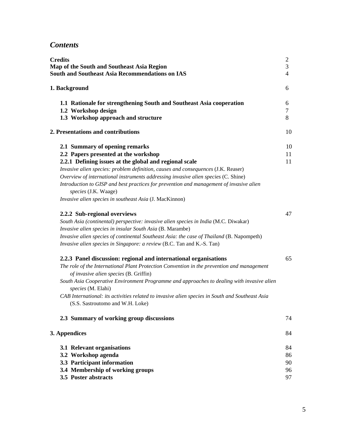# *Contents*

| <b>Credits</b><br>Map of the South and Southeast Asia Region<br><b>South and Southeast Asia Recommendations on IAS</b><br>1. Background                                                                                                                                                                                                                                                                                                                                                   |                            |
|-------------------------------------------------------------------------------------------------------------------------------------------------------------------------------------------------------------------------------------------------------------------------------------------------------------------------------------------------------------------------------------------------------------------------------------------------------------------------------------------|----------------------------|
|                                                                                                                                                                                                                                                                                                                                                                                                                                                                                           |                            |
| 2. Presentations and contributions                                                                                                                                                                                                                                                                                                                                                                                                                                                        | 10                         |
| 2.1 Summary of opening remarks<br>2.2 Papers presented at the workshop<br>2.2.1 Defining issues at the global and regional scale<br>Invasive alien species: problem definition, causes and consequences (J.K. Reaser)<br>Overview of international instruments addressing invasive alien species (C. Shine)<br>Introduction to GISP and best practices for prevention and management of invasive alien<br>species (J.K. Waage)<br>Invasive alien species in southeast Asia (J. MacKinnon) | 10<br>11<br>11             |
| 2.2.2 Sub-regional overviews<br>South Asia (continental) perspective: invasive alien species in India (M.C. Diwakar)<br>Invasive alien species in insular South Asia (B. Marambe)<br>Invasive alien species of continental Southeast Asia: the case of Thailand (B. Napompeth)<br>Invasive alien species in Singapore: a review (B.C. Tan and K.-S. Tan)                                                                                                                                  | 47                         |
| 2.2.3 Panel discussion: regional and international organisations<br>The role of the International Plant Protection Convention in the prevention and management<br>of invasive alien species (B. Griffin)<br>South Asia Cooperative Environment Programme and approaches to dealing with invasive alien<br>species (M. Elahi)<br>CAB International: its activities related to invasive alien species in South and Southeast Asia<br>(S.S. Sastroutomo and W.H. Loke)                       | 65                         |
| 2.3 Summary of working group discussions                                                                                                                                                                                                                                                                                                                                                                                                                                                  | 74                         |
| 3. Appendices                                                                                                                                                                                                                                                                                                                                                                                                                                                                             | 84                         |
| 3.1 Relevant organisations<br>3.2 Workshop agenda<br>3.3 Participant information<br>3.4 Membership of working groups<br>3.5 Poster abstracts                                                                                                                                                                                                                                                                                                                                              | 84<br>86<br>90<br>96<br>97 |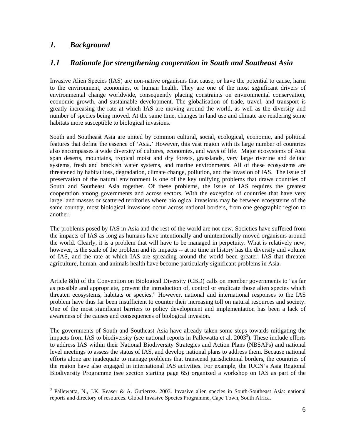## *1. Background*

 $\overline{a}$ 

## *1.1 Rationale for strengthening cooperation in South and Southeast Asia*

Invasive Alien Species (IAS) are non-native organisms that cause, or have the potential to cause, harm to the environment, economies, or human health. They are one of the most significant drivers of environmental change worldwide, consequently placing constraints on environmental conservation, economic growth, and sustainable development. The globalisation of trade, travel, and transport is greatly increasing the rate at which IAS are moving around the world, as well as the diversity and number of species being moved. At the same time, changes in land use and climate are rendering some habitats more susceptible to biological invasions.

South and Southeast Asia are united by common cultural, social, ecological, economic, and political features that define the essence of 'Asia.' However, this vast region with its large number of countries also encompasses a wide diversity of cultures, economies, and ways of life. Major ecosystems of Asia span deserts, mountains, tropical moist and dry forests, grasslands, very large riverine and deltaic systems, fresh and brackish water systems, and marine environments. All of these ecosystems are threatened by habitat loss, degradation, climate change, pollution, and the invasion of IAS. The issue of preservation of the natural environment is one of the key unifying problems that draws countries of South and Southeast Asia together. Of these problems, the issue of IAS requires the greatest cooperation among governments and across sectors. With the exception of countries that have very large land masses or scattered territories where biological invasions may be between ecosystems of the same country, most biological invasions occur across national borders, from one geographic region to another.

The problems posed by IAS in Asia and the rest of the world are not new. Societies have suffered from the impacts of IAS as long as humans have intentionally and unintentionally moved organisms around the world. Clearly, it is a problem that will have to be managed in perpetuity. What is relatively new, however, is the scale of the problem and its impacts -- at no time in history has the diversity and volume of IAS, and the rate at which IAS are spreading around the world been greater. IAS that threaten agriculture, human, and animals health have become particularly significant problems in Asia.

Article 8(h) of the Convention on Biological Diversity (CBD) calls on member governments to "as far as possible and appropriate, prevent the introduction of, control or eradicate those alien species which threaten ecosystems, habitats or species." However, national and international responses to the IAS problem have thus far been insufficient to counter their increasing toll on natural resources and society. One of the most significant barriers to policy development and implementation has been a lack of awareness of the causes and consequences of biological invasion.

The governments of South and Southeast Asia have already taken some steps towards mitigating the impacts from IAS to biodiversity (see national reports in Pallewatta et al.  $2003<sup>3</sup>$ ). These include efforts to address IAS within their National Biodiversity Strategies and Action Plans (NBSAPs) and national level meetings to assess the status of IAS, and develop national plans to address them. Because national efforts alone are inadequate to manage problems that transcend jurisdictional borders, the countries of the region have also engaged in international IAS activities. For example, the IUCN's Asia Regional Biodiversity Programme (see section starting page 65) organized a workshop on IAS as part of the

<sup>&</sup>lt;sup>3</sup> Pallewatta, N., J.K. Reaser & A. Gutierrez. 2003. Invasive alien species in South-Southeast Asia: national reports and directory of resources. Global Invasive Species Programme, Cape Town, South Africa.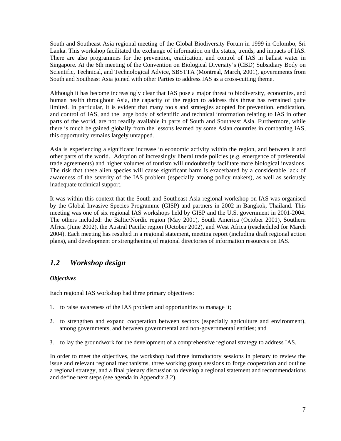South and Southeast Asia regional meeting of the Global Biodiversity Forum in 1999 in Colombo, Sri Lanka. This workshop facilitated the exchange of information on the status, trends, and impacts of IAS. There are also programmes for the prevention, eradication, and control of IAS in ballast water in Singapore. At the 6th meeting of the Convention on Biological Diversity's (CBD) Subsidiary Body on Scientific, Technical, and Technological Advice, SBSTTA (Montreal, March, 2001), governments from South and Southeast Asia joined with other Parties to address IAS as a cross-cutting theme.

Although it has become increasingly clear that IAS pose a major threat to biodiversity, economies, and human health throughout Asia, the capacity of the region to address this threat has remained quite limited. In particular, it is evident that many tools and strategies adopted for prevention, eradication, and control of IAS, and the large body of scientific and technical information relating to IAS in other parts of the world, are not readily available in parts of South and Southeast Asia. Furthermore, while there is much be gained globally from the lessons learned by some Asian countries in combatting IAS, this opportunity remains largely untapped.

Asia is experiencing a significant increase in economic activity within the region, and between it and other parts of the world. Adoption of increasingly liberal trade policies (e.g. emergence of preferential trade agreements) and higher volumes of tourism will undoubtedly facilitate more biological invasions. The risk that these alien species will cause significant harm is exacerbated by a considerable lack of awareness of the severity of the IAS problem (especially among policy makers), as well as seriously inadequate technical support.

It was within this context that the South and Southeast Asia regional workshop on IAS was organised by the Global Invasive Species Programme (GISP) and partners in 2002 in Bangkok, Thailand. This meeting was one of six regional IAS workshops held by GISP and the U.S. government in 2001-2004. The others included: the Baltic/Nordic region (May 2001), South America (October 2001), Southern Africa (June 2002), the Austral Pacific region (October 2002), and West Africa (rescheduled for March 2004). Each meeting has resulted in a regional statement, meeting report (including draft regional action plans), and development or strengthening of regional directories of information resources on IAS.

## *1.2 Workshop design*

#### *Objectives*

Each regional IAS workshop had three primary objectives:

- 1. to raise awareness of the IAS problem and opportunities to manage it;
- 2. to strengthen and expand cooperation between sectors (especially agriculture and environment), among governments, and between governmental and non-governmental entities; and
- 3. to lay the groundwork for the development of a comprehensive regional strategy to address IAS.

In order to meet the objectives, the workshop had three introductory sessions in plenary to review the issue and relevant regional mechanisms, three working group sessions to forge cooperation and outline a regional strategy, and a final plenary discussion to develop a regional statement and recommendations and define next steps (see agenda in Appendix 3.2).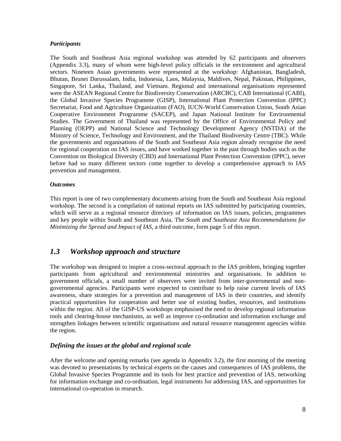#### *Participants*

The South and Southeast Asia regional workshop was attended by 62 participants and observers (Appendix 3.3), many of whom were high-level policy officials in the environment and agricultural sectors. Nineteen Asian governments were represented at the workshop: Afghanistan, Bangladesh, Bhutan, Brunei Darussalam, India, Indonesia, Laos, Malaysia, Maldives, Nepal, Pakistan, Philippines, Singapore, Sri Lanka, Thailand, and Vietnam. Regional and international organisations represented were the ASEAN Regional Centre for Biodiversity Conservation (ARCBC), CAB International (CABI), the Global Invasive Species Programme (GISP), International Plant Protection Convention (IPPC) Secretariat, Food and Agriculture Organization (FAO), IUCN-World Conservation Union, South Asian Cooperative Environment Programme (SACEP), and Japan National Institute for Environmental Studies. The Government of Thailand was represented by the Office of Environmental Policy and Planning (OEPP) and National Science and Technology Development Agency (NSTDA) of the Ministry of Science, Technology and Environment, and the Thailand Biodiversity Centre (TBC). While the governments and organisations of the South and Southeast Asia region already recognise the need for regional cooperation on IAS issues, and have worked together in the past through bodies such as the Convention on Biological Diversity (CBD) and International Plant Protection Convention (IPPC), never before had so many different sectors come together to develop a comprehensive approach to IAS prevention and management.

#### *Outcomes*

This report is one of two complementary documents arising from the South and Southeast Asia regional workshop. The second is a compilation of national reports on IAS submitted by participating countries, which will serve as a regional resource directory of information on IAS issues, policies, programmes and key people within South and Southeast Asia. The *South and Southeast Asia Recommendations for Minimizing the Spread and Impact of IAS*, a third outcome, form page 5 of this report.

## *1.3 Workshop approach and structure*

The workshop was designed to inspire a cross-sectoral approach to the IAS problem, bringing together participants from agricultural and environmental ministries and organisations. In addition to government officials, a small number of observers were invited from inter-governmental and nongovernmental agencies. Participants were expected to contribute to help raise current levels of IAS awareness, share strategies for a prevention and management of IAS in their countries, and identify practical opportunities for cooperation and better use of existing bodies, resources, and institutions within the region. All of the GISP-US workshops emphasised the need to develop regional information tools and clearing-house mechanisms, as well as improve co-ordination and information exchange and strengthen linkages between scientific organisations and natural resource management agencies within the region.

#### *Defining the issues at the global and regional scale*

After the welcome and opening remarks (see agenda in Appendix 3.2), the first morning of the meeting was devoted to presentations by technical experts on the causes and consequences of IAS problems, the Global Invasive Species Programme and its tools for best practice and prevention of IAS, networking for information exchange and co-ordination, legal instruments for addressing IAS, and opportunities for international co-operation in research.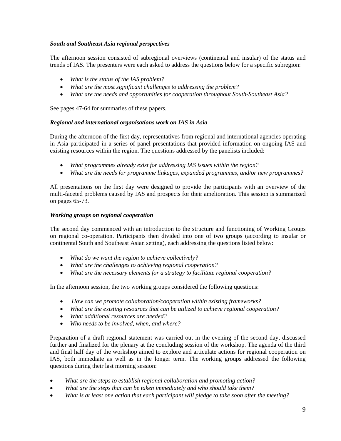#### *South and Southeast Asia regional perspectives*

The afternoon session consisted of subregional overviews (continental and insular) of the status and trends of IAS. The presenters were each asked to address the questions below for a specific subregion:

- *What is the status of the IAS problem?*
- *What are the most significant challenges to addressing the problem?*
- *What are the needs and opportunities for cooperation throughout South-Southeast Asia?*

See pages 47-64 for summaries of these papers.

#### *Regional and international organisations work on IAS in Asia*

During the afternoon of the first day, representatives from regional and international agencies operating in Asia participated in a series of panel presentations that provided information on ongoing IAS and existing resources within the region. The questions addressed by the panelists included:

- *What programmes already exist for addressing IAS issues within the region?*
- *What are the needs for programme linkages, expanded programmes, and/or new programmes?*

All presentations on the first day were designed to provide the participants with an overview of the multi-faceted problems caused by IAS and prospects for their amelioration. This session is summarized on pages 65-73.

#### *Working groups on regional cooperation*

The second day commenced with an introduction to the structure and functioning of Working Groups on regional co-operation. Participants then divided into one of two groups (according to insular or continental South and Southeast Asian setting), each addressing the questions listed below:

- *What do we want the region to achieve collectively?*
- *What are the challenges to achieving regional cooperation?*
- *What are the necessary elements for a strategy to facilitate regional cooperation?*

In the afternoon session, the two working groups considered the following questions:

- *How can we promote collaboration/cooperation within existing frameworks?*
- *What are the existing resources that can be utilized to achieve regional cooperation?*
- *What additional resources are needed?*
- *Who needs to be involved, when, and where?*

Preparation of a draft regional statement was carried out in the evening of the second day, discussed further and finalized for the plenary at the concluding session of the workshop. The agenda of the third and final half day of the workshop aimed to explore and articulate actions for regional cooperation on IAS, both immediate as well as in the longer term. The working groups addressed the following questions during their last morning session:

- *What are the steps to establish regional collaboration and promoting action?*
- *What are the steps that can be taken immediately and who should take them?*
- *What is at least one action that each participant will pledge to take soon after the meeting?*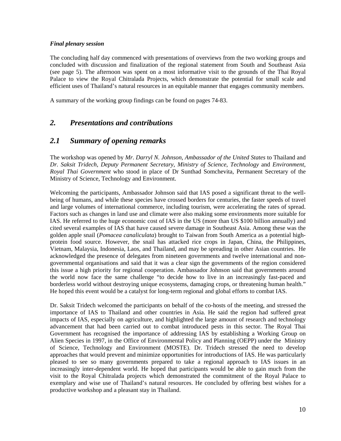#### *Final plenary session*

The concluding half day commenced with presentations of overviews from the two working groups and concluded with discussion and finalization of the regional statement from South and Southeast Asia (see page 5). The afternoon was spent on a most informative visit to the grounds of the Thai Royal Palace to view the Royal Chitralada Projects, which demonstrate the potential for small scale and efficient uses of Thailand's natural resources in an equitable manner that engages community members.

A summary of the working group findings can be found on pages 74-83.

## *2. Presentations and contributions*

## *2.1 Summary of opening remarks*

The workshop was opened by *Mr*. *Darryl N. Johnson*, *Ambassador of the United States* to Thailand and *Dr. Saksit Tridech*, *Deputy Permanent Secretary*, *Ministry of Science*, *Technology* and *Environment*, *Royal Thai Government* who stood in place of Dr Sunthad Somchevita, Permanent Secretary of the Ministry of Science, Technology and Environment.

Welcoming the participants, Ambassador Johnson said that IAS posed a significant threat to the wellbeing of humans, and while these species have crossed borders for centuries, the faster speeds of travel and large volumes of international commerce, including tourism, were accelerating the rates of spread. Factors such as changes in land use and climate were also making some environments more suitable for IAS. He referred to the huge economic cost of IAS in the US (more than US \$100 billion annually) and cited several examples of IAS that have caused severe damage in Southeast Asia. Among these was the golden apple snail (*Pomacea canaliculata*) brought to Taiwan from South America as a potential highprotein food source. However, the snail has attacked rice crops in Japan, China, the Philippines, Vietnam, Malaysia, Indonesia, Laos, and Thailand, and may be spreading in other Asian countries. He acknowledged the presence of delegates from nineteen governments and twelve international and nongovernmental organisations and said that it was a clear sign the governments of the region considered this issue a high priority for regional cooperation. Ambassador Johnson said that governments around the world now face the same challenge "to decide how to live in an increasingly fast-paced and borderless world without destroying unique ecosystems, damaging crops, or threatening human health." He hoped this event would be a catalyst for long-term regional and global efforts to combat IAS.

Dr. Saksit Tridech welcomed the participants on behalf of the co-hosts of the meeting, and stressed the importance of IAS to Thailand and other countries in Asia. He said the region had suffered great impacts of IAS, especially on agriculture, and highlighted the large amount of research and technology advancement that had been carried out to combat introduced pests in this sector. The Royal Thai Government has recognised the importance of addressing IAS by establishing a Working Group on Alien Species in 1997, in the Office of Environmental Policy and Planning (OEPP) under the Ministry of Science, Technology and Environment (MOSTE). Dr. Tridech stressed the need to develop approaches that would prevent and minimize opportunities for introductions of IAS. He was particularly pleased to see so many governments prepared to take a regional approach to IAS issues in an increasingly inter-dependent world. He hoped that participants would be able to gain much from the visit to the Royal Chitralada projects which demonstrated the commitment of the Royal Palace to exemplary and wise use of Thailand's natural resources. He concluded by offering best wishes for a productive workshop and a pleasant stay in Thailand.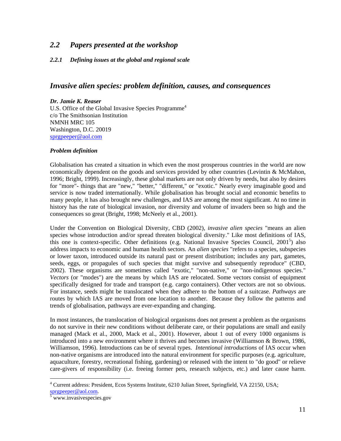## *2.2 Papers presented at the workshop*

#### *2.2.1 Defining issues at the global and regional scale*

### *Invasive alien species: problem definition, causes, and consequences*

#### *Dr. Jamie K. Reaser*

U.S. Office of the Global Invasive Species Programme<sup>4</sup> c/o The Smithsonian Institution NMNH MRC 105 Washington, D.C. 20019 sprgpeeper@aol.com

#### *Problem definition*

Globalisation has created a situation in which even the most prosperous countries in the world are now economically dependent on the goods and services provided by other countries (Levintin & McMahon, 1996; Bright, 1999). Increasingly, these global markets are not only driven by needs, but also by desires for "more"- things that are "new," "better," "different," or "exotic." Nearly every imaginable good and service is now traded internationally. While globalisation has brought social and economic benefits to many people, it has also brought new challenges, and IAS are among the most significant. At no time in history has the rate of biological invasion, nor diversity and volume of invaders been so high and the consequences so great (Bright, 1998; McNeely et al., 2001).

Under the Convention on Biological Diversity, CBD (2002), *invasive alien species* "means an alien species whose introduction and/or spread threaten biological diversity." Like most definitions of IAS, this one is context-specific. Other definitions (e.g. National Invasive Species Council, 2001<sup>5</sup>) also address impacts to economic and human health sectors. An *alien species* "refers to a species, subspecies or lower taxon, introduced outside its natural past or present distribution; includes any part, gametes, seeds, eggs, or propagules of such species that might survive and subsequently reproduce" (CBD, 2002). These organisms are sometimes called "exotic," "non-native," or "non-indigenous species." *Vectors* (or "modes") are the means by which IAS are relocated. Some vectors consist of equipment specifically designed for trade and transport (e.g. cargo containers). Other vectors are not so obvious. For instance, seeds might be translocated when they adhere to the bottom of a suitcase. *Pathways* are routes by which IAS are moved from one location to another. Because they follow the patterns and trends of globalisation, pathways are ever-expanding and changing.

In most instances, the translocation of biological organisms does not present a problem as the organisms do not survive in their new conditions without deliberate care, or their populations are small and easily managed (Mack et al., 2000, Mack et al., 2001). However, about 1 out of every 1000 organisms is introduced into a new environment where it thrives and becomes invasive (Williamson & Brown, 1986, Williamson, 1996). Introductions can be of several types. *Intentional introductions* of IAS occur when non-native organisms are introduced into the natural environment for specific purposes (e.g. agriculture, aquaculture, forestry, recreational fishing, gardening) or released with the intent to "do good" or relieve care-givers of responsibility (i.e. freeing former pets, research subjects, etc.) and later cause harm.

<sup>&</sup>lt;sup>4</sup> Current address: President, Ecos Systems Institute, 6210 Julian Street, Springfield, VA 22150, USA; sprgpeeper@aol.com.

www.invasivespecies.gov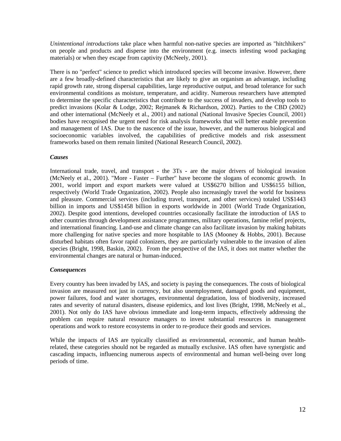*Unintentional introductions* take place when harmful non-native species are imported as "hitchhikers" on people and products and disperse into the environment (e.g. insects infesting wood packaging materials) or when they escape from captivity (McNeely, 2001).

There is no "perfect" science to predict which introduced species will become invasive. However, there are a few broadly-defined characteristics that are likely to give an organism an advantage, including rapid growth rate, strong dispersal capabilities, large reproductive output, and broad tolerance for such environmental conditions as moisture, temperature, and acidity. Numerous researchers have attempted to determine the specific characteristics that contribute to the success of invaders, and develop tools to predict invasions (Kolar & Lodge, 2002; Rejmanek & Richardson, 2002). Parties to the CBD (2002) and other international (McNeely et al., 2001) and national (National Invasive Species Council, 2001) bodies have recognised the urgent need for risk analysis frameworks that will better enable prevention and management of IAS. Due to the nascence of the issue, however, and the numerous biological and socioeconomic variables involved, the capabilities of predictive models and risk assessment frameworks based on them remain limited (National Research Council, 2002).

#### *Causes*

International trade, travel, and transport **-** the 3Ts **-** are the major drivers of biological invasion (McNeely et al., 2001). "More - Faster – Further" have become the slogans of economic growth. In 2001, world import and export markets were valued at US\$6270 billion and US\$6155 billion, respectively (World Trade Organization, 2002). People also increasingly travel the world for business and pleasure. Commercial services (including travel, transport, and other services) totaled US\$1443 billion in imports and US\$1458 billion in exports worldwide in 2001 (World Trade Organization, 2002). Despite good intentions, developed countries occasionally facilitate the introduction of IAS to other countries through development assistance programmes, military operations, famine relief projects, and international financing. Land-use and climate change can also facilitate invasion by making habitats more challenging for native species and more hospitable to IAS (Mooney & Hobbs, 2001). Because disturbed habitats often favor rapid colonizers, they are particularly vulnerable to the invasion of alien species (Bright, 1998, Baskin, 2002). From the perspective of the IAS, it does not matter whether the environmental changes are natural or human-induced.

#### *Consequences*

Every country has been invaded by IAS, and society is paying the consequences. The costs of biological invasion are measured not just in currency, but also unemployment, damaged goods and equipment, power failures, food and water shortages, environmental degradation, loss of biodiversity, increased rates and severity of natural disasters, disease epidemics, and lost lives (Bright, 1998, McNeely et al., 2001). Not only do IAS have obvious immediate and long-term impacts, effectively addressing the problem can require natural resource managers to invest substantial resources in management operations and work to restore ecosystems in order to re-produce their goods and services.

While the impacts of IAS are typically classified as environmental, economic, and human healthrelated, these categories should not be regarded as mutually exclusive. IAS often have synergistic and cascading impacts, influencing numerous aspects of environmental and human well-being over long periods of time.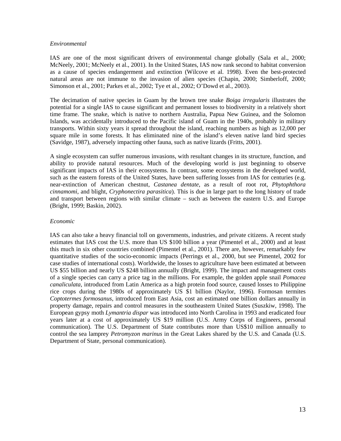#### *Environmental*

IAS are one of the most significant drivers of environmental change globally (Sala et al., 2000; McNeely, 2001; McNeely et al., 2001). In the United States, IAS now rank second to habitat conversion as a cause of species endangerment and extinction (Wilcove et al. 1998). Even the best-protected natural areas are not immune to the invasion of alien species (Chapin, 2000; Simberloff, 2000; Simonson et al., 2001; Parkes et al., 2002; Tye et al., 2002; O'Dowd et al., 2003).

The decimation of native species in Guam by the brown tree snake *Boiga irregularis* illustrates the potential for a single IAS to cause significant and permanent losses to biodiversity in a relatively short time frame. The snake, which is native to northern Australia, Papua New Guinea, and the Solomon Islands, was accidentally introduced to the Pacific island of Guam in the 1940s, probably in military transports. Within sixty years it spread throughout the island, reaching numbers as high as 12,000 per square mile in some forests. It has eliminated nine of the island's eleven native land bird species (Savidge, 1987), adversely impacting other fauna, such as native lizards (Fritts, 2001).

A single ecosystem can suffer numerous invasions, with resultant changes in its structure, function, and ability to provide natural resources. Much of the developing world is just beginning to observe significant impacts of IAS in their ecosystems. In contrast, some ecosystems in the developed world, such as the eastern forests of the United States, have been suffering losses from IAS for centuries (e.g. near-extinction of American chestnut, *Castanea dentate*, as a result of root rot, *Phytophthora cinnamomi*, and blight, *Cryphonectira parasitica*). This is due in large part to the long history of trade and transport between regions with similar climate – such as between the eastern U.S. and Europe (Bright, 1999; Baskin, 2002).

#### *Economic*

IAS can also take a heavy financial toll on governments, industries, and private citizens. A recent study estimates that IAS cost the U.S. more than US \$100 billion a year (Pimentel et al., 2000) and at least this much in six other countries combined (Pimentel et al., 2001). There are, however, remarkably few quantitative studies of the socio-economic impacts (Perrings et al., 2000, but see Pimentel, 2002 for case studies of international costs). Worldwide, the losses to agriculture have been estimated at between US \$55 billion and nearly US \$248 billion annually (Bright, 1999). The impact and management costs of a single species can carry a price tag in the millions. For example, the golden apple snail *Pomacea canaliculata*, introduced from Latin America as a high protein food source, caused losses to Philippine rice crops during the 1980s of approximately US \$1 billion (Naylor, 1996). Formosan termites *Coptotermes formosanus*, introduced from East Asia, cost an estimated one billion dollars annually in property damage, repairs and control measures in the southeastern United States (Suszkiw, 1998). The European gypsy moth *Lymantria dispar* was introduced into North Carolina in 1993 and eradicated four years later at a cost of approximately US \$19 million (U.S. Army Corps of Engineers, personal communication). The U.S. Department of State contributes more than US\$10 million annually to control the sea lamprey *Petromyzon marinus* in the Great Lakes shared by the U.S. and Canada (U.S. Department of State, personal communication).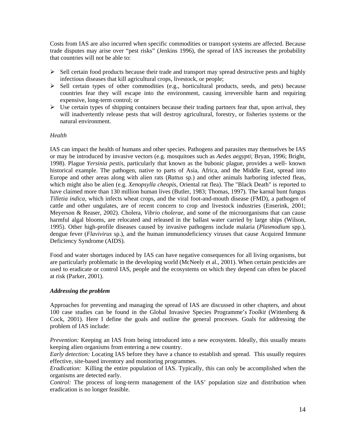Costs from IAS are also incurred when specific commodities or transport systems are affected. Because trade disputes may arise over "pest risks" (Jenkins 1996), the spread of IAS increases the probability that countries will not be able to:

- $\triangleright$  Sell certain food products because their trade and transport may spread destructive pests and highly infectious diseases that kill agricultural crops, livestock, or people;
- $\triangleright$  Sell certain types of other commodities (e.g., horticultural products, seeds, and pets) because countries fear they will escape into the environment, causing irreversible harm and requiring expensive, long-term control; or
- $\triangleright$  Use certain types of shipping containers because their trading partners fear that, upon arrival, they will inadvertently release pests that will destroy agricultural, forestry, or fisheries systems or the natural environment.

#### *Health*

IAS can impact the health of humans and other species. Pathogens and parasites may themselves be IAS or may be introduced by invasive vectors (e.g. mosquitoes such as *Aedes aegypti*; Bryan, 1996; Bright, 1998). Plague *Yersinia pestis*, particularly that known as the bubonic plague, provides a well- known historical example. The pathogen, native to parts of Asia, Africa, and the Middle East, spread into Europe and other areas along with alien rats (*Rattus* sp.) and other animals harboring infected fleas, which might also be alien (e.g. *Xenopsylla cheopis*, Oriental rat flea). The "Black Death" is reported to have claimed more than 130 million human lives (Butler, 1983; Thomas, 1997). The karnal bunt fungus *Tilletia indica,* which infects wheat crops, and the viral foot-and-mouth disease (FMD), a pathogen of cattle and other ungulates, are of recent concern to crop and livestock industries (Enserink, 2001; Meyerson & Reaser, 2002). Cholera, *Vibrio cholerae*, and some of the microorganisms that can cause harmful algal blooms, are relocated and released in the ballast water carried by large ships (Wilson, 1995). Other high-profile diseases caused by invasive pathogens include malaria (*Plasmodium* spp.), dengue fever (*Flavivirus* sp.), and the human immunodeficiency viruses that cause Acquired Immune Deficiency Syndrome (AIDS).

Food and water shortages induced by IAS can have negative consequences for all living organisms, but are particularly problematic in the developing world (McNeely et al., 2001). When certain pesticides are used to eradicate or control IAS, people and the ecosystems on which they depend can often be placed at risk (Parker, 2001).

#### *Addressing the problem*

Approaches for preventing and managing the spread of IAS are discussed in other chapters, and about 100 case studies can be found in the Global Invasive Species Programme's *Toolkit* (Wittenberg & Cock, 2001). Here I define the goals and outline the general processes. Goals for addressing the problem of IAS include:

*Prevention:* Keeping an IAS from being introduced into a new ecosystem. Ideally, this usually means keeping alien organisms from entering a new country.

*Early detection:* Locating IAS before they have a chance to establish and spread. This usually requires effective, site-based inventory and monitoring programmes.

*Eradication:* Killing the entire population of IAS. Typically, this can only be accomplished when the organisms are detected early.

*Control:* The process of long-term management of the IAS' population size and distribution when eradication is no longer feasible.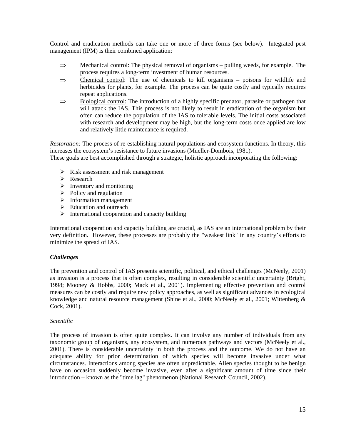Control and eradication methods can take one or more of three forms (see below). Integrated pest management (IPM) is their combined application:

- $\Rightarrow$  Mechanical control: The physical removal of organisms pulling weeds, for example. The process requires a long-term investment of human resources.
- ⇒ Chemical control: The use of chemicals to kill organisms poisons for wildlife and herbicides for plants, for example. The process can be quite costly and typically requires repeat applications.
- $\Rightarrow$  Biological control: The introduction of a highly specific predator, parasite or pathogen that will attack the IAS. This process is not likely to result in eradication of the organism but often can reduce the population of the IAS to tolerable levels. The initial costs associated with research and development may be high, but the long-term costs once applied are low and relatively little maintenance is required.

*Restoration:* The process of re-establishing natural populations and ecosystem functions. In theory, this increases the ecosystem's resistance to future invasions (Mueller-Dombois, 1981).

These goals are best accomplished through a strategic, holistic approach incorporating the following:

- $\triangleright$  Risk assessment and risk management
- $\triangleright$  Research
- $\triangleright$  Inventory and monitoring
- $\triangleright$  Policy and regulation
- $\triangleright$  Information management
- $\triangleright$  Education and outreach
- $\triangleright$  International cooperation and capacity building

International cooperation and capacity building are crucial, as IAS are an international problem by their very definition. However, these processes are probably the "weakest link" in any country's efforts to minimize the spread of IAS.

#### *Challenges*

The prevention and control of IAS presents scientific, political, and ethical challenges (McNeely, 2001) as invasion is a process that is often complex, resulting in considerable scientific uncertainty (Bright, 1998; Mooney & Hobbs, 2000; Mack et al., 2001). Implementing effective prevention and control measures can be costly and require new policy approaches, as well as significant advances in ecological knowledge and natural resource management (Shine et al., 2000; McNeely et al., 2001; Wittenberg & Cock, 2001).

#### *Scientific*

The process of invasion is often quite complex. It can involve any number of individuals from any taxonomic group of organisms, any ecosystem, and numerous pathways and vectors (McNeely et al., 2001). There is considerable uncertainty in both the process and the outcome. We do not have an adequate ability for prior determination of which species will become invasive under what circumstances. Interactions among species are often unpredictable. Alien species thought to be benign have on occasion suddenly become invasive, even after a significant amount of time since their introduction – known as the "time lag" phenomenon (National Research Council, 2002).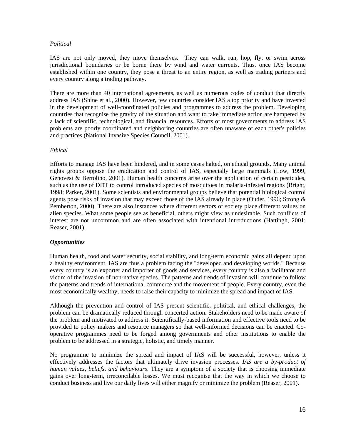#### *Political*

IAS are not only moved, they move themselves. They can walk, run, hop, fly, or swim across jurisdictional boundaries or be borne there by wind and water currents. Thus, once IAS become established within one country, they pose a threat to an entire region, as well as trading partners and every country along a trading pathway.

There are more than 40 international agreements, as well as numerous codes of conduct that directly address IAS (Shine et al., 2000). However, few countries consider IAS a top priority and have invested in the development of well-coordinated policies and programmes to address the problem. Developing countries that recognise the gravity of the situation and want to take immediate action are hampered by a lack of scientific, technological, and financial resources. Efforts of most governments to address IAS problems are poorly coordinated and neighboring countries are often unaware of each other's policies and practices (National Invasive Species Council, 2001).

#### *Ethical*

Efforts to manage IAS have been hindered, and in some cases halted, on ethical grounds. Many animal rights groups oppose the eradication and control of IAS, especially large mammals (Low, 1999, Genovesi & Bertolino, 2001). Human health concerns arise over the application of certain pesticides, such as the use of DDT to control introduced species of mosquitoes in malaria-infested regions (Bright, 1998; Parker, 2001). Some scientists and environmental groups believe that potential biological control agents pose risks of invasion that may exceed those of the IAS already in place (Ouder, 1996; Strong & Pemberton, 2000). There are also instances where different sectors of society place different values on alien species. What some people see as beneficial, others might view as undesirable. Such conflicts of interest are not uncommon and are often associated with intentional introductions (Hattingh, 2001; Reaser, 2001).

#### *Opportunities*

Human health, food and water security, social stability, and long-term economic gains all depend upon a healthy environment. IAS are thus a problem facing the "developed and developing worlds." Because every country is an exporter and importer of goods and services, every country is also a facilitator and victim of the invasion of non-native species. The patterns and trends of invasion will continue to follow the patterns and trends of international commerce and the movement of people. Every country, even the most economically wealthy, needs to raise their capacity to minimize the spread and impact of IAS.

Although the prevention and control of IAS present scientific, political, and ethical challenges, the problem can be dramatically reduced through concerted action. Stakeholders need to be made aware of the problem and motivated to address it. Scientifically-based information and effective tools need to be provided to policy makers and resource managers so that well-informed decisions can be enacted. Cooperative programmes need to be forged among governments and other institutions to enable the problem to be addressed in a strategic, holistic, and timely manner.

No programme to minimize the spread and impact of IAS will be successful, however, unless it effectively addresses the factors that ultimately drive invasion processes. *IAS are a by-product of human values, beliefs, and behaviours*. They are a symptom of a society that is choosing immediate gains over long-term, irreconcilable losses. We must recognise that the way in which we choose to conduct business and live our daily lives will either magnify or minimize the problem (Reaser, 2001).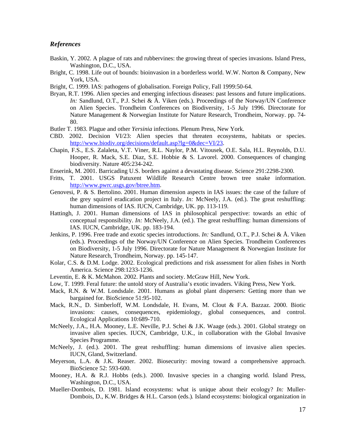#### *References*

- Baskin, Y. 2002. A plague of rats and rubbervines: the growing threat of species invasions. Island Press, Washington, D.C., USA.
- Bright, C. 1998. Life out of bounds: bioinvasion in a borderless world. W.W. Norton & Company, New York, USA.
- Bright, C. 1999. IAS: pathogens of globalisation. Foreign Policy, Fall 1999:50-64.
- Bryan, R.T. 1996. Alien species and emerging infectious diseases: past lessons and future implications. *In:* Sandlund, O.T., P.J. Schei & Å. Viken (eds.). Proceedings of the Norway/UN Conference on Alien Species. Trondheim Conferences on Biodiversity, 1-5 July 1996. Directorate for Nature Management & Norwegian Institute for Nature Research, Trondheim, Norway. pp. 74- 80.
- Butler T. 1983. Plague and other *Yersinia* infections. Plenum Press, New York.
- CBD. 2002. Decision VI/23: Alien species that threaten ecosystems, habitats or species. http://www.biodiv.org/decisions/default.asp?lg=0&dec=VI/23.
- Chapin, F.S., E.S. Zalaleta, V.T. Viner, R.L. Naylor, P.M. Vitousek, O.E. Sala, H.L. Reynolds, D.U. Hooper, R. Mack, S.E. Diaz, S.E. Hobbie & S. Lavorel. 2000. Consequences of changing biodiversity. Nature 405:234-242.
- Enserink, M. 2001. Barricading U.S. borders against a devastating disease. Science 291:2298-2300.
- Fritts, T. 2001. USGS Patuxent Wildlife Research Centre brown tree snake information. http://www.pwrc.usgs.gov/btree.htm.
- Genovesi, P. & S. Bertolino. 2001. Human dimension aspects in IAS issues: the case of the failure of the grey squirrel eradication project in Italy. *In:* McNeely, J.A. (ed.). The great reshuffling: human dimensions of IAS. IUCN, Cambridge, UK. pp. 113-119.
- Hattingh, J. 2001. Human dimensions of IAS in philosophical perspective: towards an ethic of conceptual responsibility. *In:* McNeely, J.A. (ed.). The great reshuffling: human dimensions of IAS. IUCN, Cambridge, UK. pp. 183-194.
- Jenkins, P. 1996. Free trade and exotic species introductions. *In:* Sandlund, O.T., P.J. Schei & Å. Viken (eds.). Proceedings of the Norway/UN Conference on Alien Species. Trondheim Conferences on Biodiversity, 1-5 July 1996. Directorate for Nature Management & Norwegian Institute for Nature Research, Trondheim, Norway. pp. 145-147.
- Kolar, C.S. & D.M. Lodge. 2002. Ecological predictions and risk assessment for alien fishes in North America. Science 298:1233-1236.
- Leventin, E. & K. McMahon. 2002. Plants and society. McGraw Hill, New York.
- Low, T. 1999. Feral future: the untold story of Australia's exotic invaders. Viking Press, New York.
- Mack, R.N. & W.M. Londsdale. 2001. Humans as global plant dispersers: Getting more than we bargained for. BioScience 51:95-102.
- Mack, R.N., D. Simberloff, W.M. Londsdale, H. Evans, M. Clout & F.A. Bazzaz. 2000. Biotic invasions: causes, consequences, epidemiology, global consequences, and control. Ecological Applications 10:689- 710.
- McNeely, J.A., H.A. Mooney, L.E. Neville, P.J. Schei & J.K. Waage (eds.). 2001. Global strategy on invasive alien species. IUCN, Cambridge, U.K., in collaboration with the Global Invasive Species Programme.
- McNeely, J. (ed.). 2001. The great reshuffling: human dimensions of invasive alien species. IUCN, Gland, Switzerland.
- Meyerson, L.A. & J.K. Reaser. 2002. Biosecurity: moving toward a comprehensive approach. BioScience 52: 593-600.
- Mooney, H.A. & R.J. Hobbs (eds.). 2000. Invasive species in a changing world. Island Press, Washington, D.C., USA.
- Mueller-Dombois, D. 1981. Island ecosystems: what is unique about their ecology? *In:* Muller-Dombois, D., K.W. Bridges & H.L. Carson (eds.)*.* Island ecosystems: biological organization in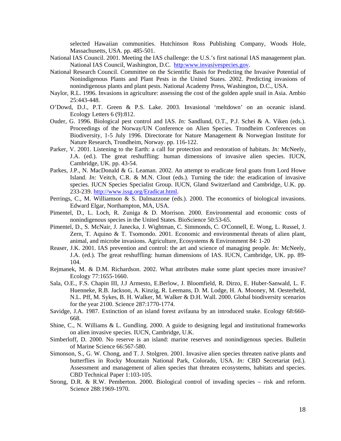selected Hawaiian communities. Hutchinson Ross Publishing Company, Woods Hole, Massachusetts, USA. pp. 485-501.

- National IAS Council. 2001. Meeting the IAS challenge: the U.S.'s first national IAS management plan. National IAS Council, Washington, D.C. http:www.invasivespecies.gov.
- National Research Council. Committee on the Scientific Basis for Predicting the Invasive Potential of Nonindigenous Plants and Plant Pests in the United States. 2002. Predicting invasions of nonindigenous plants and plant pests. National Academy Press, Washington, D.C., USA.
- Naylor, R.L. 1996. Invasions in agriculture: assessing the cost of the golden apple snail in Asia. Ambio 25:443-448.
- O'Dowd, D.J., P.T. Green & P.S. Lake. 2003. Invasional 'meltdown' on an oceanic island. Ecology Letters 6 (9):812.
- Ouder, G. 1996. Biological pest control and IAS. *In:* Sandlund, O.T., P.J. Schei & A. Viken (eds.). Proceedings of the Norway/UN Conference on Alien Species. Trondheim Conferences on Biodiversity, 1-5 July 1996. Directorate for Nature Management & Norwegian Institute for Nature Research, Trondheim, Norway. pp. 116-122.
- Parker, V. 2001. Listening to the Earth: a call for protection and restoration of habitats. *In:* McNeely, J.A. (ed.). The great reshuffling: human dimensions of invasive alien species. IUCN, Cambridge, UK. pp. 43-54.
- Parkes, J.P., N. MacDonald & G. Leaman. 2002. An attempt to eradicate feral goats from Lord Howe Island. *In:* Veitch, C.R. & M.N. Clout (eds.). Turning the tide: the eradication of invasive species. IUCN Species Specialist Group. IUCN, Gland Switzerland and Cambridge, U.K. pp. 233-239. http://www.issg.org/Eradicat.html.
- Perrings, C., M. Williamson & S. Dalmazzone (eds.). 2000. The economics of biological invasions. Edward Elgar, Northampton, MA, USA.
- Pimentel, D., L. Loch, R. Zuniga & D. Morrison. 2000. Environmental and economic costs of nonindigenous species in the United States. BioScience 50:53-65.
- Pimentel, D., S. McNair, J. Janecka, J. Wightman, C. Simmonds, C. O'Connell, E. Wong, L. Russel, J. Zern, T. Aquino & T. Tsomondo. 2001. Economic and environmental threats of alien plant, animal, and microbe invasions. Agriculture, Ecosystems & Environment 84: 1-20
- Reaser, J.K. 2001. IAS prevention and control: the art and science of managing people. *In:* McNeely, J.A. (ed.). The great reshuffling: human dimensions of IAS. IUCN, Cambridge, UK. pp. 89- 104.
- Rejmanek, M. & D.M. Richardson. 2002. What attributes make some plant species more invasive? Ecology 77:1655-1660.
- Sala, O.E., F.S. Chapin III, J.J Armesto, E.Berlow, J. Bloomfield, R. Dirzo, E. Huber-Sanwald, L. F. Huenneke, R.B. Jackson, A. Kinzig, R. Leemans, D. M. Lodge, H. A. Mooney, M. Oesterheld, N.L. Pff, M. Sykes, B. H. Walker, M. Walker & D.H. Wall. 2000. Global biodiversity scenarios for the year 2100. Science 287:1770-1774.
- Savidge, J.A. 1987. Extinction of an island forest avifauna by an introduced snake. Ecology 68:660- 668.
- Shine, C., N. Williams & L. Gundling. 2000. A guide to designing legal and institutional frameworks on alien invasive species. IUCN, Cambridge, U.K.
- Simberloff, D. 2000. No reserve is an island: marine reserves and nonindigenous species. Bulletin of Marine Science 66:567-580.
- Simonson, S., G. W. Chong, and T. J. Stolgren. 2001. Invasive alien species threaten native plants and butterflies in Rocky Mountain National Park, Colorado, USA. *In:* CBD Secretariat (ed.). Assessment and management of alien species that threaten ecosystems, habitats and species. CBD Technical Paper 1:103-105.
- Strong, D.R. & R.W. Pemberton. 2000. Biological control of invading species risk and reform. Science 288:1969-1970.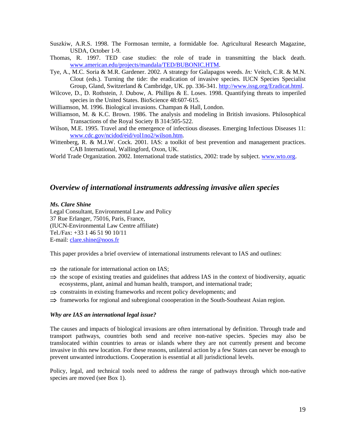- Suszkiw, A.R.S. 1998. The Formosan termite, a formidable foe. Agricultural Research Magazine, USDA, October 1-9.
- Thomas, R. 1997. TED case studies: the role of trade in transmitting the black death. www.american.edu/projects/mandala/TED/BUBONIC.HTM.
- Tye, A., M.C. Soria & M.R. Gardener. 2002. A strategy for Galapagos weeds. *In:* Veitch, C.R. & M.N. Clout (eds.). Turning the tide: the eradication of invasive species. IUCN Species Specialist Group, Gland, Switzerland & Cambridge, UK. pp. 336-341. http://www.issg.org/Eradicat.html.
- Wilcove, D., D. Rothstein, J. Dubow, A. Phillips & E. Loses. 1998. Quantifying threats to imperiled species in the United States. BioScience 48:607-615.

Williamson, M. 1996. Biological invasions. Champan & Hall, London.

- Williamson, M. & K.C. Brown. 1986. The analysis and modeling in British invasions. Philosophical Transactions of the Royal Society B 314:505-522.
- Wilson, M.E. 1995. Travel and the emergence of infectious diseases. Emerging Infectious Diseases 11: www.cdc.gov/ncidod/eid/vol1no2/wilson.htm.
- Wittenberg, R. & M.J.W. Cock. 2001. IAS: a toolkit of best prevention and management practices. CAB International, Wallingford, Oxon, UK.

World Trade Organization. 2002. International trade statistics, 2002: trade by subject. www.wto.org.

## *Overview of international instruments addressing invasive alien species*

#### *Ms. Clare Shine*

Legal Consultant, Environmental Law and Policy 37 Rue Erlanger, 75016, Paris, France, (IUCN-Environmental Law Centre affiliate) Tel./Fax: +33 1 46 51 90 10/11 E-mail: clare.shine@noos.fr

This paper provides a brief overview of international instruments relevant to IAS and outlines:

- $\Rightarrow$  the rationale for international action on IAS;
- $\Rightarrow$  the scope of existing treaties and guidelines that address IAS in the context of biodiversity, aquatic ecosystems, plant, animal and human health, transport, and international trade;
- $\Rightarrow$  constraints in existing frameworks and recent policy developments; and
- ⇒ frameworks for regional and subregional coooperation in the South-Southeast Asian region.

#### *Why are IAS an international legal issue?*

The causes and impacts of biological invasions are often international by definition. Through trade and transport pathways, countries both send and receive non-native species. Species may also be translocated within countries to areas or islands where they are not currently present and become invasive in this new location. For these reasons, unilateral action by a few States can never be enough to prevent unwanted introductions. Cooperation is essential at all jurisdictional levels.

Policy, legal, and technical tools need to address the range of pathways through which non-native species are moved (see Box 1).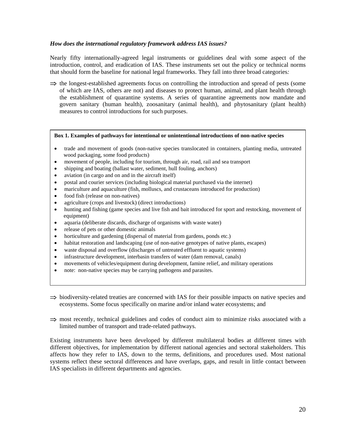#### *How does the international regulatory framework address IAS issues?*

Nearly fifty internationally-agreed legal instruments or guidelines deal with some aspect of the introduction, control, and eradication of IAS. These instruments set out the policy or technical norms that should form the baseline for national legal frameworks. They fall into three broad categories*:* 

 $\Rightarrow$  the longest-established agreements focus on controlling the introduction and spread of pests (some of which are IAS, others are not) and diseases to protect human, animal, and plant health through the establishment of quarantine systems. A series of quarantine agreements now mandate and govern sanitary (human health), zoosanitary (animal health), and phytosanitary (plant health) measures to control introductions for such purposes.

#### **Box 1. Examples of pathways for intentional or unintentional introductions of non-native species**

- trade and movement of goods (non-native species translocated in containers, planting media, untreated wood packaging, some food products)
- movement of people, including for tourism, through air, road, rail and sea transport
- shipping and boating (ballast water, sediment, hull fouling, anchors)
- aviation (in cargo and on and in the aircraft itself)
- postal and courier services (including biological material purchased via the internet)
- mariculture and aquaculture (fish, molluscs, and crustaceans introduced for production)
- food fish (release on non-natives)
- agriculture (crops and livestock) (direct introductions)
- hunting and fishing (game species and live fish and bait introduced for sport and restocking, movement of equipment)
- aquaria (deliberate discards, discharge of organisms with waste water)
- release of pets or other domestic animals
- horticulture and gardening (dispersal of material from gardens, ponds etc.)
- habitat restoration and landscaping (use of non-native genotypes of native plants, escapes)
- waste disposal and overflow (discharges of untreated effluent to aquatic systems)
- infrastructure development, interbasin transfers of water (dam removal, canals)
- movements of vehicles/equipment during development, famine relief, and military operations
- note: non-native species may be carrying pathogens and parasites.
- ⇒ biodiversity-related treaties are concerned with IAS for their possible impacts on native species and ecosystems. Some focus specifically on marine and/or inland water ecosystems; and
- $\Rightarrow$  most recently, technical guidelines and codes of conduct aim to minimize risks associated with a limited number of transport and trade-related pathways.

Existing instruments have been developed by different multilateral bodies at different times with different objectives, for implementation by different national agencies and sectoral stakeholders. This affects how they refer to IAS, down to the terms, definitions, and procedures used. Most national systems reflect these sectoral differences and have overlaps, gaps, and result in little contact between IAS specialists in different departments and agencies.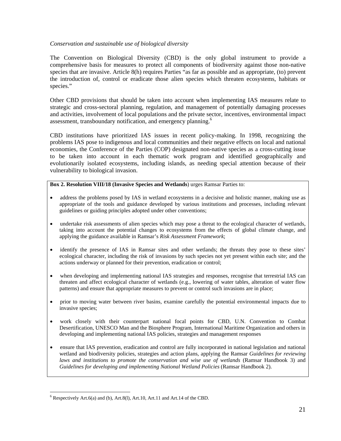#### *Conservation and sustainable use of biological diversity*

The Convention on Biological Diversity (CBD) is the only global instrument to provide a comprehensive basis for measures to protect all components of biodiversity against those non-native species that are invasive. Article 8(h) requires Parties "as far as possible and as appropriate, (to) prevent the introduction of, control or eradicate those alien species which threaten ecosystems, habitats or species."

Other CBD provisions that should be taken into account when implementing IAS measures relate to strategic and cross-sectoral planning, regulation, and management of potentially damaging processes and activities, involvement of local populations and the private sector, incentives, environmental impact assessment, transboundary notification, and emergency planning.<sup>6</sup>

CBD institutions have prioritized IAS issues in recent policy-making. In 1998, recognizing the problems IAS pose to indigenous and local communities and their negative effects on local and national economies, the Conference of the Parties (COP) designated non-native species as a cross-cutting issue to be taken into account in each thematic work program and identified geographically and evolutionarily isolated ecosystems, including islands, as needing special attention because of their vulnerability to biological invasion.

#### **Box 2. Resolution VIII/18 (Invasive Species and Wetlands**) urges Ramsar Parties to:

- address the problems posed by IAS in wetland ecosystems in a decisive and holistic manner, making use as appropriate of the tools and guidance developed by various institutions and processes, including relevant guidelines or guiding principles adopted under other conventions;
- undertake risk assessments of alien species which may pose a threat to the ecological character of wetlands, taking into account the potential changes to ecosystems from the effects of global climate change, and applying the guidance available in Ramsar's *Risk Assessment Framework*;
- identify the presence of IAS in Ramsar sites and other wetlands; the threats they pose to these sites' ecological character, including the risk of invasions by such species not yet present within each site; and the actions underway or planned for their prevention, eradication or control;
- when developing and implementing national IAS strategies and responses, recognise that terrestrial IAS can threaten and affect ecological character of wetlands (e.g., lowering of water tables, alteration of water flow patterns) and ensure that appropriate measures to prevent or control such invasions are in place;
- prior to moving water between river basins, examine carefully the potential environmental impacts due to invasive species;
- work closely with their counterpart national focal points for CBD, U.N. Convention to Combat Desertification, UNESCO Man and the Biosphere Program, International Maritime Organization and others in developing and implementing national IAS policies, strategies and management responses
- ensure that IAS prevention, eradication and control are fully incorporated in national legislation and national wetland and biodiversity policies, strategies and action plans, applying the Ramsar *Guidelines for reviewing laws and institutions to promote the conservation and wise use of wetlands* (Ramsar Handbook 3) and *Guidelines for developing and implementing National Wetland Policies* (Ramsar Handbook 2).

 $\overline{a}$  $6$  Respectively Art.6(a) and (b), Art.8(l), Art.10, Art.11 and Art.14 of the CBD.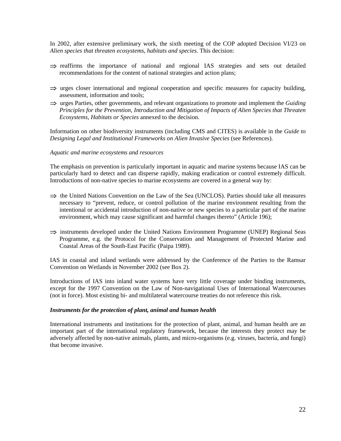In 2002, after extensive preliminary work, the sixth meeting of the COP adopted Decision VI/23 on *Alien species that threaten ecosystems, habitats and species*. This decision:

- ⇒ reaffirms the importance of national and regional IAS strategies and sets out detailed recommendations for the content of national strategies and action plans;
- $\Rightarrow$  urges closer international and regional cooperation and specific measures for capacity building, assessment, information and tools;
- ⇒ urges Parties, other governments, and relevant organizations to promote and implement the *Guiding Principles for the Prevention, Introduction and Mitigation of Impacts of Alien Species that Threaten Ecosystems, Habitats or Species* annexed to the decision.

Information on other biodiversity instruments (including CMS and CITES) is available in the *Guide to Designing Legal and Institutional Frameworks on Alien Invasive Species* (see References).

#### *Aquatic and marine ecosystems and resources*

The emphasis on prevention is particularly important in aquatic and marine systems because IAS can be particularly hard to detect and can disperse rapidly, making eradication or control extremely difficult. Introductions of non-native species to marine ecosystems are covered in a general way by:

- ⇒ the United Nations Convention on the Law of the Sea (UNCLOS). Parties should take all measures necessary to "prevent, reduce, or control pollution of the marine environment resulting from the intentional or accidental introduction of non-native or new species to a particular part of the marine environment, which may cause significant and harmful changes thereto" (Article 196);
- ⇒ instruments developed under the United Nations Environment Programme (UNEP) Regional Seas Programme, e.g. the Protocol for the Conservation and Management of Protected Marine and Coastal Areas of the South-East Pacific (Paipa 1989).

IAS in coastal and inland wetlands were addressed by the Conference of the Parties to the Ramsar Convention on Wetlands in November 2002 (see Box 2).

Introductions of IAS into inland water systems have very little coverage under binding instruments, except for the 1997 Convention on the Law of Non-navigational Uses of International Watercourses (not in force). Most existing bi- and multilateral watercourse treaties do not reference this risk.

#### *Instruments for the protection of plant, animal and human health*

International instruments and institutions for the protection of plant, animal, and human health are an important part of the international regulatory framework, because the interests they protect may be adversely affected by non-native animals, plants, and micro-organisms (e.g. viruses, bacteria, and fungi) that become invasive.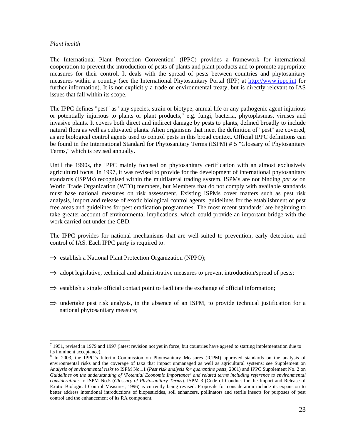#### *Plant health*

 $\overline{a}$ 

The International Plant Protection Convention<sup>7</sup> (IPPC) provides a framework for international cooperation to prevent the introduction of pests of plants and plant products and to promote appropriate measures for their control. It deals with the spread of pests between countries and phytosanitary measures within a country (see the International Phytosanitary Portal (IPP) at http://www.ippc.int for further information). It is not explicitly a trade or environmental treaty, but is directly relevant to IAS issues that fall within its scope.

The IPPC defines "pest" as "any species, strain or biotype, animal life or any pathogenic agent injurious or potentially injurious to plants or plant products," e.g. fungi, bacteria, phytoplasmas, viruses and invasive plants. It covers both direct and indirect damage by pests to plants, defined broadly to include natural flora as well as cultivated plants. Alien organisms that meet the definition of "pest" are covered, as are biological control agents used to control pests in this broad context. Official IPPC definitions can be found in the International Standard for Phytosanitary Terms (ISPM) # 5 "Glossary of Phytosanitary Terms," which is revised annually.

Until the 1990s, the IPPC mainly focused on phytosanitary certification with an almost exclusively agricultural focus. In 1997, it was revised to provide for the development of international phytosanitary standards (ISPMs) recognised within the multilateral trading system. ISPMs are not binding *per se* on World Trade Organization (WTO) members, but Members that do not comply with available standards must base national measures on risk assessment. Existing ISPMs cover matters such as pest risk analysis, import and release of exotic biological control agents, guidelines for the establishment of pest free areas and guidelines for pest eradication programmes. The most recent standards<sup>8</sup> are beginning to take greater account of environmental implications, which could provide an important bridge with the work carried out under the CBD.

The IPPC provides for national mechanisms that are well-suited to prevention, early detection, and control of IAS. Each IPPC party is required to:

- ⇒ establish a National Plant Protection Organization (NPPO);
- ⇒ adopt legislative, technical and administrative measures to prevent introduction/spread of pests;
- ⇒ establish a single official contact point to facilitate the exchange of official information;
- ⇒ undertake pest risk analysis, in the absence of an ISPM, to provide technical justification for a national phytosanitary measure;

 $^7$  1951, revised in 1979 and 1997 (latest revision not yet in force, but countries have agreed to starting implementation due to its imminent acceptance).

<sup>&</sup>lt;sup>8</sup> In 2003, the IPPC's Interim Commission on Phytosanitary Measures (ICPM) approved standards on the analysis of environmental risks and the coverage of taxa that impact unmanaged as well as agricultural systems: see Supplement on *Analysis of environmental risks* to ISPM No.11 (*Pest risk analysis for quarantine pests,* 2001) and IPPC Supplement No. 2 on *Guidelines on the understanding of 'Potential Economic Importance' and related terms including reference to environmental considerations* to ISPM No.5 (*Glossary of Phytosanitary Terms*). ISPM 3 (Code of Conduct for the Import and Release of Exotic Biological Control Measures, 1996) is currently being revised. Proposals for consideration include its expansion to better address intentional introductions of biopesticides, soil enhancers, pollinators and sterile insects for purposes of pest control and the enhancement of its RA component.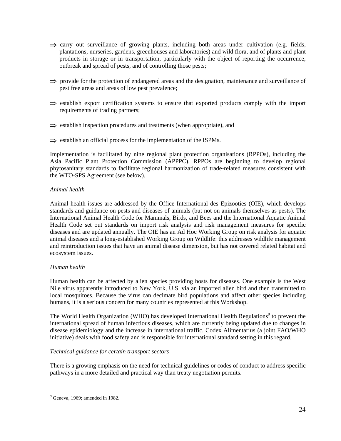- ⇒ carry out surveillance of growing plants, including both areas under cultivation (e.g. fields, plantations, nurseries, gardens, greenhouses and laboratories) and wild flora, and of plants and plant products in storage or in transportation, particularly with the object of reporting the occurrence, outbreak and spread of pests, and of controlling those pests;
- ⇒ provide for the protection of endangered areas and the designation, maintenance and surveillance of pest free areas and areas of low pest prevalence;
- ⇒ establish export certification systems to ensure that exported products comply with the import requirements of trading partners;
- ⇒ establish inspection procedures and treatments (when appropriate), and
- ⇒ establish an official process for the implementation of the ISPMs.

Implementation is facilitated by nine regional plant protection organisations (RPPOs), including the Asia Pacific Plant Protection Commission (APPPC). RPPOs are beginning to develop regional phytosanitary standards to facilitate regional harmonization of trade-related measures consistent with the WTO-SPS Agreement (see below).

#### *Animal health*

Animal health issues are addressed by the Office International des Epizooties (OIE), which develops standards and guidance on pests and diseases of animals (but not on animals themselves as pests). The International Animal Health Code for Mammals, Birds, and Bees and the International Aquatic Animal Health Code set out standards on import risk analysis and risk management measures for specific diseases and are updated annually. The OIE has an Ad Hoc Working Group on risk analysis for aquatic animal diseases and a long-established Working Group on Wildlife: this addresses wildlife management and reintroduction issues that have an animal disease dimension, but has not covered related habitat and ecosystem issues.

#### *Human health*

Human health can be affected by alien species providing hosts for diseases. One example is the West Nile virus apparently introduced to New York, U.S. via an imported alien bird and then transmitted to local mosquitoes. Because the virus can decimate bird populations and affect other species including humans, it is a serious concern for many countries represented at this Workshop.

The World Health Organization (WHO) has developed International Health Regulations<sup>9</sup> to prevent the international spread of human infectious diseases, which are currently being updated due to changes in disease epidemiology and the increase in international traffic. Codex Alimentarius (a joint FAO/WHO initiative) deals with food safety and is responsible for international standard setting in this regard.

#### *Technical guidance for certain transport sectors*

There is a growing emphasis on the need for technical guidelines or codes of conduct to address specific pathways in a more detailed and practical way than treaty negotiation permits.

<sup>&</sup>lt;sup>9</sup> Geneva, 1969; amended in 1982.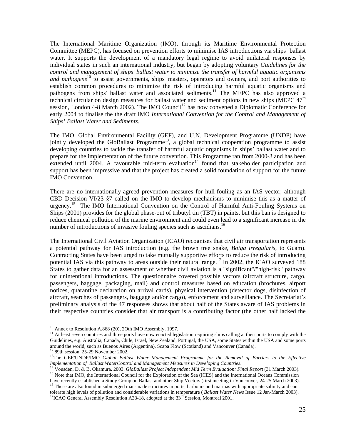The International Maritime Organization (IMO), through its Maritime Environmental Protection Committee (MEPC), has focused on prevention efforts to minimise IAS introductions via ships' ballast water. It supports the development of a mandatory legal regime to avoid unilateral responses by individual states in such an international industry, but began by adopting voluntary *Guidelines for the control and management of ships' ballast water to minimize the transfer of harmful aquatic organisms and pathogens*<sup>10</sup> to assist governments, ships' masters, operators and owners, and port authorities to establish common procedures to minimize the risk of introducing harmful aquatic organisms and pathogens from ships' ballast water and associated sediments.<sup>11</sup> The MEPC has also approved a technical circular on design measures for ballast water and sediment options in new ships (MEPC  $47<sup>th</sup>$ session, London 4-8 March 2002). The IMO Council<sup>12</sup> has now convened a Diplomatic Conference for early 2004 to finalise the the draft IMO *International Convention for the Control and Management of Ships' Ballast Water and Sediments*.

The IMO, Global Environmental Facility (GEF), and U.N. Development Programme (UNDP) have jointly developed the GloBallast Programme<sup>13</sup>, a global technical cooperation programme to assist developing countries to tackle the transfer of harmful aquatic organisms in ships' ballast water and to prepare for the implementation of the future convention. This Programme ran from 2000-3 and has been extended until  $2004$ . A favourable mid-term evaluation<sup>14</sup> found that stakeholder participation and support has been impressive and that the project has created a solid foundation of support for the future IMO Convention.

There are no internationally-agreed prevention measures for hull-fouling as an IAS vector, although CBD Decision VI/23 §7 called on the IMO to develop mechanisms to minimise this as a matter of urgency.<sup>15</sup> The IMO International Convention on the Control of Harmful Anti-Fouling Systems on Ships (2001) provides for the global phase-out of tributyl tin (TBT) in paints, but this ban is designed to reduce chemical pollution of the marine environment and could even lead to a significant increase in the number of introductions of invasive fouling species such as ascidians.<sup>16</sup>

The International Civil Aviation Organization (ICAO) recognises that civil air transportation represents a potential pathway for IAS introduction (e.g. the brown tree snake, *Boiga irregularis*, to Guam). Contracting States have been urged to take mutually supportive efforts to reduce the risk of introducing potential IAS via this pathway to areas outside their natural range.<sup>17</sup> In 2002, the ICAO surveyed 188 States to gather data for an assessment of whether civil aviation is a "significant"/"high-risk" pathway for unintentional introductions. The questionnaire covered possible vectors (aircraft structure, cargo, passengers, baggage, packaging, mail) and control measures based on education (brochures, airport notices, quarantine declaration on arrival cards), physical intervention (detector dogs, disinfection of aircraft, searches of passengers, baggage and/or cargo), enforcement and surveillance. The Secretariat's preliminary analysis of the 47 responses shows that about half of the States aware of IAS problems in their respective countries consider that air transport is a contributing factor (the other half lacked the

<sup>&</sup>lt;sup>10</sup> Annex to Resolution A.868 (20), 2Oth IMO Assembly, 1997.

 $<sup>11</sup>$  At least seven countries and three ports have now enacted legislation requiring ships calling at their ports to comply with the</sup> Guidelines, e.g. Australia, Canada, Chile, Israel, New Zealand, Portugal, the USA, some States within the USA and some ports around the world, such as Buenos Aires (Argentina), Scapa Flow (Scotland) and Vancouver (Canada). 12 89th session, 25-29 November 2002.

<sup>&</sup>lt;sup>13</sup>The GEF/UNDP/IMO *Global Ballast Water Management Programme for the Removal of Barriers to the Effective* Implementation of Ballast WaterControl and Management Measures in Developing Countries.<br><sup>14</sup> Vousden, D. & B. Okamura. 2003. GloBallast Project Independent Mid Term Evaluation: Final Report (31 March 2003).<br><sup>15</sup> Note that

have recently established a Study Group on Ballast and other Ship Vectors (first meeting in Vancouver, 24-25 March 2003).<br><sup>16</sup> These are also found in submerged man-made structures in ports, harbours and marinas with appro

tolerate high levels of pollution and considerable variations in temperature (*Ballast Water News* Issue 12 Jan-March 2003). <sup>17</sup>ICAO General Assembly Resolution A33-18, adopted at the 33<sup>rd</sup> Session, Montreal 2001.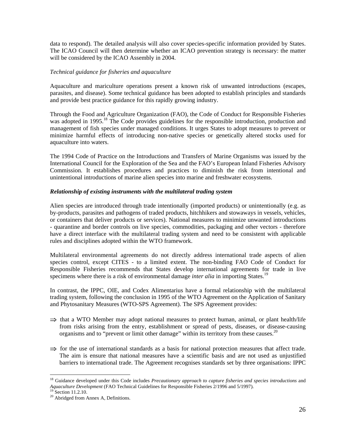data to respond). The detailed analysis will also cover species-specific information provided by States. The ICAO Council will then determine whether an ICAO prevention strategy is necessary: the matter will be considered by the ICAO Assembly in 2004.

#### *Technical guidance for fisheries and aquaculture*

Aquaculture and mariculture operations present a known risk of unwanted introductions (escapes, parasites, and disease). Some technical guidance has been adopted to establish principles and standards and provide best practice guidance for this rapidly growing industry.

Through the Food and Agriculture Organization (FAO), the Code of Conduct for Responsible Fisheries was adopted in 1995.<sup>18</sup> The Code provides guidelines for the responsible introduction, production and management of fish species under managed conditions. It urges States to adopt measures to prevent or minimize harmful effects of introducing non-native species or genetically altered stocks used for aquaculture into waters.

The 1994 Code of Practice on the Introductions and Transfers of Marine Organisms was issued by the International Council for the Exploration of the Sea and the FAO's European Inland Fisheries Advisory Commission. It establishes procedures and practices to diminish the risk from intentional and unintentional introductions of marine alien species into marine and freshwater ecosystems.

#### *Relationship of existing instruments with the multilateral trading system*

Alien species are introduced through trade intentionally (imported products) or unintentionally (e.g. as by-products, parasites and pathogens of traded products, hitchhikers and stowaways in vessels, vehicles, or containers that deliver products or services). National measures to minimize unwanted introductions - quarantine and border controls on live species, commodities, packaging and other vectors - therefore have a direct interface with the multilateral trading system and need to be consistent with applicable rules and disciplines adopted within the WTO framework.

Multilateral environmental agreements do not directly address international trade aspects of alien species control, except CITES - to a limited extent. The non-binding FAO Code of Conduct for Responsible Fisheries recommends that States develop international agreements for trade in live specimens where there is a risk of environmental damage *inter alia* in importing States.<sup>19</sup>

In contrast, the IPPC, OIE, and Codex Alimentarius have a formal relationship with the multilateral trading system, following the conclusion in 1995 of the WTO Agreement on the Application of Sanitary and Phytosanitary Measures (WTO-SPS Agreement). The SPS Agreement provides:

- $\Rightarrow$  that a WTO Member may adopt national measures to protect human, animal, or plant health/life from risks arising from the entry, establishment or spread of pests, diseases, or disease-causing organisms and to "prevent or limit other damage" within its territory from these causes.<sup>20</sup>
- ⇒ for the use of international standards as a basis for national protection measures that affect trade. The aim is ensure that national measures have a scientific basis and are not used as unjustified barriers to international trade. The Agreement recognises standards set by three organisations: IPPC

<sup>&</sup>lt;sup>18</sup> Guidance developed under this Code includes *Precautionary approach to capture fisheries and species introductions* and *Aquaculture Development* (FAO Technical Guidelines for Responsible Fisheries 2/1996 and 5/1997). 19 Section 11.2.10.

<sup>20</sup> Abridged from Annex A, Definitions.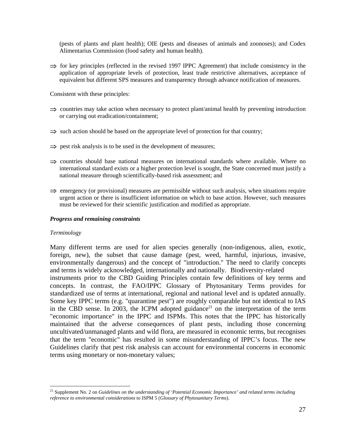(pests of plants and plant health); OIE (pests and diseases of animals and zoonoses); and Codex Alimentarius Commission (food safety and human health).

 $\Rightarrow$  for key principles (reflected in the revised 1997 IPPC Agreement) that include consistency in the application of appropriate levels of protection, least trade restrictive alternatives, acceptance of equivalent but different SPS measures and transparency through advance notification of measures.

Consistent with these principles:

- $\Rightarrow$  countries may take action when necessary to protect plant/animal health by preventing introduction or carrying out eradication/containment;
- ⇒ such action should be based on the appropriate level of protection for that country;
- $\Rightarrow$  pest risk analysis is to be used in the development of measures;
- $\Rightarrow$  countries should base national measures on international standards where available. Where no international standard exists or a higher protection level is sought, the State concerned must justify a national measure through scientifically-based risk assessment; and
- $\Rightarrow$  emergency (or provisional) measures are permissible without such analysis, when situations require urgent action or there is insufficient information on which to base action. However, such measures must be reviewed for their scientific justification and modified as appropriate.

#### *Progress and remaining constraints*

#### *Terminology*

 $\overline{a}$ 

Many different terms are used for alien species generally (non-indigenous, alien, exotic, foreign, new), the subset that cause damage (pest, weed, harmful, injurious, invasive, environmentally dangerous) and the concept of "introduction." The need to clarify concepts and terms is widely acknowledged, internationally and nationally. Biodiversity-related instruments prior to the CBD Guiding Principles contain few definitions of key terms and concepts. In contrast, the FAO/IPPC Glossary of Phytosanitary Terms provides for standardized use of terms at international, regional and national level and is updated annually. Some key IPPC terms (e.g. "quarantine pest") are roughly comparable but not identical to IAS in the CBD sense. In 2003, the ICPM adopted guidance<sup>21</sup> on the interpretation of the term "economic importance" in the IPPC and ISPMs. This notes that the IPPC has historically maintained that the adverse consequences of plant pests, including those concerning uncultivated/unmanaged plants and wild flora, are measured in economic terms, but recognises that the term "economic" has resulted in some misunderstanding of IPPC's focus. The new Guidelines clarify that pest risk analysis can account for environmental concerns in economic terms using monetary or non-monetary values;

<sup>21</sup> Supplement No. 2 on *Guidelines on the understanding of 'Potential Economic Importance' and related terms including reference to environmental considerations* to ISPM 5 (*Glossary of Phytosanitary Terms*).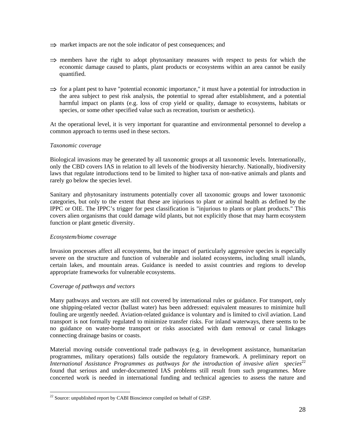- ⇒ market impacts are not the sole indicator of pest consequences; and
- $\Rightarrow$  members have the right to adopt phytosanitary measures with respect to pests for which the economic damage caused to plants, plant products or ecosystems within an area cannot be easily quantified.
- ⇒ for a plant pest to have "potential economic importance," it must have a potential for introduction in the area subject to pest risk analysis, the potential to spread after establishment, and a potential harmful impact on plants (e.g. loss of crop yield or quality, damage to ecosystems, habitats or species, or some other specified value such as recreation, tourism or aesthetics).

At the operational level, it is very important for quarantine and environmental personnel to develop a common approach to terms used in these sectors.

#### *Taxonomic coverage*

Biological invasions may be generated by all taxonomic groups at all taxonomic levels. Internationally, only the CBD covers IAS in relation to all levels of the biodiversity hierarchy. Nationally, biodiversity laws that regulate introductions tend to be limited to higher taxa of non-native animals and plants and rarely go below the species level.

Sanitary and phytosanitary instruments potentially cover all taxonomic groups and lower taxonomic categories, but only to the extent that these are injurious to plant or animal health as defined by the IPPC or OIE. The IPPC's trigger for pest classification is "injurious to plants or plant products." This covers alien organisms that could damage wild plants, but not explicitly those that may harm ecosystem function or plant genetic diversity.

#### *Ecosystem/biome coverage*

Invasion processes affect all ecosystems, but the impact of particularly aggressive species is especially severe on the structure and function of vulnerable and isolated ecosystems, including small islands, certain lakes, and mountain areas. Guidance is needed to assist countries and regions to develop appropriate frameworks for vulnerable ecosystems.

#### *Coverage of pathways and vectors*

Many pathways and vectors are still not covered by international rules or guidance. For transport, only one shipping-related vector (ballast water) has been addressed: equivalent measures to minimize hull fouling are urgently needed. Aviation-related guidance is voluntary and is limited to civil aviation. Land transport is not formally regulated to minimize transfer risks. For inland waterways, there seems to be no guidance on water-borne transport or risks associated with dam removal or canal linkages connecting drainage basins or coasts.

Material moving outside conventional trade pathways (e.g. in development assistance, humanitarian programmes, military operations) falls outside the regulatory framework. A preliminary report on *International Assistance Programmes as pathways for the introduction of invasive alien species*<sup>22</sup> found that serious and under-documented IAS problems still result from such programmes. More concerted work is needed in international funding and technical agencies to assess the nature and

 $\overline{a}$  $22$  Source: unpublished report by CABI Bioscience compiled on behalf of GISP.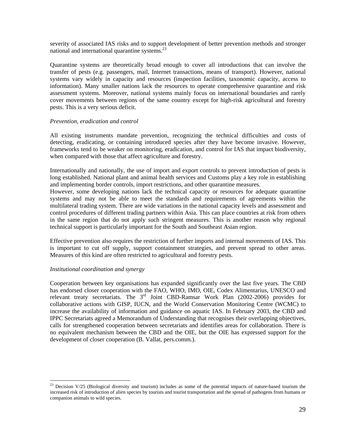severity of associated IAS risks and to support development of better prevention methods and stronger national and international quarantine systems. $^{23}$ 

Quarantine systems are theoretically broad enough to cover all introductions that can involve the transfer of pests (e.g. passengers, mail, Internet transactions, means of transport). However, national systems vary widely in capacity and resources (inspection facilities, taxonomic capacity, access to information). Many smaller nations lack the resources to operate comprehensive quarantine and risk assessment systems. Moreover, national systems mainly focus on international boundaries and rarely cover movements between regions of the same country except for high-risk agricultural and forestry pests. This is a very serious deficit.

#### *Prevention, eradication and control*

All existing instruments mandate prevention, recognizing the technical difficulties and costs of detecting, eradicating, or containing introduced species after they have become invasive. However, frameworks tend to be weaker on monitoring, eradication, and control for IAS that impact biodiversity, when compared with those that affect agriculture and forestry.

Internationally and nationally, the use of import and export controls to prevent introduction of pests is long established. National plant and animal health services and Customs play a key role in establishing and implementing border controls, import restrictions, and other quarantine measures.

However, some developing nations lack the technical capacity or resources for adequate quarantine systems and may not be able to meet the standards and requirements of agreements within the multilateral trading system. There are wide variations in the national capacity levels and assessment and control procedures of different trading partners within Asia. This can place countries at risk from others in the same region that do not apply such stringent measures. This is another reason why regional technical support is particularly important for the South and Southeast Asian region.

Effective prevention also requires the restriction of further imports and internal movements of IAS. This is important to cut off supply, support containment strategies, and prevent spread to other areas. Measures of this kind are often restricted to agricultural and forestry pests.

#### *Institutional coordination and synergy*

 $\overline{a}$ 

Cooperation between key organisations has expanded significantly over the last five years. The CBD has endorsed closer cooperation with the FAO, WHO, IMO, OIE, Codex Alimentarius, UNESCO and relevant treaty secretariats. The 3<sup>rd</sup> Joint CBD-Ramsar Work Plan (2002-2006) provides for collaborative actions with GISP, IUCN, and the World Conservation Monitoring Centre (WCMC) to increase the availability of information and guidance on aquatic IAS. In February 2003, the CBD and IPPC Secretariats agreed a Memorandum of Understanding that recognises their overlapping objectives, calls for strengthened cooperation between secretariats and identifies areas for collaboration. There is no equivalent mechanism between the CBD and the OIE, but the OIE has expressed support for the development of closer cooperation (B. Vallat, pers.comm.).

<sup>&</sup>lt;sup>23</sup> Decision V/25 (Biological diversity and tourism) includes as some of the potential impacts of nature-based tourism the increased risk of introduction of alien species by tourists and tourist transportation and the spread of pathogens from humans or companion animals to wild species.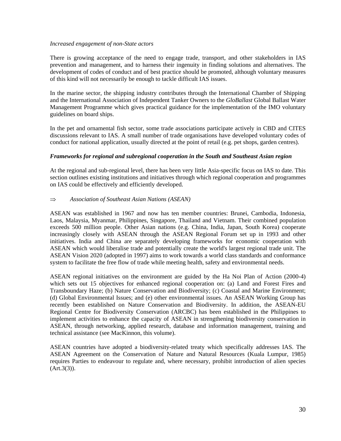#### *Increased engagement of non-State actors*

There is growing acceptance of the need to engage trade, transport, and other stakeholders in IAS prevention and management, and to harness their ingenuity in finding solutions and alternatives. The development of codes of conduct and of best practice should be promoted, although voluntary measures of this kind will not necessarily be enough to tackle difficult IAS issues.

In the marine sector, the shipping industry contributes through the International Chamber of Shipping and the International Association of Independent Tanker Owners to the *GloBallast* Global Ballast Water Management Programme which gives practical guidance for the implementation of the IMO voluntary guidelines on board ships.

In the pet and ornamental fish sector, some trade associations participate actively in CBD and CITES discussions relevant to IAS. A small number of trade organisations have developed voluntary codes of conduct for national application, usually directed at the point of retail (e.g. pet shops, garden centres).

#### *Frameworks for regional and subregional cooperation in the South and Southeast Asian region*

At the regional and sub-regional level, there has been very little Asia-specific focus on IAS to date. This section outlines existing institutions and initiatives through which regional cooperation and programmes on IAS could be effectively and efficiently developed.

#### ⇒ *Association of Southeast Asian Nations (ASEAN)*

ASEAN was established in 1967 and now has ten member countries: Brunei, Cambodia, Indonesia, Laos, Malaysia, Myanmar, Philippines, Singapore, Thailand and Vietnam. Their combined population exceeds 500 million people. Other Asian nations (e.g. China, India, Japan, South Korea) cooperate increasingly closely with ASEAN through the ASEAN Regional Forum set up in 1993 and other initiatives. India and China are separately developing frameworks for economic cooperation with ASEAN which would liberalise trade and potentially create the world's largest regional trade unit. The ASEAN Vision 2020 (adopted in 1997) aims to work towards a world class standards and conformance system to facilitate the free flow of trade while meeting health, safety and environmental needs.

ASEAN regional initiatives on the environment are guided by the Ha Noi Plan of Action (2000-4) which sets out 15 objectives for enhanced regional cooperation on: (a) Land and Forest Fires and Transboundary Haze; (b) Nature Conservation and Biodiversity; (c) Coastal and Marine Environment; (d) Global Environmental Issues; and (e) other environmental issues. An ASEAN Working Group has recently been established on Nature Conservation and Biodiversity. In addition, the ASEAN-EU Regional Centre for Biodiversity Conservation (ARCBC) has been established in the Philippines to implement activities to enhance the capacity of ASEAN in strengthening biodiversity conservation in ASEAN, through networking, applied research, database and information management, training and technical assistance (see MacKinnon, this volume).

ASEAN countries have adopted a biodiversity-related treaty which specifically addresses IAS. The ASEAN Agreement on the Conservation of Nature and Natural Resources (Kuala Lumpur, 1985) requires Parties to endeavour to regulate and, where necessary, prohibit introduction of alien species  $(Art.3(3)).$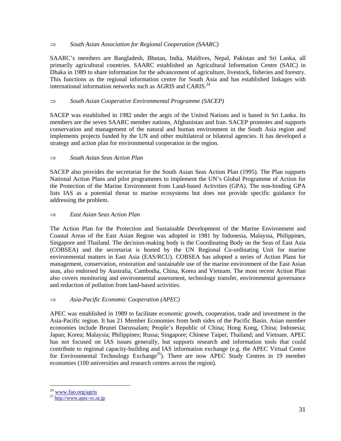#### ⇒ *South Asian Association for Regional Cooperation (SAARC)*

SAARC's members are Bangladesh, Bhutan, India, Maldives, Nepal, Pakistan and Sri Lanka, all primarily agricultural countries. SAARC established an Agricultural Information Centre (SAIC) in Dhaka in 1989 to share information for the advancement of agriculture, livestock, fisheries and forestry. This functions as the regional information centre for South Asia and has established linkages with international information networks such as AGRIS and CARIS.<sup>24</sup>

### ⇒ *South Asian Cooperative Environmental Programme (SACEP)*

SACEP was established in 1982 under the aegis of the United Nations and is based in Sri Lanka. Its members are the seven SAARC member nations, Afghanistan and Iran. SACEP promotes and supports conservation and management of the natural and human environment in the South Asia region and implements projects funded by the UN and other multilateral or bilateral agencies. It has developed a strategy and action plan for environmental cooperation in the region.

#### ⇒ *South Asian Seas Action Plan*

SACEP also provides the secretariat for the South Asian Seas Action Plan (1995). The Plan supports National Action Plans and pilot programmes to implement the UN's Global Programme of Action for the Protection of the Marine Environment from Land-based Activities (GPA). The non-binding GPA lists IAS as a potential threat to marine ecosystems but does not provide specific guidance for addressing the problem.

#### ⇒ *East Asian Seas Action Plan*

The Action Plan for the Protection and Sustainable Development of the Marine Environment and Coastal Areas of the East Asian Region was adopted in 1981 by Indonesia, Malaysia, Philippines, Singapore and Thailand. The decision-making body is the Coordinating Body on the Seas of East Asia (COBSEA) and the secretariat is hosted by the UN Regional Co-ordinating Unit for marine environmental matters in East Asia (EAS/RCU). COBSEA has adopted a series of Action Plans for management, conservation, restoration and sustainable use of the marine environment of the East Asian seas, also endorsed by Australia, Cambodia, China, Korea and Vietnam. The most recent Action Plan also covers monitoring and environmental assessment, technology transfer, environmental governance and reduction of pollution from land-based activities.

#### ⇒ *Asia-Pacific Economic Cooperation (APEC)*

APEC was established in 1989 to facilitate economic growth, cooperation, trade and investment in the Asia-Pacific region. It has 21 Member Economies from both sides of the Pacific Basin. Asian member economies include Brunei Darussalam; People's Republic of China; Hong Kong, China; Indonesia; Japan; Korea; Malaysia; Philippines; Russa; Singapore; Chinese Taipei; Thailand; and Vietnam. APEC has not focused on IAS issues generally, but supports research and information tools that could contribute to regional capacity-building and IAS information exchange (e.g. the APEC Virtual Centre for Environmental Technology Exchange<sup>25</sup>). There are now APEC Study Centres in 19 member economies (100 universities and research centres across the region).

<sup>&</sup>lt;sup>24</sup> www.fao.org/agris

 $^{25}$  http://www.apec-vc.or.jp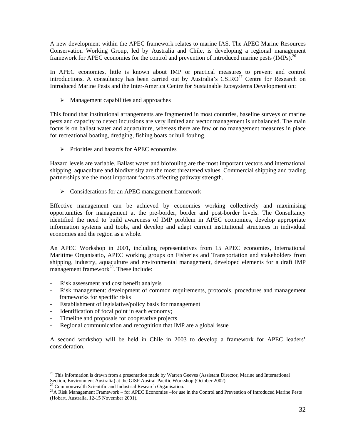A new development within the APEC framework relates to marine IAS. The APEC Marine Resources Conservation Working Group, led by Australia and Chile, is developing a regional management framework for APEC economies for the control and prevention of introduced marine pests (IMPs).<sup>26</sup>

In APEC economies, little is known about IMP or practical measures to prevent and control introductions. A consultancy has been carried out by Australia's  $CSIRO^{27}$  Centre for Research on Introduced Marine Pests and the Inter-America Centre for Sustainable Ecosystems Development on:

 $\triangleright$  Management capabilities and approaches

This found that institutional arrangements are fragmented in most countries, baseline surveys of marine pests and capacity to detect incursions are very limited and vector management is unbalanced. The main focus is on ballast water and aquaculture, whereas there are few or no management measures in place for recreational boating, dredging, fishing boats or hull fouling.

 $\triangleright$  Priorities and hazards for APEC economies

Hazard levels are variable. Ballast water and biofouling are the most important vectors and international shipping, aquaculture and biodiversity are the most threatened values. Commercial shipping and trading partnerships are the most important factors affecting pathway strength.

> Considerations for an APEC management framework

Effective management can be achieved by economies working collectively and maximising opportunities for management at the pre-border, border and post-border levels. The Consultancy identified the need to build awareness of IMP problem in APEC economies, develop appropriate information systems and tools, and develop and adapt current institutional structures in individual economies and the region as a whole.

An APEC Workshop in 2001, including representatives from 15 APEC economies, International Maritime Organisatio, APEC working groups on Fisheries and Transportation and stakeholders from shipping, industry, aquaculture and environmental management, developed elements for a draft IMP management framework $^{28}$ . These include:

- Risk assessment and cost benefit analysis
- Risk management: development of common requirements, protocols, procedures and management frameworks for specific risks
- Establishment of legislative/policy basis for management
- Identification of focal point in each economy;
- Timeline and proposals for cooperative projects
- Regional communication and recognition that IMP are a global issue

A second workshop will be held in Chile in 2003 to develop a framework for APEC leaders' consideration.

<sup>&</sup>lt;sup>26</sup> This information is drawn from a presentation made by Warren Geeves (Assistant Director, Marine and International Section, Environment Australia) at the GISP Austral-Pacific Workshop (October 2002).<br><sup>27</sup> Commonwealth Scientific and Industrial Research Organisation.<br><sup>28</sup> A Risk Management Framework – for APEC Economies – for use in th

<sup>(</sup>Hobart, Australia, 12-15 November 2001).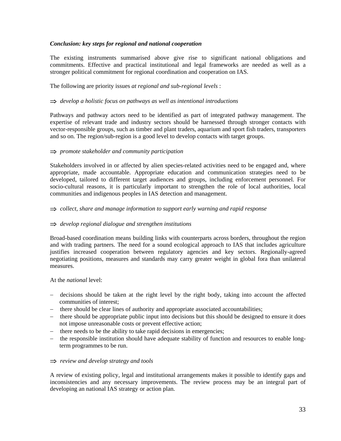#### *Conclusion: key steps for regional and national cooperation*

The existing instruments summarised above give rise to significant national obligations and commitments. Effective and practical institutional and legal frameworks are needed as well as a stronger political commitment for regional coordination and cooperation on IAS.

The following are priority issues *at regional and sub-regional levels* :

#### ⇒ *develop a holistic focus on pathways as well as intentional introductions*

Pathways and pathway actors need to be identified as part of integrated pathway management. The expertise of relevant trade and industry sectors should be harnessed through stronger contacts with vector-responsible groups, such as timber and plant traders, aquarium and sport fish traders, transporters and so on. The region/sub-region is a good level to develop contacts with target groups.

#### ⇒ *promote stakeholder and community participation*

Stakeholders involved in or affected by alien species-related activities need to be engaged and, where appropriate, made accountable. Appropriate education and communication strategies need to be developed, tailored to different target audiences and groups, including enforcement personnel. For socio-cultural reasons, it is particularly important to strengthen the role of local authorities, local communities and indigenous peoples in IAS detection and management.

⇒ *collect, share and manage information to support early warning and rapid response* 

#### ⇒ *develop regional dialogue and strengthen institutions*

Broad-based coordination means building links with counterparts across borders, throughout the region and with trading partners. The need for a sound ecological approach to IAS that includes agriculture justifies increased cooperation between regulatory agencies and key sectors. Regionally-agreed negotiating positions, measures and standards may carry greater weight in global fora than unilateral measures.

At the *national* level:

- − decisions should be taken at the right level by the right body, taking into account the affected communities of interest;
- − there should be clear lines of authority and appropriate associated accountabilities;
- − there should be appropriate public input into decisions but this should be designed to ensure it does not impose unreasonable costs or prevent effective action;
- − there needs to be the ability to take rapid decisions in emergencies;
- − the responsible institution should have adequate stability of function and resources to enable longterm programmes to be run.

#### ⇒ *review and develop strategy and tools*

A review of existing policy, legal and institutional arrangements makes it possible to identify gaps and inconsistencies and any necessary improvements. The review process may be an integral part of developing an national IAS strategy or action plan.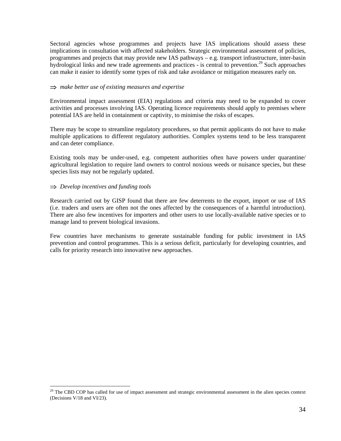Sectoral agencies whose programmes and projects have IAS implications should assess these implications in consultation with affected stakeholders. Strategic environmental assessment of policies, programmes and projects that may provide new IAS pathways – e.g. transport infrastructure, inter-basin hydrological links and new trade agreements and practices - is central to prevention.<sup>29</sup> Such approaches can make it easier to identify some types of risk and take avoidance or mitigation measures early on.

#### ⇒ *make better use of existing measures and expertise*

Environmental impact assessment (EIA) regulations and criteria may need to be expanded to cover activities and processes involving IAS. Operating licence requirements should apply to premises where potential IAS are held in containment or captivity, to minimise the risks of escapes.

There may be scope to streamline regulatory procedures, so that permit applicants do not have to make multiple applications to different regulatory authorities. Complex systems tend to be less transparent and can deter compliance.

Existing tools may be under-used, e.g. competent authorities often have powers under quarantine/ agricultural legislation to require land owners to control noxious weeds or nuisance species, but these species lists may not be regularly updated.

#### ⇒ *Develop incentives and funding tools*

 $\overline{a}$ 

Research carried out by GISP found that there are few deterrents to the export, import or use of IAS (i.e. traders and users are often not the ones affected by the consequences of a harmful introduction). There are also few incentives for importers and other users to use locally-available native species or to manage land to prevent biological invasions.

Few countries have mechanisms to generate sustainable funding for public investment in IAS prevention and control programmes. This is a serious deficit, particularly for developing countries, and calls for priority research into innovative new approaches.

 $29$  The CBD COP has called for use of impact assessment and strategic environmental assessment in the alien species context (Decisions V/18 and VI/23).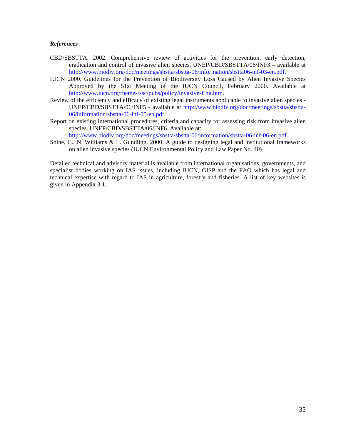#### *References*

- CBD/SBSTTA. 2002. Comprehensive review of activities for the prevention, early detection, eradication and control of invasive alien species. UNEP/CBD/SBSTTA/06/INF3 – available at http://www.biodiv.org/doc/meetings/sbstta/sbstta-06/information/sbstta06-inf-03-en.pdf.
- IUCN 2000. Guidelines for the Prevention of Biodiversity Loss Caused by Alien Invasive Species Approved by the 51st Meeting of the IUCN Council, February 2000. Available at http://www.iucn.org/themes/ssc/pubs/policy/invasivesEng.htm.
- Review of the efficiency and efficacy of existing legal instruments applicable to invasive alien species UNEP/CBD/SBSTTA/06/INF5 - available at http://www.biodiv.org/doc/meetings/sbstta/sbstta-06/information/sbstta-06-inf-05-en.pdf.
- Report on existing international procedures, criteria and capacity for assessing risk from invasive alien species. UNEP/CBD/SBSTTA/06/INF6. Available at:

http://www.biodiv.org/doc/meetings/sbstta/sbstta-06/information/sbstta-06-inf-06-en.pdf.

Shine, C., N. Williams & L. Gundling. 2000. A guide to designing legal and institutional frameworks on alien invasive species (IUCN Environmental Policy and Law Paper No. 40)

Detailed technical and advisory material is available from international organisations, governments, and specialist bodies working on IAS issues, including IUCN, GISP and the FAO which has legal and technical expertise with regard to IAS in agriculture, forestry and fisheries. A list of key websites is given in Appendix 3.1.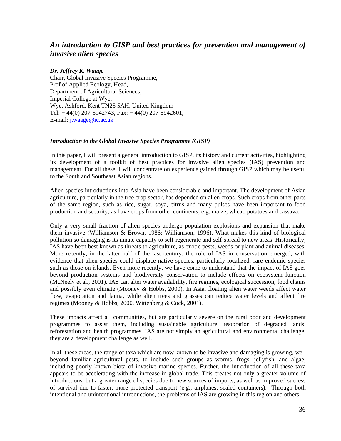## *An introduction to GISP and best practices for prevention and management of invasive alien species*

#### *Dr. Jeffrey K. Waage*

Chair, Global Invasive Species Programme, Prof of Applied Ecology, Head, Department of Agricultural Sciences, Imperial College at Wye, Wye, Ashford, Kent TN25 5AH, United Kingdom Tel:  $+44(0)$  207-5942743, Fax:  $+44(0)$  207-5942601, E-mail: j.waage@ic.ac.uk

#### *Introduction to the Global Invasive Species Programme (GISP)*

In this paper, I will present a general introduction to GISP, its history and current activities, highlighting its development of a toolkit of best practices for invasive alien species (IAS) prevention and management. For all these, I will concentrate on experience gained through GISP which may be useful to the South and Southeast Asian regions.

Alien species introductions into Asia have been considerable and important. The development of Asian agriculture, particularly in the tree crop sector, has depended on alien crops. Such crops from other parts of the same region, such as rice, sugar, soya, citrus and many pulses have been important to food production and security, as have crops from other continents, e.g. maize, wheat, potatoes and cassava.

Only a very small fraction of alien species undergo population explosions and expansion that make them invasive (Williamson & Brown, 1986; Williamson, 1996). What makes this kind of biological pollution so damaging is its innate capacity to self-regenerate and self-spread to new areas. Historically, IAS have been best known as threats to agriculture, as exotic pests, weeds or plant and animal diseases. More recently, in the latter half of the last century, the role of IAS in conservation emerged, with evidence that alien species could displace native species, particularly localized, rare endemic species such as those on islands. Even more recently, we have come to understand that the impact of IAS goes beyond production systems and biodiversity conservation to include effects on ecosystem function (McNeely et al., 2001). IAS can alter water availability, fire regimes, ecological succession, food chains and possibly even climate (Mooney & Hobbs, 2000). In Asia, floating alien water weeds affect water flow, evaporation and fauna, while alien trees and grasses can reduce water levels and affect fire regimes (Mooney & Hobbs, 2000, Wittenberg & Cock, 2001).

These impacts affect all communities, but are particularly severe on the rural poor and development programmes to assist them, including sustainable agriculture, restoration of degraded lands, reforestation and health programmes. IAS are not simply an agricultural and environmental challenge, they are a development challenge as well.

In all these areas, the range of taxa which are now known to be invasive and damaging is growing, well beyond familiar agricultural pests, to include such groups as worms, frogs, jellyfish, and algae, including poorly known biota of invasive marine species. Further, the introduction of all these taxa appears to be accelerating with the increase in global trade. This creates not only a greater volume of introductions, but a greater range of species due to new sources of imports, as well as improved success of survival due to faster, more protected transport (e.g., airplanes, sealed containers). Through both intentional and unintentional introductions, the problems of IAS are growing in this region and others.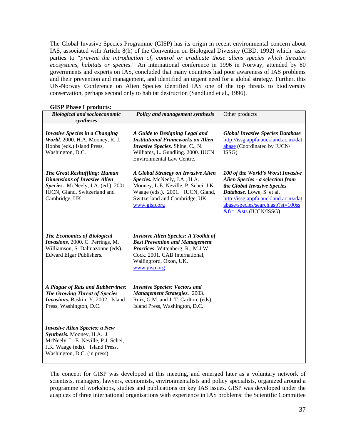The Global Invasive Species Programme (GISP) has its origin in recent environmental concern about IAS, associated with Article 8(h) of the Convention on Biological Diversity (CBD, 1992) which asks parties to "*prevent the introduction of, control or eradicate those aliens species which threaten ecosystems, habitats or species.*" An international conference in 1996 in Norway, attended by 80 governments and experts on IAS, concluded that many countries had poor awareness of IAS problems and their prevention and management, and identified an urgent need for a global strategy. Further, this UN-Norway Conference on Alien Species identified IAS one of the top threats to biodiversity conservation, perhaps second only to habitat destruction (Sandlund et al., 1996).

## **GISP Phase I products:**

| OIDI THASCI PLUUUG.<br><b>Biological and socioeconomic</b><br>syntheses                                                                                                      | Policy and management synthesis                                                                                                                                                                       | Other products                                                                                                                                                                                                                                 |
|------------------------------------------------------------------------------------------------------------------------------------------------------------------------------|-------------------------------------------------------------------------------------------------------------------------------------------------------------------------------------------------------|------------------------------------------------------------------------------------------------------------------------------------------------------------------------------------------------------------------------------------------------|
| <b>Invasive Species in a Changing</b><br>World. 2000. H.A. Mooney, R. J.<br>Hobbs (eds.) Island Press,<br>Washington, D.C.                                                   | A Guide to Designing Legal and<br><b>Institutional Frameworks on Alien</b><br>Invasive Species. Shine, C., N.<br>Williams, L. Gundling. 2000. IUCN<br><b>Environmental Law Centre.</b>                | <b>Global Invasive Species Database</b><br>http://issg.appfa.auckland.ac.nz/dat<br>abase (Coordinated by IUCN/<br>ISSG)                                                                                                                        |
| <b>The Great Reshuffling: Human</b><br><b>Dimensions of Invasive Alien</b><br>Species. McNeely, J.A. (ed.). 2001.<br>IUCN, Gland, Switzerland and<br>Cambridge, UK.          | A Global Strategy on Invasive Alien<br>Species. McNeely, J.A., H.A.<br>Mooney, L.E. Neville, P. Schei, J.K.<br>Waage (eds.). 2001. IUCN, Gland,<br>Switzerland and Cambridge, UK.<br>www.gisp.org     | 100 of the World's Worst Invasive<br>Alien Species - a selection from<br>the Global Invasive Species<br>Database. Lowe, S. et al.<br>http://issg.appfa.auckland.ac.nz/dat<br>abase/species/search.asp?st=100ss<br>$&$ fr=1 $&$ sts (IUCN/ISSG) |
| <b>The Economics of Biological</b><br>Invasions. 2000. C. Perrings, M.<br>Williamson, S. Dalmazonne (eds).<br>Edward Elgar Publishers.                                       | <b>Invasive Alien Species: A Toolkit of</b><br><b>Best Prevention and Management</b><br>Practices. Wittenberg, R., M.J.W.<br>Cock. 2001. CAB International,<br>Wallingford, Oxon, UK.<br>www.gisp.org |                                                                                                                                                                                                                                                |
| A Plague of Rats and Rubbervines:<br><b>The Growing Threat of Species</b><br>Invasions. Baskin, Y. 2002. Island<br>Press, Washington, D.C.                                   | <b>Invasive Species: Vectors and</b><br>Management Strategies. 2003.<br>Ruiz, G.M. and J. T. Carlton, (eds).<br>Island Press, Washington, D.C.                                                        |                                                                                                                                                                                                                                                |
| <b>Invasive Alien Species: a New</b><br>Synthesis. Mooney, H.A., J.<br>McNeely, L. E. Neville, P.J. Schei,<br>J.K. Waage (eds). Island Press,<br>Washington, D.C. (in press) |                                                                                                                                                                                                       |                                                                                                                                                                                                                                                |

The concept for GISP was developed at this meeting, and emerged later as a voluntary network of scientists, managers, lawyers, economists, environmentalists and policy specialists, organized around a programme of workshops, studies and publications on key IAS issues. GISP was developed under the auspices of three international organisations with experience in IAS problems: the Scientific Committee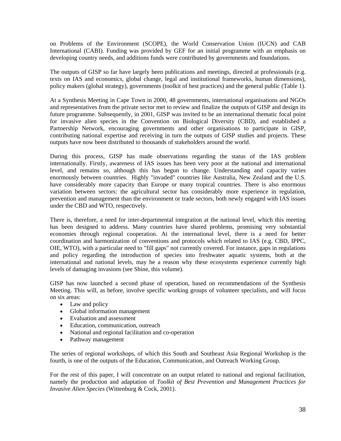on Problems of the Environment (SCOPE), the World Conservation Union (IUCN) and CAB International (CABI). Funding was provided by GEF for an initial programme with an emphasis on developing country needs, and additions funds were contributed by governments and foundations.

The outputs of GISP so far have largely been publications and meetings, directed at professionals (e.g. texts on IAS and economics, global change, legal and institutional frameworks, human dimensions), policy makers (global strategy), governments (toolkit of best practices) and the general public (Table 1).

At a Synthesis Meeting in Cape Town in 2000, 48 governments, international organisations and NGOs and representatives from the private sector met to review and finalize the outputs of GISP and design its future programme. Subsequently, in 2001, GISP was invited to be an international thematic focal point for invasive alien species in the Convention on Biological Diversity (CBD), and established a Partnership Network, encouraging governments and other organisations to participate in GISP, contributing national expertise and receiving in turn the outputs of GISP studies and projects. These outputs have now been distributed to thousands of stakeholders around the world.

During this process, GISP has made observations regarding the status of the IAS problem internationally. Firstly, awareness of IAS issues has been very poor at the national and international level, and remains so, although this has begun to change. Understanding and capacity varies enormously between countries. Highly "invaded" countries like Australia, New Zealand and the U.S. have considerably more capacity than Europe or many tropical countries. There is also enormous variation between sectors: the agricultural sector has considerably more experience in regulation, prevention and management than the environment or trade sectors, both newly engaged with IAS issues under the CBD and WTO, respectively.

There is, therefore, a need for inter-departmental integration at the national level, which this meeting has been designed to address. Many countries have shared problems, promising very substantial economies through regional cooperation. At the international level, there is a need for better coordination and harmonization of conventions and protocols which related to IAS (e.g. CBD, IPPC, OIE, WTO), with a particular need to "fill gaps" not currently covered. For instance, gaps in regulations and policy regarding the introduction of species into freshwater aquatic systems, both at the international and national levels, may be a reason why these ecosystems experience currently high levels of damaging invasions (see Shine, this volume).

GISP has now launched a second phase of operation, based on recommendations of the Synthesis Meeting. This will, as before, involve specific working groups of volunteer specialists, and will focus on six areas:

- Law and policy
- Global information management
- Evaluation and assessment
- Education, communication, outreach
- National and regional facilitation and co-operation
- Pathway management

The series of regional workshops, of which this South and Southeast Asia Regional Workshop is the fourth, is one of the outputs of the Education, Communication, and Outreach Working Group.

For the rest of this paper, I will concentrate on an output related to national and regional facilitation, namely the production and adaptation of *Toolkit of Best Prevention and Management Practices for Invasive Alien Species* (Wittenburg & Cock, 2001).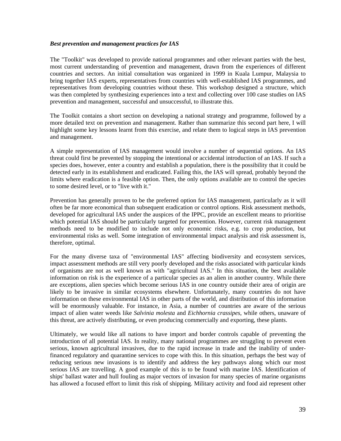#### *Best prevention and management practices for IAS*

The "Toolkit" was developed to provide national programmes and other relevant parties with the best, most current understanding of prevention and management, drawn from the experiences of different countries and sectors. An initial consultation was organized in 1999 in Kuala Lumpur, Malaysia to bring together IAS experts, representatives from countries with well-established IAS programmes, and representatives from developing countries without these. This workshop designed a structure, which was then completed by synthesizing experiences into a text and collecting over 100 case studies on IAS prevention and management, successful and unsuccessful, to illustrate this.

The Toolkit contains a short section on developing a national strategy and programme, followed by a more detailed text on prevention and management. Rather than summarize this second part here, I will highlight some key lessons learnt from this exercise, and relate them to logical steps in IAS prevention and management.

A simple representation of IAS management would involve a number of sequential options. An IAS threat could first be prevented by stopping the intentional or accidental introduction of an IAS. If such a species does, however, enter a country and establish a population, there is the possibility that it could be detected early in its establishment and eradicated. Failing this, the IAS will spread, probably beyond the limits where eradication is a feasible option. Then, the only options available are to control the species to some desired level, or to "live with it."

Prevention has generally proven to be the preferred option for IAS management, particularly as it will often be far more economical than subsequent eradication or control options. Risk assessment methods, developed for agricultural IAS under the auspices of the IPPC, provide an excellent means to prioritise which potential IAS should be particularly targeted for prevention. However, current risk management methods need to be modified to include not only economic risks, e.g. to crop production, but environmental risks as well. Some integration of environmental impact analysis and risk assessment is, therefore, optimal.

For the many diverse taxa of "environmental IAS" affecting biodiversity and ecosystem services, impact assessment methods are still very poorly developed and the risks associated with particular kinds of organisms are not as well known as with "agricultural IAS." In this situation, the best available information on risk is the experience of a particular species as an alien in another country. While there are exceptions, alien species which become serious IAS in one country outside their area of origin are likely to be invasive in similar ecosystems elsewhere. Unfortunately, many countries do not have information on these environmental IAS in other parts of the world, and distribution of this information will be enormously valuable. For instance, in Asia, a number of countries are aware of the serious impact of alien water weeds like *Salvinia molesta* and *Eichhornia crassipes*, while others, unaware of this threat, are actively distributing, or even producing commercially and exporting, these plants.

Ultimately, we would like all nations to have import and border controls capable of preventing the introduction of all potential IAS. In reality, many national programmes are struggling to prevent even serious, known agricultural invasives, due to the rapid increase in trade and the inability of underfinanced regulatory and quarantine services to cope with this. In this situation, perhaps the best way of reducing serious new invasions is to identify and address the key pathways along which our most serious IAS are travelling. A good example of this is to be found with marine IAS. Identification of ships' ballast water and hull fouling as major vectors of invasion for many species of marine organisms has allowed a focused effort to limit this risk of shipping. Military activity and food aid represent other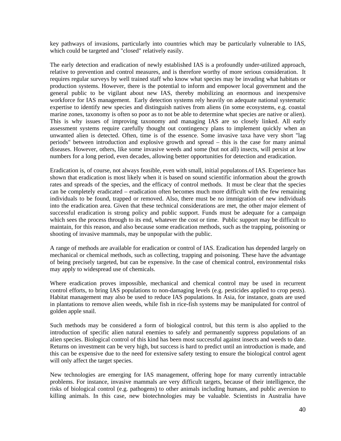key pathways of invasions, particularly into countries which may be particularly vulnerable to IAS, which could be targeted and "closed" relatively easily.

The early detection and eradication of newly established IAS is a profoundly under-utilized approach, relative to prevention and control measures, and is therefore worthy of more serious consideration. It requires regular surveys by well trained staff who know what species may be invading what habitats or production systems. However, there is the potential to inform and empower local government and the general public to be vigilant about new IAS, thereby mobilizing an enormous and inexpensive workforce for IAS management. Early detection systems rely heavily on adequate national systematic expertise to identify new species and distinguish natives from aliens (in some ecosystems, e.g. coastal marine zones, taxonomy is often so poor as to not be able to determine what species are native or alien). This is why issues of improving taxonomy and managing IAS are so closely linked. All early assessment systems require carefully thought out contingency plans to implement quickly when an unwanted alien is detected. Often, time is of the essence. Some invasive taxa have very short "lag periods" between introduction and explosive growth and spread – this is the case for many animal diseases. However, others, like some invasive weeds and some (but not all) insects, will persist at low numbers for a long period, even decades, allowing better opportunities for detection and eradication.

Eradication is, of course, not always feasible, even with small, initial populatons.of IAS. Experience has shown that eradication is most likely when it is based on sound scientific information about the growth rates and spreads of the species, and the efficacy of control methods. It must be clear that the species can be completely eradicated – eradication often becomes much more difficult with the few remaining individuals to be found, trapped or removed. Also, there must be no immigration of new individuals into the eradication area. Given that these technical considerations are met, the other major element of successful eradication is strong policy and public support. Funds must be adequate for a campaign which sees the process through to its end, whatever the cost or time. Public support may be difficult to maintain, for this reason, and also because some eradication methods, such as the trapping, poisoning or shooting of invasive mammals, may be unpopular with the public.

A range of methods are available for eradication or control of IAS. Eradication has depended largely on mechanical or chemical methods, such as collecting, trapping and poisoning. These have the advantage of being precisely targeted, but can be expensive. In the case of chemical control, environmental risks may apply to widespread use of chemicals.

Where eradication proves impossible, mechanical and chemical control may be used in recurrent control efforts, to bring IAS populations to non-damaging levels (e.g. pesticides applied to crop pests). Habitat management may also be used to reduce IAS populations. In Asia, for instance, goats are used in plantations to remove alien weeds, while fish in rice-fish systems may be manipulated for control of golden apple snail.

Such methods may be considered a form of biological control, but this term is also applied to the introduction of specific alien natural enemies to safely and permanently suppress populations of an alien species. Biological control of this kind has been most successful against insects and weeds to date. Returns on investment can be very high, but success is hard to predict until an introduction is made, and this can be expensive due to the need for extensive safety testing to ensure the biological control agent will only affect the target species.

New technologies are emerging for IAS management, offering hope for many currently intractable problems. For instance, invasive mammals are very difficult targets, because of their intelligence, the risks of biological control (e.g. pathogens) to other animals including humans, and public aversion to killing animals. In this case, new biotechnologies may be valuable. Scientists in Australia have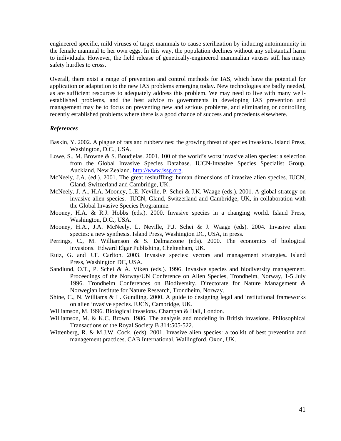engineered specific, mild viruses of target mammals to cause sterilization by inducing autoimmunity in the female mammal to her own eggs. In this way, the population declines without any substantial harm to individuals. However, the field release of genetically-engineered mammalian viruses still has many safety hurdles to cross.

Overall, there exist a range of prevention and control methods for IAS, which have the potential for application or adaptation to the new IAS problems emerging today. New technologies are badly needed, as are sufficient resources to adequately address this problem. We may need to live with many wellestablished problems, and the best advice to governments in developing IAS prevention and management may be to focus on preventing new and serious problems, and eliminating or controlling recently established problems where there is a good chance of success and precedents elsewhere.

#### *References*

- Baskin, Y. 2002. A plague of rats and rubbervines: the growing threat of species invasions. Island Press, Washington, D.C., USA.
- Lowe, S., M. Browne & S. Boudjelas. 2001. 100 of the world's worst invasive alien species: a selection from the Global Invasive Species Database. IUCN-Invasive Species Specialist Group, Auckland, New Zealand. http://www.issg.org.
- McNeely, J.A. (ed.). 2001. The great reshuffling: human dimensions of invasive alien species. IUCN, Gland, Switzerland and Cambridge, UK.
- McNeely, J. A., H.A. Mooney, L.E. Neville, P. Schei & J.K. Waage (eds.). 2001. A global strategy on invasive alien species. IUCN, Gland, Switzerland and Cambridge, UK, in collaboration with the Global Invasive Species Programme.
- Mooney, H.A. & R.J. Hobbs (eds.). 2000. Invasive species in a changing world. Island Press, Washington, D.C., USA.
- Mooney, H.A., J.A. McNeely, L. Neville, P.J. Schei & J. Waage (eds). 2004. Invasive alien species: a new synthesis. Island Press, Washington DC, USA, in press.
- Perrings, C., M. Williamson & S. Dalmazzone (eds). 2000. The economics of biological invasions. Edward Elgar Publishing, Cheltenham, UK.
- Ruiz, G. and J.T. Carlton. 2003. Invasive species: vectors and management strategies**.** Island Press, Washington DC, USA.
- Sandlund, O.T., P. Schei & Å. Viken (eds.). 1996. Invasive species and biodiversity management. Proceedings of the Norway/UN Conference on Alien Species, Trondheim, Norway, 1-5 July 1996. Trondheim Conferences on Biodiversity. Directorate for Nature Management & Norwegian Institute for Nature Research, Trondheim, Norway.
- Shine, C., N. Williams & L. Gundling. 2000. A guide to designing legal and institutional frameworks on alien invasive species. IUCN, Cambridge, UK.
- Williamson, M. 1996. Biological invasions. Champan & Hall, London.
- Williamson, M. & K.C. Brown. 1986. The analysis and modeling in British invasions. Philosophical Transactions of the Royal Society B 314:505-522.
- Wittenberg, R. & M.J.W. Cock. (eds). 2001. Invasive alien species: a toolkit of best prevention and management practices. CAB International, Wallingford, Oxon, UK.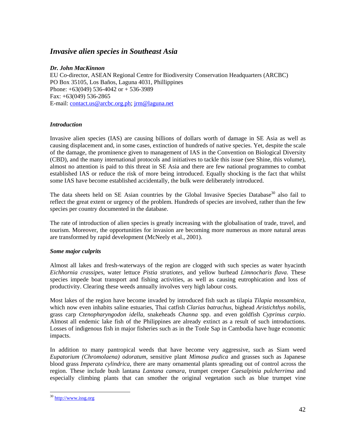# *Invasive alien species in Southeast Asia*

## *Dr. John MacKinnon*

EU Co-director, ASEAN Regional Centre for Biodiversity Conservation Headquarters (ARCBC) PO Box 35105, Los Baños, Laguna 4031, Phillippines Phone: +63(049) 536-4042 or + 536-3989 Fax: +63(049) 536-2865 E-mail: contact.us@arcbc.org.ph; jrm@laguna.net

## *Introduction*

Invasive alien species (IAS) are causing billions of dollars worth of damage in SE Asia as well as causing displacement and, in some cases, extinction of hundreds of native species. Yet, despite the scale of the damage, the prominence given to management of IAS in the Convention on Biological Diversity (CBD), and the many international protocols and initiatives to tackle this issue (see Shine, this volume), almost no attention is paid to this threat in SE Asia and there are few national programmes to combat established IAS or reduce the risk of more being introduced. Equally shocking is the fact that whilst some IAS have become established accidentally, the bulk were deliberately introduced.

The data sheets held on SE Asian countries by the Global Invasive Species Database<sup>30</sup> also fail to reflect the great extent or urgency of the problem. Hundreds of species are involved, rather than the few species per country documented in the database.

The rate of introduction of alien species is greatly increasing with the globalisation of trade, travel, and tourism. Moreover, the opportunities for invasion are becoming more numerous as more natural areas are transformed by rapid development (McNeely et al., 2001).

## *Some major culprits*

Almost all lakes and fresh-waterways of the region are clogged with such species as water hyacinth *Eichhornia crassipes*, water lettuce *Pistia stratiotes*, and yellow burhead *Limnocharis flava*. These species impede boat transport and fishing activities, as well as causing eutrophication and loss of productivity. Clearing these weeds annually involves very high labour costs.

Most lakes of the region have become invaded by introduced fish such as tilapia *Tilapia mossambica*, which now even inhabits saline estuaries, Thai catfish *Clarias batrachus*, bighead *Aristichthys nobilis*, grass carp *Ctenopharyngodon idella*, snakeheads *Channa* spp. and even goldfish *Cyprinus carpio*. Almost all endemic lake fish of the Philippines are already extinct as a result of such introductions. Losses of indigenous fish in major fisheries such as in the Tonle Sap in Cambodia have huge economic impacts.

In addition to many pantropical weeds that have become very aggressive, such as Siam weed *Eupatorium (Chromolaena) odoratum*, sensitive plant *Mimosa pudica* and grasses such as Japanese blood grass *Imperata cylindrica*, there are many ornamental plants spreading out of control across the region. These include bush lantana *Lantana camara*, trumpet creeper *Caesalpinia pulcherrima* and especially climbing plants that can smother the original vegetation such as blue trumpet vine

 $\overline{a}$ 

<sup>30</sup> http://www.issg.org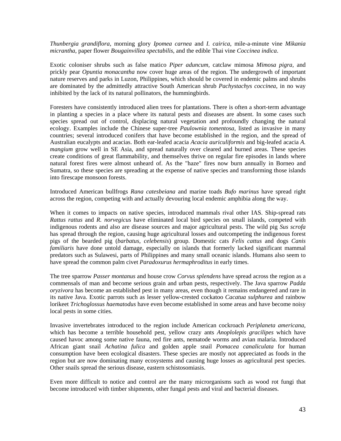*Thunbergia grandiflora*, morning glory *Ipomea carnea* and *I. cairica*, mile-a-minute vine *Mikania micrantha*, paper flower *Bougainvillea spectabilis*, and the edible Thai vine *Coccinea indica*.

Exotic coloniser shrubs such as false matico *Piper aduncum,* catclaw mimosa *Mimosa pigra,* and prickly pear *Opuntia monacantha* now cover huge areas of the region. The undergrowth of important nature reserves and parks in Luzon, Philippines, which should be covered in endemic palms and shrubs are dominated by the admittedly attractive South American shrub *Pachystachys coccinea*, in no way inhibited by the lack of its natural pollinators, the hummingbirds.

Foresters have consistently introduced alien trees for plantations. There is often a short-term advantage in planting a species in a place where its natural pests and diseases are absent. In some cases such species spread out of control, displacing natural vegetation and profoundly changing the natural ecology. Examples include the Chinese super-tree *Paulownia tomentosa*, listed as invasive in many countries; several introduced conifers that have become established in the region, and the spread of Australian eucalypts and acacias. Both ear-leafed acacia *Acacia auriculiformis* and big-leafed acacia *A. mangium* grow well in SE Asia, and spread naturally over cleared and burned areas. These species create conditions of great flammability, and themselves thrive on regular fire episodes in lands where natural forest fires were almost unheard of. As the "haze" fires now burn annually in Borneo and Sumatra, so these species are spreading at the expense of native species and transforming those islands into firescape monsoon forests.

Introduced American bullfrogs *Rana catesbeiana* and marine toads *Bufo marinus* have spread right across the region, competing with and actually devouring local endemic amphibia along the way.

When it comes to impacts on native species, introduced mammals rival other IAS. Ship-spread rats *Rattus rattus* and *R. norvegicus* have eliminated local bird species on small islands, competed with indigenous rodents and also are disease sources and major agricultural pests. The wild pig *Sus scrofa* has spread through the region, causing huge agricultural losses and outcompeting the indigenous forest pigs of the bearded pig (*barbatus, celebensis*) group. Domestic cats *Felis cattus* and dogs *Canis familiaris* have done untold damage, especially on islands that formerly lacked significant mammal predators such as Sulawesi, parts of Philippines and many small oceanic islands. Humans also seem to have spread the common palm civet *Paradoxurus hermaphroditus* in early times.

The tree sparrow *Passer montanus* and house crow *Corvus splendens* have spread across the region as a commensals of man and become serious grain and urban pests, respectively. The Java sparrow *Padda oryzivora* has become an established pest in many areas, even though it remains endangered and rare in its native Java. Exotic parrots such as lesser yellow-crested cockatoo *Cacatua sulphurea* and rainbow lorikeet *Trichoglossus haematodus* have even become established in some areas and have become noisy local pests in some cities.

Invasive invertebrates introduced to the region include American cockroach *Periplaneta americana*, which has become a terrible household pest, yellow crazy ants *Anoplolepis gracilipes* which have caused havoc among some native fauna, red fire ants, nematode worms and avian malaria. Introduced African giant snail *Achatina fulica* and golden apple snail *Pomacea canaliculata* for human consumption have been ecological disasters. These species are mostly not appreciated as foods in the region but are now dominating many ecosystems and causing huge losses as agricultural pest species. Other snails spread the serious disease, eastern schistosomiasis.

Even more difficult to notice and control are the many microrganisms such as wood rot fungi that become introduced with timber shipments, other fungal pests and viral and bacterial diseases.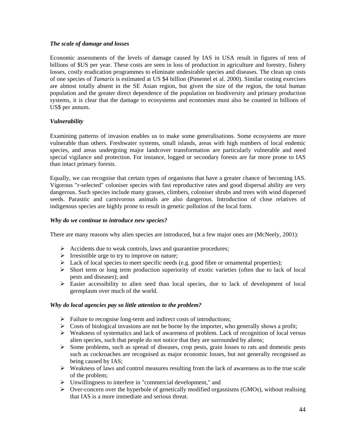## *The scale of damage and losses*

Economic assessments of the levels of damage caused by IAS in USA result in figures of tens of billions of \$US per year. These costs are seen in loss of production in agriculture and forestry, fishery losses, costly eradication programmes to eliminate undesirable species and diseases. The clean up costs of one species of *Tamarix* is estimated at US \$4 billion (Pimentel et al. 2000). Similar costing exercises are almost totally absent in the SE Asian region, but given the size of the region, the total human population and the greater direct dependence of the population on biodiversity and primary production systems, it is clear that the damage to ecosystems and economies must also be counted in billions of US\$ per annum.

## *Vulnerability*

Examining patterns of invasion enables us to make some generalisations. Some ecosystems are more vulnerable than others. Freshwater systems, small islands, areas with high numbers of local endemic species, and areas undergoing major landcover transformation are particularly vulnerable and need special vigilance and protection. For instance, logged or secondary forests are far more prone to IAS than intact primary forests.

Equally, we can recognise that certain types of organisms that have a greater chance of becoming IAS. Vigorous "r-selected" coloniser species with fast reproductive rates and good dispersal ability are very dangerous. Such species include many grasses, climbers, coloniser shrubs and trees with wind dispersed seeds. Parasitic and carnivorous animals are also dangerous. Introduction of close relatives of indigenous species are highly prone to result in genetic pollution of the local form.

## *Why do we continue to introduce new species?*

There are many reasons why alien species are introduced, but a few major ones are (McNeely, 2001):

- $\triangleright$  Accidents due to weak controls, laws and quarantine procedures;
- $\triangleright$  Irresistible urge to try to improve on nature;
- $\triangleright$  Lack of local species to meet specific needs (e.g. good fibre or ornamental properties);
- ! Short term or long term production superiority of exotic varieties (often due to lack of local pests and diseases); and
- $\triangleright$  Easier accessibility to alien seed than local species, due to lack of development of local germplasm over much of the world.

#### *Why do local agencies pay so little attention to the problem?*

- $\triangleright$  Failure to recognise long-term and indirect costs of introductions;
- $\triangleright$  Costs of biological invasions are not be borne by the importer, who generally shows a profit;
- $\triangleright$  Weakness of systematics and lack of awareness of problem. Lack of recognition of local versus alien species, such that people do not notice that they are surrounded by aliens;
- $\triangleright$  Some problems, such as spread of diseases, crop pests, grain losses to rats and domestic pests such as cockroaches are recognised as major economic losses, but not generally recognised as being caused by IAS;
- ! Weakness of laws and control measures resulting from the lack of awareness as to the true scale of the problem;
- $\triangleright$  Unwillingness to interfere in "commercial development," and
- $\triangleright$  Over-concern over the hyperbole of genetically modified orgasnisms (GMOs), without realising that IAS is a more immediate and serious threat.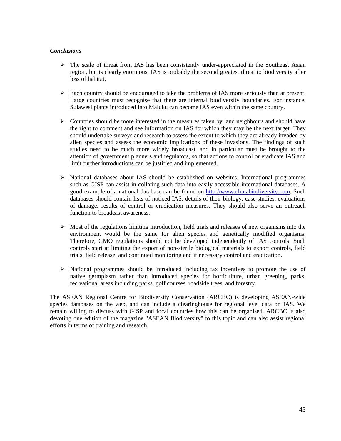## *Conclusions*

- $\triangleright$  The scale of threat from IAS has been consistently under-appreciated in the Southeast Asian region, but is clearly enormous. IAS is probably the second greatest threat to biodiversity after loss of habitat.
- $\triangleright$  Each country should be encouraged to take the problems of IAS more seriously than at present. Large countries must recognise that there are internal biodiversity boundaries. For instance, Sulawesi plants introduced into Maluku can become IAS even within the same country.
- $\triangleright$  Countries should be more interested in the measures taken by land neighbours and should have the right to comment and see information on IAS for which they may be the next target. They should undertake surveys and research to assess the extent to which they are already invaded by alien species and assess the economic implications of these invasions. The findings of such studies need to be much more widely broadcast, and in particular must be brought to the attention of government planners and regulators, so that actions to control or eradicate IAS and limit further introductions can be justified and implemented.
- $\triangleright$  National databases about IAS should be established on websites. International programmes such as GISP can assist in collating such data into easily accessible international databases. A good example of a national database can be found on http://www.chinabiodiversity.com. Such databases should contain lists of noticed IAS, details of their biology, case studies, evaluations of damage, results of control or eradication measures. They should also serve an outreach function to broadcast awareness.
- $\triangleright$  Most of the regulations limiting introduction, field trials and releases of new organisms into the environment would be the same for alien species and genetically modified organisms. Therefore, GMO regulations should not be developed independently of IAS controls. Such controls start at limiting the export of non-sterile biological materials to export controls, field trials, field release, and continued monitoring and if necessary control and eradication.
- ! National programmes should be introduced including tax incentives to promote the use of native germplasm rather than introduced species for horticulture, urban greening, parks, recreational areas including parks, golf courses, roadside trees, and forestry.

The ASEAN Regional Centre for Biodiversity Conservation (ARCBC) is developing ASEAN-wide species databases on the web, and can include a clearinghouse for regional level data on IAS. We remain willing to discuss with GISP and focal countries how this can be organised. ARCBC is also devoting one edition of the magazine "ASEAN Biodiversity" to this topic and can also assist regional efforts in terms of training and research.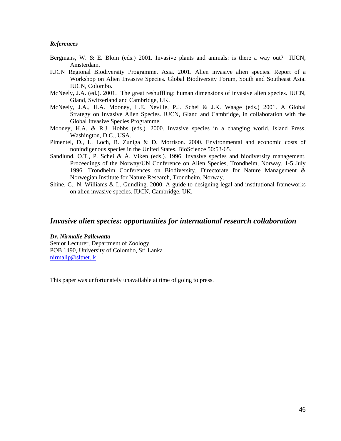#### *References*

- Bergmans, W. & E. Blom (eds.) 2001. Invasive plants and animals: is there a way out? IUCN, Amsterdam.
- IUCN Regional Biodiversity Programme, Asia. 2001. Alien invasive alien species. Report of a Workshop on Alien Invasive Species. Global Biodiversity Forum, South and Southeast Asia. IUCN, Colombo.
- McNeely, J.A. (ed.). 2001. The great reshuffling: human dimensions of invasive alien species. IUCN, Gland, Switzerland and Cambridge, UK.
- McNeely, J.A., H.A. Mooney, L.E. Neville, P.J. Schei & J.K. Waage (eds.) 2001. A Global Strategy on Invasive Alien Species. IUCN, Gland and Cambridge, in collaboration with the Global Invasive Species Programme.
- Mooney, H.A. & R.J. Hobbs (eds.). 2000. Invasive species in a changing world. Island Press, Washington, D.C., USA.
- Pimentel, D., L. Loch, R. Zuniga & D. Morrison. 2000. Environmental and economic costs of nonindigenous species in the United States. BioScience 50:53-65.
- Sandlund, O.T., P. Schei & Å. Viken (eds.). 1996. Invasive species and biodiversity management. Proceedings of the Norway/UN Conference on Alien Species, Trondheim, Norway, 1-5 July 1996. Trondheim Conferences on Biodiversity. Directorate for Nature Management & Norwegian Institute for Nature Research, Trondheim, Norway.
- Shine, C., N. Williams & L. Gundling. 2000. A guide to designing legal and institutional frameworks on alien invasive species. IUCN, Cambridge, UK.

## *Invasive alien species: opportunities for international research collaboration*

#### *Dr. Nirmalie Pallewatta*

Senior Lecturer, Department of Zoology, POB 1490, University of Colombo, Sri Lanka nirmalip@sltnet.lk

This paper was unfortunately unavailable at time of going to press.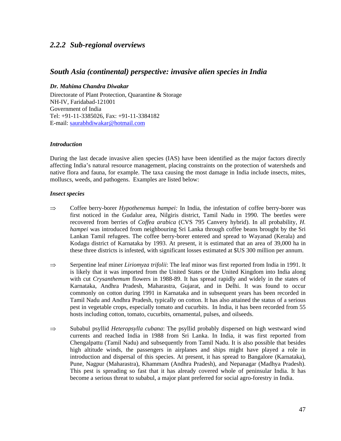## *2.2.2 Sub-regional overviews*

## *South Asia (continental) perspective: invasive alien species in India*

## *Dr. Mahima Chandra Diwakar*

Directorate of Plant Protection, Quarantine & Storage NH-IV, Faridabad-121001 Government of India Tel: +91-11-3385026, Fax: +91-11-3384182 E-mail: saurabhdiwakar@hotmail.com

#### *Introduction*

During the last decade invasive alien species (IAS) have been identified as the major factors directly affecting India's natural resource management, placing constraints on the protection of watersheds and native flora and fauna, for example. The taxa causing the most damage in India include insects, mites, molluscs, weeds, and pathogens. Examples are listed below:

#### *Insect species*

- ⇒ Coffee berry-borer *Hypothenemus hampei:* In India, the infestation of coffee berry-borer was first noticed in the Gudalur area, Nilgiris district, Tamil Nadu in 1990. The beetles were recovered from berries of *Coffea arabica* (CVS 795 Canvery hybrid). In all probability, *H. hampei* was introduced from neighbouring Sri Lanka through coffee beans brought by the Sri Lankan Tamil refugees. The coffee berry-borer entered and spread to Wayanad (Kerala) and Kodagu district of Karnataka by 1993. At present, it is estimated that an area of 39,000 ha in these three districts is infested, with significant losses estimated at \$US 300 million per annum.
- ⇒ Serpentine leaf miner *Liriomyza trifolii*: The leaf minor was first reported from India in 1991. It is likely that it was imported from the United States or the United Kingdom into India along with cut *Crysanthemum* flowers in 1988-89. It has spread rapidly and widely in the states of Karnataka, Andhra Pradesh, Maharastra, Gujarat, and in Delhi. It was found to occur commonly on cotton during 1991 in Karnataka and in subsequent years has been recorded in Tamil Nadu and Andhra Pradesh, typically on cotton. It has also attained the status of a serious pest in vegetable crops, especially tomato and cucurbits. In India, it has been recorded from 55 hosts including cotton, tomato, cucurbits, ornamental, pulses, and oilseeds.
- ⇒ Subabul psyllid *Heteropsylla cubana*: The psyllid probably dispersed on high westward wind currents and reached India in 1988 from Sri Lanka. In India, it was first reported from Chengalpattu (Tamil Nadu) and subsequently from Tamil Nadu. It is also possible that besides high altitude winds, the passengers in airplanes and ships might have played a role in introduction and dispersal of this species. At present, it has spread to Bangalore (Karnataka), Pune, Nagpur (Maharastra), Khammam (Andhra Pradesh), and Nepanagar (Madhya Pradesh). This pest is spreading so fast that it has already covered whole of peninsular India. It has become a serious threat to subabul, a major plant preferred for social agro-forestry in India.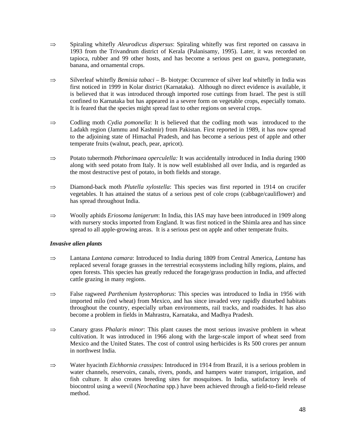- ⇒ Spiraling whitefly *Aleurodicus dispersus*: Spiraling whitefly was first reported on cassava in 1993 from the Trivandrum district of Kerala (Palanisamy, 1995). Later, it was recorded on tapioca, rubber and 99 other hosts, and has become a serious pest on guava, pomegranate, banana, and ornamental crops.
- ⇒ Silverleaf whitefly *Bemisia tabaci* B- biotype: Occurrence of silver leaf whitefly in India was first noticed in 1999 in Kolar district (Karnataka). Although no direct evidence is available, it is believed that it was introduced through imported rose cuttings from Israel. The pest is still confined to Karnataka but has appeared in a severe form on vegetable crops, especially tomato. It is feared that the species might spread fast to other regions on several crops.
- ⇒ Codling moth *Cydia pomonella*: It is believed that the codling moth was introduced to the Ladakh region (Jammu and Kashmir) from Pakistan. First reported in 1989, it has now spread to the adjoining state of Himachal Pradesh, and has become a serious pest of apple and other temperate fruits (walnut, peach, pear, apricot).
- ⇒ Potato tubermoth *Phthorimaea operculella:* It was accidentally introduced in India during 1900 along with seed potato from Italy. It is now well established all over India, and is regarded as the most destructive pest of potato, in both fields and storage.
- ⇒ Diamond-back moth *Plutella xylostella*: This species was first reported in 1914 on crucifer vegetables. It has attained the status of a serious pest of cole crops (cabbage/cauliflower) and has spread throughout India.
- ⇒ Woolly aphids *Eriosoma lanigerum*: In India, this IAS may have been introduced in 1909 along with nursery stocks imported from England. It was first noticed in the Shimla area and has since spread to all apple-growing areas. It is a serious pest on apple and other temperate fruits.

## *Invasive alien plants*

- ⇒ Lantana *Lantana camara*: Introduced to India during 1809 from Central America, *Lantana* has replaced several forage grasses in the terrestrial ecosystems including hilly regions, plains, and open forests. This species has greatly reduced the forage/grass production in India, and affected cattle grazing in many regions.
- ⇒ False ragweed *Parthenium hysterophorus*: This species was introduced to India in 1956 with imported milo (red wheat) from Mexico, and has since invaded very rapidly disturbed habitats throughout the country, especially urban environments, rail tracks, and roadsides. It has also become a problem in fields in Mahrastra, Karnataka, and Madhya Pradesh.
- ⇒ Canary grass *Phalaris minor*: This plant causes the most serious invasive problem in wheat cultivation. It was introduced in 1966 along with the large-scale import of wheat seed from Mexico and the United States. The cost of control using herbicides is Rs 500 crores per annum in northwest India.
- ⇒ Water hyacinth *Eichhornia crassipe*s: Introduced in 1914 from Brazil, it is a serious problem in water channels, reservoirs, canals, rivers, ponds, and hampers water transport, irrigation, and fish culture. It also creates breeding sites for mosquitoes. In India, satisfactory levels of biocontrol using a weevil (*Neochatina* spp.) have been achieved through a field-to-field release method.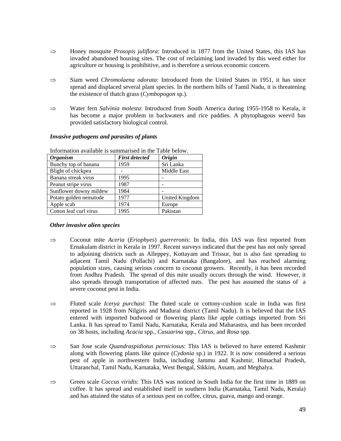- ⇒ Honey mosquite *Prosopis juliflora*: Introduced in 1877 from the United States, this IAS has invaded abandoned housing sites. The cost of reclaiming land invaded by this weed either for agriculture or housing is prohibitive, and is therefore a serious economic concern.
- ⇒ Siam weed *Chromolaena odorata*: Introduced from the United States in 1951, it has since spread and displaced several plant species. In the northern hills of Tamil Nadu, it is threatening the existence of thatch grass (*Cymbopogon* sp.).
- ⇒ Water fern *Salvinia molesta*: Introduced from South America during 1955-1958 to Kerala, it has become a major problem in backwaters and rice paddies. A phytophagous weevil has provided satisfactory biological control.

| THIOHIMUOII AVAIMUJE IS SUHIIMALISEU III UIE TAUJE DEIOW. |                       |                      |  |  |
|-----------------------------------------------------------|-----------------------|----------------------|--|--|
| <b>Organism</b>                                           | <b>First detected</b> | <i><b>Origin</b></i> |  |  |
| Bunchy top of banana                                      | 1959                  | Sri Lanka            |  |  |
| Blight of chickpea                                        |                       | Middle East          |  |  |
| Banana streak virus                                       | 1995                  |                      |  |  |
| Peanut stripe virus                                       | 1987                  |                      |  |  |
| Sunflower downy mildew                                    | 1984                  |                      |  |  |
| Potato golden nematode                                    | 1977                  | United Kingdom       |  |  |
| Apple scab                                                | 1974                  | Europe               |  |  |
| Cotton leaf curl virus                                    | 1995                  | Pakistan             |  |  |

*Invasive pathogens and parasites of plants* 

# Information available is summarised in the Table below.

## *Other invasive alien species*

- ⇒ Coconut mite *Aceria* (*Eriophyes*) *guerreronis*: In India, this IAS was first reported from Ernakulam district in Kerala in 1997. Recent surveys indicated that the pest has not only spread to adjoining districts such as Alleppey, Kottayam and Trissur, but is also fast spreading to adjacent Tamil Nadu (Pollachi) and Karnataka (Bangalore), and has reached alarming population sizes, causing serious concern to coconut growers. Recently, it has been recorded from Andhra Pradesh. The spread of this mite usually occurs through the wind. However, it also spreads through transportation of affected nuts. The pest has assumed the status of a severe coconut pest in India.
- ⇒ Fluted scale *Icerya purchasi*: The fluted scale or cottony-cushion scale in India was first reported in 1928 from Nilgiris and Madurai district (Tamil Nadu). It is believed that the IAS entered with imported budwood or flowering plants like apple cuttings imported from Sri Lanka. It has spread to Tamil Nadu, Karnataka, Kerala and Maharastra, and has been recorded on 38 hosts, including *Acacia* spp., *Casuarina* spp*., Citrus,* and *Rosa* spp.
- ⇒ San Jose scale *Quandraspidiotus perniciosus*: This IAS is believed to have entered Kashmir along with flowering plants like quince (*Cydonia* sp.) in 1922. It is now considered a serious pest of apple in northwestern India, including Jammu and Kashmir, Himachal Pradesh, Uttaranchal, Tamil Nadu, Karnataka, West Bengal, Sikkim, Assam, and Meghalya.
- ⇒ Green scale *Coccus viridis*: This IAS was noticed in South India for the first time in 1889 on coffee. It has spread and established itself in southern India (Karnataka, Tamil Nadu, Kerala) and has attained the status of a serious pest on coffee, citrus, guava, mango and orange.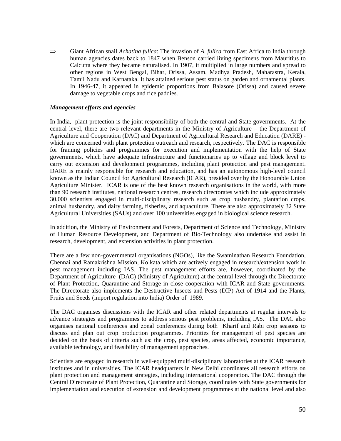⇒ Giant African snail *Achatina fulica*: The invasion of *A. fulica* from East Africa to India through human agencies dates back to 1847 when Benson carried living specimens from Mauritius to Calcutta where they became naturalised. In 1907, it multiplied in large numbers and spread to other regions in West Bengal, Bihar, Orissa, Assam, Madhya Pradesh, Maharastra, Kerala, Tamil Nadu and Karnataka. It has attained serious pest status on garden and ornamental plants. In 1946-47, it appeared in epidemic proportions from Balasore (Orissa) and caused severe damage to vegetable crops and rice paddies.

#### *Management efforts and agencies*

In India, plant protection is the joint responsibility of both the central and State governments. At the central level, there are two relevant departments in the Ministry of Agriculture – the Department of Agriculture and Cooperation (DAC) and Department of Agricultural Research and Education (DARE) which are concerned with plant protection outreach and research, respectively. The DAC is responsible for framing policies and programmes for execution and implementation with the help of State governments, which have adequate infrastructure and functionaries up to village and block level to carry out extension and development programmes, including plant protection and pest management. DARE is mainly responsible for research and education, and has an autonomous high-level council known as the Indian Council for Agricultural Research (ICAR), presided over by the Honourable Union Agriculture Minister. ICAR is one of the best known research organisations in the world, with more than 90 research institutes, national research centres, research directorates which include approximately 30,000 scientists engaged in multi-disciplinary research such as crop husbandry, plantation crops, animal husbandry, and dairy farming, fisheries, and aquaculture. There are also approximately 32 State Agricultural Universities (SAUs) and over 100 universities engaged in biological science research.

In addition, the Ministry of Environment and Forests, Department of Science and Technology, Ministry of Human Resource Development, and Department of Bio-Technology also undertake and assist in research, development, and extension activities in plant protection.

There are a few non-governmental organisations (NGOs), like the Swaminathan Research Foundation, Chennai and Ramakrishna Mission, Kolkata which are actively engaged in research/extension work in pest management including IAS. The pest management efforts are, however, coordinated by the Department of Agriculture (DAC) (Ministry of Agriculture) at the central level through the Directorate of Plant Protection, Quarantine and Storage in close cooperation with ICAR and State governments. The Directorate also implements the Destructive Insects and Pests (DIP) Act of 1914 and the Plants, Fruits and Seeds (import regulation into India) Order of 1989.

The DAC organises discussions with the ICAR and other related departments at regular intervals to advance strategies and programmes to address serious pest problems, including IAS. The DAC also organises national conferences and zonal conferences during both Kharif and Rabi crop seasons to discuss and plan out crop production programmes. Priorities for management of pest species are decided on the basis of criteria such as: the crop, pest species, areas affected, economic importance, available technology, and feasibility of management approaches.

Scientists are engaged in research in well-equipped multi-disciplinary laboratories at the ICAR research institutes and in universities. The ICAR headquarters in New Delhi coordinates all research efforts on plant protection and management strategies, including international cooperation. The DAC through the Central Directorate of Plant Protection, Quarantine and Storage, coordinates with State governments for implementation and execution of extension and development programmes at the national level and also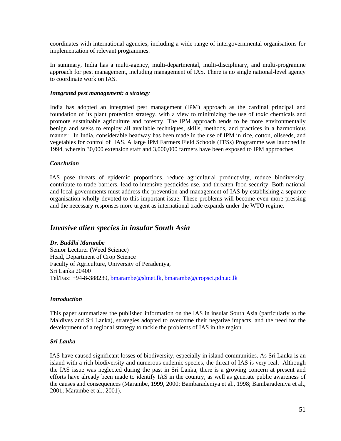coordinates with international agencies, including a wide range of intergovernmental organisations for implementation of relevant programmes.

In summary, India has a multi-agency, multi-departmental, multi-disciplinary, and multi-programme approach for pest management, including management of IAS. There is no single national-level agency to coordinate work on IAS.

#### *Integrated pest management: a strategy*

India has adopted an integrated pest management (IPM) approach as the cardinal principal and foundation of its plant protection strategy, with a view to minimizing the use of toxic chemicals and promote sustainable agriculture and forestry. The IPM approach tends to be more environmentally benign and seeks to employ all available techniques, skills, methods, and practices in a harmonious manner. In India, considerable headway has been made in the use of IPM in rice, cotton, oilseeds, and vegetables for control of IAS. A large IPM Farmers Field Schools (FFSs) Programme was launched in 1994, wherein 30,000 extension staff and 3,000,000 farmers have been exposed to IPM approaches.

#### *Conclusion*

IAS pose threats of epidemic proportions, reduce agricultural productivity, reduce biodiversity, contribute to trade barriers, lead to intensive pesticides use, and threaten food security. Both national and local governments must address the prevention and management of IAS by establishing a separate organisation wholly devoted to this important issue. These problems will become even more pressing and the necessary responses more urgent as international trade expands under the WTO regime.

## *Invasive alien species in insular South Asia*

## *Dr. Buddhi Marambe*

Senior Lecturer (Weed Science) Head, Department of Crop Science Faculty of Agriculture, University of Peradeniya, Sri Lanka 20400 Tel/Fax: +94-8-388239, bmarambe@sltnet.lk, bmarambe@cropsci.pdn.ac.lk

#### *Introduction*

This paper summarizes the published information on the IAS in insular South Asia (particularly to the Maldives and Sri Lanka), strategies adopted to overcome their negative impacts, and the need for the development of a regional strategy to tackle the problems of IAS in the region.

#### *Sri Lanka*

IAS have caused significant losses of biodiversity, especially in island communities. As Sri Lanka is an island with a rich biodiversity and numerous endemic species, the threat of IAS is very real. Although the IAS issue was neglected during the past in Sri Lanka, there is a growing concern at present and efforts have already been made to identify IAS in the country, as well as generate public awareness of the causes and consequences (Marambe, 1999, 2000; Bambaradeniya et al., 1998; Bambaradeniya et al., 2001; Marambe et al., 2001).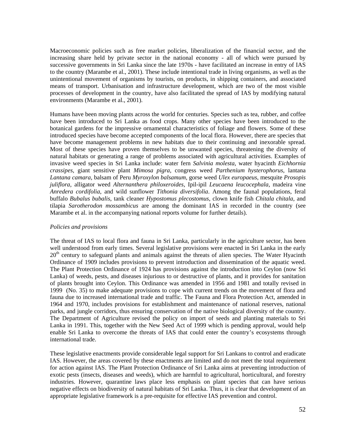Macroeconomic policies such as free market policies, liberalization of the financial sector, and the increasing share held by private sector in the national economy - all of which were pursued by successive governments in Sri Lanka since the late 1970s - have facilitated an increase in entry of IAS to the country (Marambe et al., 2001). These include intentional trade in living organisms, as well as the unintentional movement of organisms by tourists, on products, in shipping containers, and associated means of transport. Urbanisation and infrastructure development, which are two of the most visible processes of development in the country, have also facilitated the spread of IAS by modifying natural environments (Marambe et al., 2001).

Humans have been moving plants across the world for centuries. Species such as tea, rubber, and coffee have been introduced to Sri Lanka as food crops. Many other species have been introduced to the botanical gardens for the impressive ornamental characteristics of foliage and flowers. Some of these introduced species have become accepted components of the local flora. However, there are species that have become management problems in new habitats due to their continuing and inexorable spread. Most of these species have proven themselves to be unwanted species, threatening the diversity of natural habitats or generating a range of problems associated with agricultural activities. Examples of invasive weed species in Sri Lanka include: water fern *Salvinia molesta*, water hyacinth *Eichhornia crassipes*, giant sensitive plant *Mimosa pigra*, congress weed *Parthenium hysterophorus*, lantana *Lantana camara*, balsam of Peru *Myroxylon balsamum,* gorse weed *Ulex europaeus*, mesquite *Prosopis juliflora*, alligator weed *Alternanthera philoxeroides*, Ipil-ipil *Leucaena leucocephala*, madeira vine *Anredera cordifolia*, and wild sunflower *Tithonia diversifolia*. Among the faunal populations, feral buffalo *Bubalus bubalis*, tank cleaner *Hypostomus plecostomus*, clown knife fish *Chitala chitala*, and tilapia *Sarotherodon mossambicus* are among the dominant IAS in recorded in the country (see Marambe et al. in the accompanying national reports volume for further details).

## *Policies and provisions*

The threat of IAS to local flora and fauna in Sri Lanka, particularly in the agriculture sector, has been well understood from early times. Several legislative provisions were enacted in Sri Lanka in the early  $20<sup>th</sup>$  century to safeguard plants and animals against the threats of alien species. The Water Hyacinth Ordinance of 1909 includes provisions to prevent introduction and dissemination of the aquatic weed. The Plant Protection Ordinance of 1924 has provisions against the introduction into Ceylon (now Sri Lanka) of weeds, pests, and diseases injurious to or destructive of plants, and it provides for sanitation of plants brought into Ceylon. This Ordinance was amended in 1956 and 1981 and totally revised in 1999 (No. 35) to make adequate provisions to cope with current trends on the movement of flora and fauna due to increased international trade and traffic. The Fauna and Flora Protection Act, amended in 1964 and 1970, includes provisions for establishment and maintenance of national reserves, national parks, and jungle corridors, thus ensuring conservation of the native biological diversity of the country. The Department of Agriculture revised the policy on import of seeds and planting materials to Sri Lanka in 1991. This, together with the New Seed Act of 1999 which is pending approval, would help enable Sri Lanka to overcome the threats of IAS that could enter the country's ecosystems through international trade.

These legislative enactments provide considerable legal support for Sri Lankans to control and eradicate IAS. However, the areas covered by these enactments are limited and do not meet the total requirement for action against IAS. The Plant Protection Ordinance of Sri Lanka aims at preventing introduction of exotic pests (insects, diseases and weeds), which are harmful to agricultural, horticultural, and forestry industries. However, quarantine laws place less emphasis on plant species that can have serious negative effects on biodiversity of natural habitats of Sri Lanka. Thus, it is clear that development of an appropriate legislative framework is a pre-requisite for effective IAS prevention and control.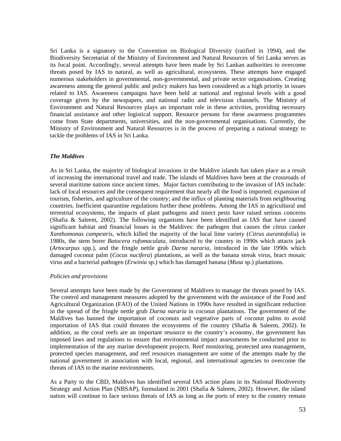Sri Lanka is a signatory to the Convention on Biological Diversity (ratified in 1994), and the Biodiversity Secretariat of the Ministry of Environment and Natural Resources of Sri Lanka serves as its focal point. Accordingly, several attempts have been made by Sri Lankan authorities to overcome threats posed by IAS to natural, as well as agricultural, ecosystems. These attempts have engaged numerous stakeholders in governmental, non-governmental, and private sector organisations. Creating awareness among the general public and policy makers has been considered as a high priority in issues related to IAS. Awareness campaigns have been held at national and regional levels with a good coverage given by the newspapers, and national radio and television channels. The Ministry of Environment and Natural Resources plays an important role in these activities, providing necessary financial assistance and other logistical support. Resource persons for these awareness programmes come from State departments, universities, and the non-governmental organisations. Currently, the Ministry of Environment and Natural Resources is in the process of preparing a national strategy to tackle the problems of IAS in Sri Lanka.

## *The Maldives*

As in Sri Lanka, the majority of biological invasions in the Maldive islands has taken place as a result of increasing the international travel and trade. The islands of Maldives have been at the crossroads of several maritime nations since ancient times. Major factors contributing to the invasion of IAS include: lack of local resources and the consequent requirement that nearly all the food is imported; expansion of tourism, fisheries, and agriculture of the country; and the influx of planting materials from neighbouring countries. Inefficient quarantine regulations further these problems. Among the IAS in agricultural and terrestrial ecosystems, the impacts of plant pathogens and insect pests have raised serious concerns (Shafia & Saleem, 2002). The following organisms have been identified as IAS that have caused significant habitat and financial losses in the Maldives: the pathogen that causes the citrus canker *Xanthomonas campestris*, which killed the majority of the local lime variety (*Citrus aurantofoli*a) in 1980s, the stem borer *Batocera rufomaculata*, introduced to the country in 1990s which attacts jack (*Artocarpus* spp.), and the fringle nettle grub *Darna nararia*, introduced in the late 1990s which damaged coconut palm (*Cocus nucifera*) plantations, as well as the banana streak virus, bract mosaic virus and a bacterial pathogen (*Erwinia* sp.) which has damaged banana (*Musa* sp.) plantations.

#### *Policies and provisions*

Several attempts have been made by the Government of Maldives to manage the threats posed by IAS. The control and management measures adopted by the government with the assistance of the Food and Agricultural Organization (FAO) of the United Nations in 1990s have resulted in significant reduction in the spread of the fringle nettle grub *Darna nararia* in coconut plantations. The government of the Maldives has banned the importation of coconuts and vegetative parts of coconut palms to avoid importation of IAS that could threaten the ecosystems of the country (Shafia & Saleem, 2002). In addition, as the coral reefs are an important resource to the country's economy, the government has imposed laws and regulations to ensure that environmental impact assessments be conducted prior to implementation of the any marine development projects. Reef monitoring, protected area management, protected species management, and reef resources management are some of the attempts made by the national govenrment in association with local, regional, and international agencies to overcome the threats of IAS to the marine environments.

As a Party to the CBD, Maldives has identified several IAS action plans in its National Biodiversity Strategy and Action Plan (NBSAP), formulated in 2001 (Shafia & Saleem, 2002). However, the island nation will continue to face serious threats of IAS as long as the ports of entry to the country remain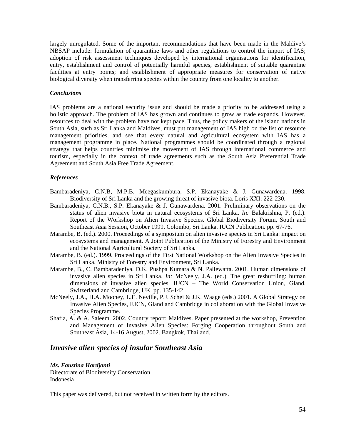largely unregulated. Some of the important recommendations that have been made in the Maldive's NBSAP include: formulation of quarantine laws and other regulations to control the import of IAS; adoption of risk assessment techniques developed by international organisations for identification, entry, establishment and control of potentially harmful species; establishment of suitable quarantine facilities at entry points; and establishment of appropriate measures for conservation of native biological diversity when transferring species within the country from one locality to another.

#### *Conclusions*

IAS problems are a national security issue and should be made a priority to be addressed using a holistic approach. The problem of IAS has grown and continues to grow as trade expands. However, resources to deal with the problem have not kept pace. Thus, the policy makers of the island nations in South Asia, such as Sri Lanka and Maldives, must put management of IAS high on the list of resource management priorities, and see that every natural and agricultural ecosystem with IAS has a management programme in place. National programmes should be coordinated through a regional strategy that helps countries minimise the movement of IAS through international commerce and tourism, especially in the context of trade agreements such as the South Asia Preferential Trade Agreement and South Asia Free Trade Agreement.

#### *References*

- Bambaradeniya, C.N.B, M.P.B. Meegaskumbura, S.P. Ekanayake & J. Gunawardena. 1998. Biodiversity of Sri Lanka and the growing threat of invasive biota. Loris XXI: 222-230.
- Bambaradeniya, C.N.B., S.P. Ekanayake & J. Gunawardena. 2001. Preliminary observations on the status of alien invasive biota in natural ecosystems of Sri Lanka. *In:* Balakrishna, P. (ed.). Report of the Workshop on Alien Invasive Species. Global Biodiversity Forum, South and Southeast Asia Session, October 1999, Colombo, Sri Lanka. IUCN Publication. pp. 67-76.
- Marambe, B. (ed.). 2000. Proceedings of a symposium on alien invasive species in Sri Lanka: impact on ecosystems and management. A Joint Publication of the Ministry of Forestry and Environment and the National Agricultural Society of Sri Lanka*.*
- Marambe, B. (ed.). 1999. Proceedings of the First National Workshop on the Alien Invasive Species in Sri Lanka. Ministry of Forestry and Environment, Sri Lanka.
- Marambe, B., C. Bambaradeniya, D.K. Pushpa Kumara & N. Pallewatta. 2001. Human dimensions of invasive alien species in Sri Lanka. *In:* McNeely, J.A. (ed.). The great reshuffling: human dimensions of invasive alien species. IUCN – The World Conservation Union, Gland, Switzerland and Cambridge, UK. pp. 135-142.
- McNeely, J.A., H.A. Mooney, L.E. Neville, P.J. Schei & J.K. Waage (eds.) 2001. A Global Strategy on Invasive Alien Species, IUCN, Gland and Cambridge in collaboration with the Global Invasive Species Programme.
- Shafia, A. & A. Saleem. 2002. Country report: Maldives. Paper presented at the workshop, Prevention and Management of Invasive Alien Species: Forging Cooperation throughout South and Southeast Asia, 14-16 August, 2002. Bangkok, Thailand.

## *Invasive alien species of insular Southeast Asia*

#### *Ms. Faustina Hardjanti*

Directorate of Biodiversity Conservation Indonesia

This paper was delivered, but not received in written form by the editors.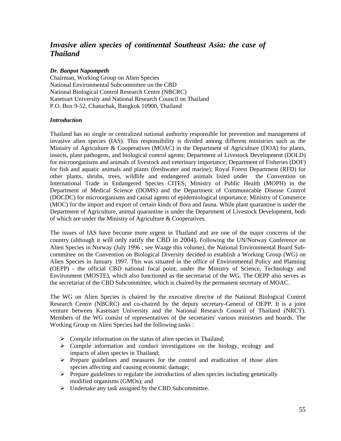# *Invasive alien species of continental Southeast Asia: the case of Thailand*

## *Dr. Banpot Napompeth*

Chairman, Working Group on Alien Species National Environmental Subcommittee on the CBD National Biological Control Research Centre (NBCRC) Kasetsart University and National Research Council on Thailand P.O. Box 9-52, Chatuchak, Bangkok 10900, Thailand

## *Introduction*

Thailand has no single or centralized national authority responsible for prevention and management of invasive alien species (IAS). This responsibility is divided among different ministries such as the Ministry of Agriculture & Cooperatives (MOAC) in the Department of Agriculture (DOA) for plants, insects, plant pathogens, and biological control agents; Department of Livestock Development (DOLD) for microorganisms and animals of livestock and veterinary importance; Department of Fisheries (DOF) for fish and aquatic animals and plants (freshwater and marine); Royal Forest Department (RFD) for other plants, shrubs, trees, wildlife and endangered animals listed under the Convention on International Trade in Endangered Species CITES; Ministry of Public Health (MOPH) in the Department of Medical Science (DOMS) and the Department of Communicable Disease Control (DOCDC) for microorganisms and causal agents of epidemiological importance; Ministry of Commerce (MOC) for the import and export of certain kinds of flora and fauna. While plant quarantine is under the Department of Agriculture, animal quarantine is under the Department of Livestock Development, both of which are under the Ministry of Agriculture & Cooperatives.

The issues of IAS have become more urgent in Thailand and are one of the major concerns of the country (although it will only ratify the CBD in 2004). Following the UN/Norway Conference on Alien Species in Norway (July 1996 ; see Waage this volume), the National Environmental Board Subcommittee on the Convention on Biological Diversity decided to establish a Working Group (WG) on Alien Species in January 1997. This was situated in the office of Environmental Policy and Planning (OEPP) - the official CBD national focal point, under the Ministry of Science, Technology and Environment (MOSTE), which also functioned as the secretariat of the WG. The OEPP also serves as the secretariat of the CBD Subcommittee, which is chaired by the permanent secretary of MOAC.

The WG on Alien Species is chaired by the executive director of the National Biological Control Research Centre (NBCRC) and co-chaired by the deputy secretary-General of OEPP. It is a joint venture between Kasetsart University and the National Research Council of Thailand (NRCT). Members of the WG consist of representatives of the secretaries' various ministries and boards. The Working Group on Alien Species had the following tasks :

- $\triangleright$  Compile information on the status of alien species in Thailand;
- $\triangleright$  Compile information and conduct investigations on the biology, ecology and impacts of alien species in Thailand;
- $\triangleright$  Prepare guidelines and measures for the control and eradication of those alien species affecting and causing economic damage;
- $\triangleright$  Prepare guidelines to regulate the introduction of alien species including genetically modified organisms (GMOs); and
- $\triangleright$  Undertake any task assigned by the CBD Subcommittee.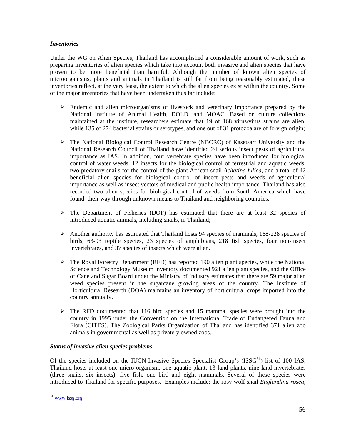## *Inventories*

Under the WG on Alien Species, Thailand has accomplished a considerable amount of work, such as preparing inventories of alien species which take into account both invasive and alien species that have proven to be more beneficial than harmful. Although the number of known alien species of microorganisms, plants and animals in Thailand is still far from being reasonably estimated, these inventories reflect, at the very least, the extent to which the alien species exist within the country. Some of the major inventories that have been undertaken thus far include:

- $\triangleright$  Endemic and alien microorganisms of livestock and veterinary importance prepared by the National Institute of Animal Health, DOLD, and MOAC. Based on culture collections maintained at the institute, researchers estimate that 19 of 168 virus/virus strains are alien, while 135 of 274 bacterial strains or serotypes, and one out of 31 protozoa are of foreign origin;
- $\triangleright$  The National Biological Control Research Centre (NBCRC) of Kasetsart University and the National Research Council of Thailand have identified 24 serious insect pests of agricultural importance as IAS. In addition, four vertebrate species have been introduced for biological control of water weeds, 12 insects for the biological control of terrestrial and aquatic weeds, two predatory snails for the control of the giant African snail *Achatina fulica*, and a total of 42 beneficial alien species for biological control of insect pests and weeds of agricultural importance as well as insect vectors of medical and public health importance. Thailand has also recorded two alien species for biological control of weeds from South America which have found their way through unknown means to Thailand and neighboring countries;
- $\triangleright$  The Department of Fisheries (DOF) has estimated that there are at least 32 species of introduced aquatic animals, including snails, in Thailand;
- $\triangleright$  Another authority has estimated that Thailand hosts 94 species of mammals, 168-228 species of birds, 63-93 reptile species, 23 species of amphibians, 218 fish species, four non-insect invertebrates, and 37 species of insects which were alien.
- $\triangleright$  The Royal Forestry Department (RFD) has reported 190 alien plant species, while the National Science and Technology Museum inventory documented 921 alien plant species, and the Office of Cane and Sugar Board under the Ministry of Industry estimates that there are 59 major alien weed species present in the sugarcane growing areas of the country. The Institute of Horticultural Research (DOA) maintains an inventory of horticultural crops imported into the country annually.
- $\triangleright$  The RFD documented that 116 bird species and 15 mammal species were brought into the country in 1995 under the Convention on the International Trade of Endangered Fauna and Flora (CITES). The Zoological Parks Organization of Thailand has identified 371 alien zoo animals in governmental as well as privately owned zoos.

## *Status of invasive alien species problems*

Of the species included on the IUCN-Invasive Species Specialist Group's  $(ISSG<sup>31</sup>)$  list of 100 IAS, Thailand hosts at least one micro-organism, one aquatic plant, 13 land plants, nine land invertebrates (three snails, six insects), five fish, one bird and eight mammals. Several of these species were introduced to Thailand for specific purposes. Examples include: the rosy wolf snail *Euglandina rosea*,

 $\overline{a}$ 

<sup>&</sup>lt;sup>31</sup> www.issg.org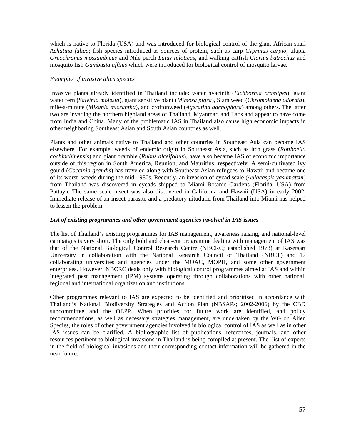which is native to Florida (USA) and was introduced for biological control of the giant African snail *Achatina fulica*; fish species introduced as sources of protein, such as carp *Cyprinus carpio*, tilapia *Oreochromis mossambicus* and Nile perch *Latus niloticus*, and walking catfish *Clarius batrachus* and mosquito fish *Gambusia affinis* which were introduced for biological control of mosquito larvae.

## *Examples of invasive alien species*

Invasive plants already identified in Thailand include: water hyacinth (*Eichhornia crassipes*), giant water fern (*Salvinia molesta*), giant sensitive plant (*Mimosa pigra*), Siam weed (*Chromolaena odorata*), mile-a-minute (*Mikania micrantha*), and croftonweed (*Ageratina adenophora*) among others. The latter two are invading the northern highland areas of Thailand, Myanmar, and Laos and appear to have come from India and China. Many of the problematic IAS in Thailand also cause high economic impacts in other neighboring Southeast Asian and South Asian countries as well.

Plants and other animals native to Thailand and other countries in Southeast Asia can become IAS elsewhere. For example, weeds of endemic origin in Southeast Asia, such as itch grass (*Rottboelia cochinchinensis*) and giant bramble (*Rubus alceifolius*), have also became IAS of economic importance outside of this region in South America, Reunion, and Mauritius, respectively. A semi-cultivated ivy gourd (*Coccinia grandis*) has traveled along with Southeast Asian refugees to Hawaii and became one of its worst weeds during the mid-1980s. Recently, an invasion of cycad scale (*Aulacaspis yasumatsui*) from Thailand was discovered in cycads shipped to Miami Botanic Gardens (Florida, USA) from Pattaya. The same scale insect was also discovered in California and Hawaii (USA) in early 2002. Immediate release of an insect parasite and a predatory nitudulid from Thailand into Miami has helped to lessen the problem.

## *List of existing programmes and other government agencies involved in IAS issues*

The list of Thailand's existing programmes for IAS management, awareness raising, and national-level campaigns is very short. The only bold and clear-cut programme dealing with management of IAS was that of the National Biological Control Research Centre (NBCRC; established 1978) at Kasetsart University in collaboration with the National Research Council of Thailand (NRCT) and 17 collaborating universities and agencies under the MOAC, MOPH, and some other government enterprises. However, NBCRC deals only with biological control programmes aimed at IAS and within integrated pest management (IPM) systems operating through collaborations with other national, regional and international organization and institutions.

Other programmes relevant to IAS are expected to be identified and prioritised in accordance with Thailand's National Biodiversity Strategies and Action Plan (NBSAPs; 2002-2006) by the CBD subcommittee and the OEPP. When priorities for future work are identified, and policy recommendations, as well as necessary strategies management, are undertaken by the WG on Alien Species, the roles of other government agencies involved in biological control of IAS as well as in other IAS issues can be clarified. A bibliographic list of publications, references, journals, and other resources pertinent to biological invasions in Thailand is being compiled at present. The list of experts in the field of biological invasions and their corresponding contact information will be gathered in the near future.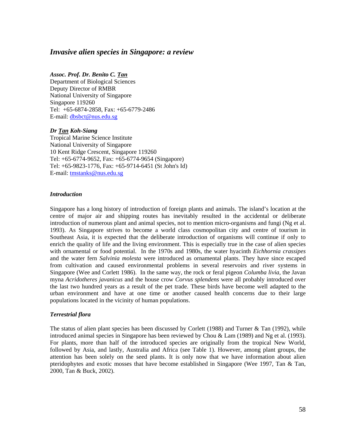## *Invasive alien species in Singapore: a review*

#### *Assoc. Prof. Dr. Benito C. Tan*

Department of Biological Sciences Deputy Director of RMBR National University of Singapore Singapore 119260 Tel: +65-6874-2858, Fax: +65-6779-2486 E-mail: dbsbct@nus.edu.sg

#### *Dr Tan Koh-Siang*

Tropical Marine Science Institute National University of Singapore 10 Kent Ridge Crescent, Singapore 119260 Tel: +65-6774-9652, Fax: +65-6774-9654 (Singapore) Tel: +65-9823-1776, Fax: +65-9714-6451 (St John's Id) E-mail: tmstanks@nus.edu.sg

#### *Introduction*

Singapore has a long history of introduction of foreign plants and animals. The island's location at the centre of major air and shipping routes has inevitably resulted in the accidental or deliberate introduction of numerous plant and animal species, not to mention micro-organisms and fungi (Ng et al. 1993). As Singapore strives to become a world class cosmopolitan city and centre of tourism in Southeast Asia, it is expected that the deliberate introduction of organisms will continue if only to enrich the quality of life and the living environment. This is especially true in the case of alien species with ornamental or food potential. In the 1970s and 1980s, the water hyacinth *Eichhornia crassipes* and the water fern *Salvinia molesta* were introduced as ornamental plants. They have since escaped from cultivation and caused environmental problems in several reservoirs and river systems in Singapore (Wee and Corlett 1986). In the same way, the rock or feral pigeon *Columba livia*, the Javan myna *Acridotheres javanicus* and the house crow *Corvus splendens* were all probably introduced over the last two hundred years as a result of the pet trade. These birds have become well adapted to the urban environment and have at one time or another caused health concerns due to their large populations located in the vicinity of human populations.

#### *Terrestrial flora*

The status of alien plant species has been discussed by Corlett (1988) and Turner & Tan (1992), while introduced animal species in Singapore has been reviewed by Chou & Lam (1989) and Ng et al. (1993). For plants, more than half of the introduced species are originally from the tropical New World, followed by Asia, and lastly, Australia and Africa (see Table 1). However, among plant groups, the attention has been solely on the seed plants. It is only now that we have information about alien pteridophytes and exotic mosses that have become established in Singapore (Wee 1997, Tan & Tan, 2000, Tan & Buck, 2002).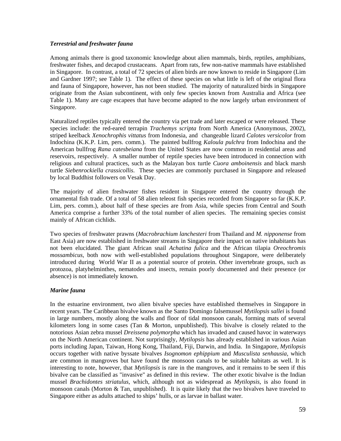## *Terrestrial and freshwater fauna*

Among animals there is good taxonomic knowledge about alien mammals, birds, reptiles, amphibians, freshwater fishes, and decapod crustaceans. Apart from rats, few non-native mammals have established in Singapore. In contrast, a total of 72 species of alien birds are now known to reside in Singapore (Lim and Gardner 1997; see Table 1). The effect of these species on what little is left of the original flora and fauna of Singapore, however, has not been studied. The majority of naturalized birds in Singapore originate from the Asian subcontinent, with only few species known from Australia and Africa (see Table 1). Many are cage escapees that have become adapted to the now largely urban environment of Singapore.

Naturalized reptiles typically entered the country via pet trade and later escaped or were released. These species include: the red-eared terrapin *Trachemys scripta* from North America (Anonymous, 2002), striped keelback *Xenochrophis vittatus* from Indonesia, and changeable lizard *Calotes versicolor* from Indochina (K.K.P. Lim, pers. comm.). The painted bullfrog *Kaloula pulchra* from Indochina and the American bullfrog *Rana catesbeiana* from the United States are now common in residential areas and reservoirs, respectively. A smaller number of reptile species have been introduced in connection with religious and cultural practices, such as the Malayan box turtle *Cuora amboinensis* and black marsh turtle *Siebenrockiella crassicollis*. These species are commonly purchased in Singapore and released by local Buddhist followers on Vesak Day.

The majority of alien freshwater fishes resident in Singapore entered the country through the ornamental fish trade. Of a total of 58 alien teleost fish species recorded from Singapore so far (K.K.P. Lim, pers. comm.), about half of these species are from Asia, while species from Central and South America comprise a further 33% of the total number of alien species. The remaining species consist mainly of African cichlids.

Two species of freshwater prawns (*Macrobrachium lanchesteri* from Thailand and *M. nipponense* from East Asia) are now established in freshwater streams in Singapore their impact on native inhabitants has not been elucidated. The giant African snail *Achatina fulica* and the African tilapia *Oreochromis mossambicus*, both now with well-established populations throughout Singapore, were deliberately introduced during World War II as a potential source of protein. Other invertebrate groups, such as protozoa, platyhelminthes, nematodes and insects, remain poorly documented and their presence (or absence) is not immediately known.

## *Marine fauna*

In the estuarine environment, two alien bivalve species have established themselves in Singapore in recent years. The Caribbean bivalve known as the Santo Domingo falsemussel *Mytilopsis sallei* is found in large numbers, mostly along the walls and floor of tidal monsoon canals, forming mats of several kilometers long in some cases (Tan & Morton, unpublished). This bivalve is closely related to the notorious Asian zebra mussel *Dreissena polymorpha* which has invaded and caused havoc in waterways on the North American continent. Not surprisingly, *Mytilopsis* has already established in various Asian ports including Japan, Taiwan, Hong Kong, Thailand, Fiji, Darwin, and India. In Singapore, *Mytilopsis* occurs together with native byssate bivalves *Isognomon ephippium* and *Musculista senhausia,* which are common in mangroves but have found the monsoon canals to be suitable habitats as well. It is interesting to note, however, that *Mytilopsis* is rare in the mangroves, and it remains to be seen if this bivalve can be classified as "invasive" as defined in this review. The other exotic bivalve is the Indian mussel *Brachidontes striatulus*, which, although not as widespread as *Mytilopsis*, is also found in monsoon canals (Morton & Tan, unpublished). It is quite likely that the two bivalves have traveled to Singapore either as adults attached to ships' hulls, or as larvae in ballast water.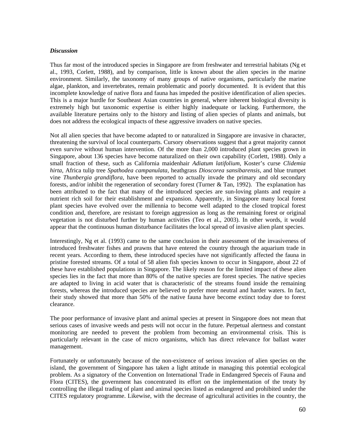#### *Discussion*

Thus far most of the introduced species in Singapore are from freshwater and terrestrial habitats (Ng et al., 1993, Corlett, 1988), and by comparison, little is known about the alien species in the marine environment. Similarly, the taxonomy of many groups of native organisms, particularly the marine algae, plankton, and invertebrates, remain problematic and poorly documented. It is evident that this incomplete knowledge of native flora and fauna has impeded the positive identification of alien species. This is a major hurdle for Southeast Asian countries in general, where inherent biological diversity is extremely high but taxonomic expertise is either highly inadequate or lacking. Furthermore, the available literature pertains only to the history and listing of alien species of plants and animals, but does not address the ecological impacts of these aggressive invaders on native species.

Not all alien species that have become adapted to or naturalized in Singapore are invasive in character, threatening the survival of local counterparts. Cursory observations suggest that a great majority cannot even survive without human intervention. Of the more than 2,000 introduced plant species grown in Singapore, about 136 species have become naturalized on their own capability (Corlett, 1988). Only a small fraction of these, such as California maidenhair *Adiatum latifolium*, Koster's curse *Clidemia hirta*, Africa tulip tree *Spathodea campanulata*, heathgrass *Dioscorea sansibarensis*, and blue trumpet vine *Thunbergia grandiflora*, have been reported to actually invade the primary and old secondary forests, and/or inhibit the regeneration of secondary forest (Turner & Tan, 1992). The explanation has been attributed to the fact that many of the introduced species are sun-loving plants and require a nutrient rich soil for their establishment and expansion. Apparently, in Singapore many local forest plant species have evolved over the millennia to become well adapted to the closed tropical forest condition and, therefore, are resistant to foreign aggression as long as the remaining forest or original vegetation is not disturbed further by human activities (Teo et al., 2003). In other words, it would appear that the continuous human disturbance facilitates the local spread of invasive alien plant species.

Interestingly, Ng et al. (1993) came to the same conclusion in their assessment of the invasiveness of introduced freshwater fishes and prawns that have entered the country through the aquarium trade in recent years. According to them, these introduced species have not significantly affected the fauna in pristine forested streams. Of a total of 58 alien fish species known to occur in Singapore, about 22 of these have established populations in Singapore. The likely reason for the limited impact of these alien species lies in the fact that more than 80% of the native species are forest species. The native species are adapted to living in acid water that is characteristic of the streams found inside the remaining forests, whereas the introduced species are believed to prefer more neutral and harder waters. In fact, their study showed that more than 50% of the native fauna have become extinct today due to forest clearance.

The poor performance of invasive plant and animal species at present in Singapore does not mean that serious cases of invasive weeds and pests will not occur in the future. Perpetual alertness and constant monitoring are needed to prevent the problem from becoming an environmental crisis. This is particularly relevant in the case of micro organisms, which has direct relevance for ballast water management.

Fortunately or unfortunately because of the non-existence of serious invasion of alien species on the island, the government of Singapore has taken a light attitude in managing this potential ecological problem. As a signatory of the Convention on International Trade in Endangered Speceis of Fauna and Flora (CITES), the government has concentrated its effort on the implementation of the treaty by controlling the illegal trading of plant and animal species listed as endangered and prohibited under the CITES regulatory programme. Likewise, with the decrease of agricultural activities in the country, the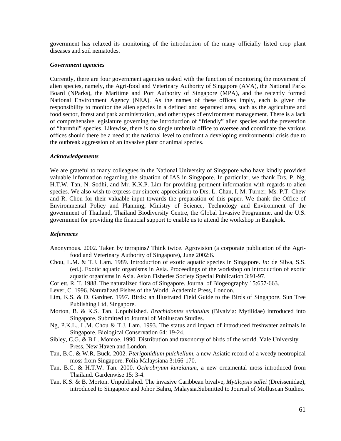government has relaxed its monitoring of the introduction of the many officially listed crop plant diseases and soil nematodes.

#### *Government agencies*

Currently, there are four government agencies tasked with the function of monitoring the movement of alien species, namely, the Agri-food and Veterinary Authority of Singapore (AVA), the National Parks Board (NParks), the Maritime and Port Authority of Singapore (MPA), and the recently formed National Environment Agency (NEA). As the names of these offices imply, each is given the responsibility to monitor the alien species in a defined and separated area, such as the agriculture and food sector, forest and park administration, and other types of environment management. There is a lack of comprehensive legislature governing the introduction of "friendly" alien species and the prevention of "harmful" species. Likewise, there is no single umbrella office to oversee and coordinate the various offices should there be a need at the national level to confront a developing environmental crisis due to the outbreak aggression of an invasive plant or animal species.

#### *Acknowledgements*

We are grateful to many colleagues in the National University of Singapore who have kindly provided valuable information regarding the situation of IAS in Singapore. In particular, we thank Drs. P. Ng, H.T.W. Tan, N. Sodhi, and Mr. K.K.P. Lim for providing pertinent information with regards to alien species. We also wish to express our sincere appreciation to Drs. L. Chan, I. M. Turner, Ms. P.T. Chew and R. Chou for their valuable input towards the preparation of this paper. We thank the Office of Environmental Policy and Planning, Ministry of Science, Technology and Environment of the government of Thailand, Thailand Biodiversity Centre, the Global Invasive Programme, and the U.S. government for providing the financial support to enable us to attend the workshop in Bangkok.

## *References*

- Anonymous. 2002. Taken by terrapins? Think twice. Agrovision (a corporate publication of the Agrifood and Veterinary Authority of Singapore), June 2002:6.
- Chou, L.M. & T.J. Lam. 1989. Introduction of exotic aquatic species in Singapore. *In:* de Silva, S.S. (ed.). Exotic aquatic organisms in Asia. Proceedings of the workshop on introduction of exotic aquatic organisms in Asia. Asian Fisheries Society Special Publication 3:91-97.
- Corlett, R. T. 1988. The naturalized flora of Singapore. Journal of Biogeography 15:657-663.
- Lever, C. 1996. Naturalized Fishes of the World. Academic Press, London.
- Lim, K.S. & D. Gardner. 1997. Birds: an Illustrated Field Guide to the Birds of Singapore. Sun Tree Publishing Ltd, Singapore.
- Morton, B. & K.S. Tan. Unpublished. *Brachidontes striatulus* (Bivalvia: Mytilidae) introduced into Singapore. Submitted to Journal of Molluscan Studies.
- Ng, P.K.L., L.M. Chou & T.J. Lam. 1993. The status and impact of introduced freshwater animals in Singapore. Biological Conservation 64: 19-24.
- Sibley, C.G. & B.L. Monroe. 1990. Distribution and taxonomy of birds of the world. Yale University Press, New Haven and London.
- Tan, B.C. & W.R. Buck. 2002. *Pterigonidium pulchellum*, a new Asiatic record of a weedy neotropical moss from Singapore. Folia Malaysiana 3:166-170.
- Tan, B.C. & H.T.W. Tan. 2000. *Ochrobryum kurzianum*, a new ornamental moss introduced from Thailand. Gardenwise 15: 3-4.
- Tan, K.S. & B. Morton. Unpublished. The invasive Caribbean bivalve, *Mytilopsis sallei* (Dreissenidae), introduced to Singapore and Johor Bahru, Malaysia.Submitted to Journal of Molluscan Studies.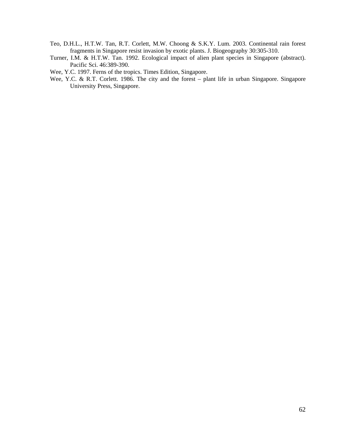- Teo, D.H.L., H.T.W. Tan, R.T. Corlett, M.W. Choong & S.K.Y. Lum. 2003. Continental rain forest fragments in Singapore resist invasion by exotic plants. J. Biogeography 30:305-310.
- Turner, I.M. & H.T.W. Tan. 1992. Ecological impact of alien plant species in Singapore (abstract). Pacific Sci. 46:389-390.
- Wee, Y.C. 1997. Ferns of the tropics. Times Edition, Singapore.
- Wee, Y.C. & R.T. Corlett. 1986. The city and the forest plant life in urban Singapore. Singapore University Press, Singapore.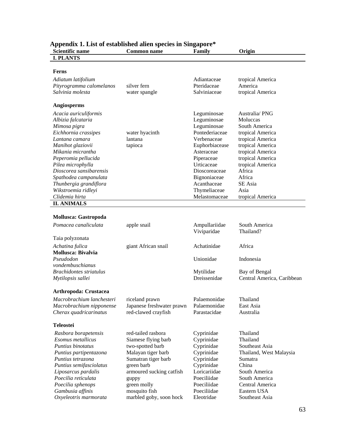| Scientific name                | спата 1. Евге от сваютелей анси врестев на внадар<br><b>Common name</b> | Family         | Origin                     |
|--------------------------------|-------------------------------------------------------------------------|----------------|----------------------------|
| <b>I. PLANTS</b>               |                                                                         |                |                            |
|                                |                                                                         |                |                            |
| Ferns                          |                                                                         |                |                            |
|                                |                                                                         |                |                            |
| Adiatum latifolium             |                                                                         | Adiantaceae    | tropical America           |
| Pityrogramma calomelanos       | silver fern                                                             | Pteridaceae    | America                    |
| Salvinia molesta               | water spangle                                                           | Salviniaceae   | tropical America           |
|                                |                                                                         |                |                            |
| <b>Angiosperms</b>             |                                                                         |                |                            |
| Acacia auriculiformis          |                                                                         | Leguminosae    | Australia/PNG              |
| Albizia falcataria             |                                                                         | Leguminosae    | Moluccas                   |
| Mimosa pigra                   |                                                                         | Leguminosae    | South America              |
| Eichhornia crassipes           | water hyacinth                                                          | Pontederiaceae | tropical America           |
| Lantana camara                 | lantana                                                                 | Verbenaceae    | tropical America           |
| Manihot glaziovii              | tapioca                                                                 | Euphorbiacease | tropical America           |
| Mikania micrantha              |                                                                         | Asteraceae     | tropical America           |
| Peperomia pellucida            |                                                                         | Piperaceae     | tropical America           |
| Pilea microphylla              |                                                                         | Urticaceae     | tropical America           |
| Dioscorea sansibarensis        |                                                                         | Dioscoreaceae  | Africa                     |
| Spathodea campanulata          |                                                                         | Bignoniaceae   | Africa                     |
| Thunbergia grandiflora         |                                                                         | Acanthaceae    | SE Asia                    |
| Wikstroemia ridleyi            |                                                                         | Thymeliaceae   | Asia                       |
| Clidemia hirta                 |                                                                         | Melastomaceae  | tropical America           |
| <b>II. ANIMALS</b>             |                                                                         |                |                            |
|                                |                                                                         |                |                            |
| Mollusca: Gastropoda           |                                                                         |                |                            |
| Pomacea canaliculata           | apple snail                                                             | Ampullariidae  | South America              |
|                                |                                                                         | Viviparidae    | Thailand?                  |
| Taia polyzonata                |                                                                         |                |                            |
| Achatina fulica                | giant African snail                                                     | Achatinidae    | Africa                     |
| <b>Mollusca: Bivalvia</b>      |                                                                         |                |                            |
| Pseudodon                      |                                                                         | Unionidae      | Indonesia                  |
| vondembuschianus               |                                                                         |                |                            |
| <b>Brachidontes striatulus</b> |                                                                         | Mytilidae      | Bay of Bengal              |
| Mytilopsis sallei              |                                                                         | Dreissenidae   | Central America, Caribbean |
|                                |                                                                         |                |                            |
| <b>Arthropoda: Crustacea</b>   |                                                                         |                |                            |
| Macrobrachium lanchesteri      | riceland prawn                                                          | Palaemonidae   | Thailand                   |
| Macrobrachium nipponense       | Japanese freshwater prawn                                               | Palaemonidae   | East Asia                  |
| Cherax quadricarinatus         | red-clawed crayfish                                                     | Parastacidae   | Australia                  |
|                                |                                                                         |                |                            |
| <b>Teleostei</b>               |                                                                         |                |                            |
| Rasbora borapetensis           | red-tailed rasbora                                                      | Cyprinidae     | Thailand                   |
| Esomus metallicus              | Siamese flying barb                                                     | Cyprinidae     | Thailand                   |
| Puntius binotatus              | two-spotted barb                                                        | Cyprinidae     | Southeast Asia             |
| Puntius partipentazona         | Malayan tiger barb                                                      | Cyprinidae     | Thailand, West Malaysia    |
| Puntius tetrazona              | Sumatran tiger barb                                                     | Cyprinidae     | Sumatra                    |
| Puntius semifasciolatus        | green barb                                                              | Cyprinidae     | China                      |
| Liposarcus pardalis            | armoured sucking catfish                                                | Loricariidae   | South America              |
| Poecilia reticulata            |                                                                         | Poeciliidae    | South America              |
| Poecilia sphenops              | guppy<br>green molly                                                    | Poeciliidae    | Central America            |
| Gambusia affinis               | mosquito fish                                                           | Poeciliidae    | Eastern USA                |
| Oxyeleotris marmorata          | marbled goby, soon hock                                                 | Eleotridae     | Southeast Asia             |
|                                |                                                                         |                |                            |

## **Appendix 1. List of established alien species in Singapore\***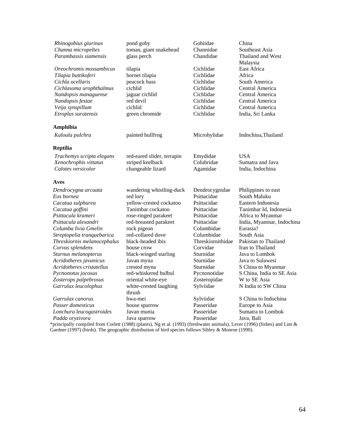| Rhinogobius giurinus        | pond goby                  | Gobiidae          | China                     |
|-----------------------------|----------------------------|-------------------|---------------------------|
| Channa micropeltes          | toman, giant snakehead     | Channidae         | Southeast Asia            |
| Parambassis siamensis       | glass perch                | Chandidae         | Thailand and West         |
|                             |                            |                   | Malaysia                  |
| Oreochromis mossambicus     | tilapia                    | Cichlidae         | East Africa               |
| Tilapia buttikoferi         | hornet tilapia             | Cichlidae         | Africa                    |
| Cichla ocellaris            | peacock bass               | Cichlidae         | South America             |
| Cichlasoma urophthalmus     | cichlid                    | Cichlidae         | Central America           |
| Nandopsis managuense        | jaguar cichlid             | Cichlidae         | Central America           |
| Nandopsis festae            | red devil                  | Cichlidae         | Central America           |
| Veija synspillum            | cichlid                    | Cichlidae         | Central America           |
| Etroplus suratensis         | green chromide             | Cichlidae         | India, Sri Lanka          |
| Amphibia                    |                            |                   |                           |
| Kaloula pulchra             | painted bullfrog           | Microhylidae      | Indochina, Thailand       |
| <b>Reptilia</b>             |                            |                   |                           |
| Trachemys scripta elegans   | red-eared slider, terrapin | Emydidae          | <b>USA</b>                |
| Xenochrophis vittatus       | striped keelback           | Colubridae        | Sumatra and Java          |
| Calotes versicolor          | changeable lizard          | Agamidae          | India, Indochina          |
| Aves                        |                            |                   |                           |
| Dendrocygna arcuata         | wandering whistling-duck   | Dendrocygnidae    | Philippines to east       |
| Eos bornea                  | red lory                   | Psittacidae       | South Maluku              |
| Cacatua sulphurea           | yellow-crested cockatoo    | Psittacidae       | Eastern Indonesia         |
| Cacatua goffini             | Tanimbar cockatoo          | Psittacidae       | Tanimbar Id, Indonesia    |
| Psittacula krameri          | rose-ringed parakeet       | Psittacidae       | Africa to Myanmar         |
| Psittacula alexandri        | red-breasted parakeet      | Psittacidae       | India, Myanmar, Indochina |
| Columba livia Gmelin        | rock pigeon                | Columbidae        | Eurasia?                  |
| Streptopelia tranquebarica  | red-collared dove          | Columbidae        | South Asia                |
| Threskiornis melanocephalus | black-headed ibis          | Threskiornithidae | Pakistan to Thailand      |
| Corvus splendens            | house crow                 | Corvidae          | Iran to Thailand          |
| Sturnus melanopterus        | black-winged starling      | Sturnidae         | Java to Lombok            |
| Acridotheres javanicus      | Javan myna                 | Sturnidae         | Java to Sulawesi          |
| Acridotheres cristatellus   | crested myna               | Sturnidae         | S China to Myanmar        |
| Pycnonotus jocosus          | red-whiskered bulbul       | Pycnonotidae      | S China, India to SE Asia |
| Zosterops palpebrosus       | oriental white-eye         | Zosteropidae      | W to SE Asia              |
| Garrulax leucolophus        | white-crested laughing     | Sylviidae         | N India to SW China       |
|                             | thrush                     |                   |                           |
| Garrulax canorus            | hwa-mei                    | Sylviidae         | S China to Indochina      |
| Passer domesticus           | house sparrow              | Passeridae        | Europe to Asia            |
| Lonchura leucogastroides    | Javan munia                | Passeridae        | Sumatra to Lombok         |
| Padda oryzivora             | Java sparrow               | Passeridae        | Java, Bali                |

\*principally compiled from Corlett (1988) (plants), Ng et al. (1993) (freshwater animals), Lever (1996) (fishes) and Lim & Gardner (1997) (birds). The geographic distribution of bird species follows Sibley & Monroe (1990).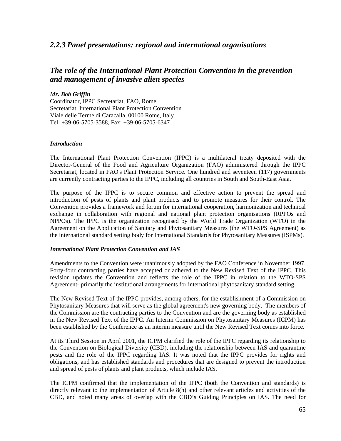## *2.2.3 Panel presentations: regional and international organisations*

# *The role of the International Plant Protection Convention in the prevention and management of invasive alien species*

## *Mr. Bob Griffin*

Coordinator, IPPC Secretariat, FAO, Rome Secretariat, International Plant Protection Convention Viale delle Terme di Caracalla, 00100 Rome, Italy Tel: +39-06-5705-3588, Fax: +39-06-5705-6347

## *Introduction*

The International Plant Protection Convention (IPPC) is a multilateral treaty deposited with the Director-General of the Food and Agriculture Organization (FAO) administered through the IPPC Secretariat, located in FAO's Plant Protection Service. One hundred and seventeen (117) governments are currently contracting parties to the IPPC, including all countries in South and South-East Asia.

The purpose of the IPPC is to secure common and effective action to prevent the spread and introduction of pests of plants and plant products and to promote measures for their control. The Convention provides a framework and forum for international cooperation, harmonization and technical exchange in collaboration with regional and national plant protection organisations (RPPOs and NPPOs). The IPPC is the organization recognised by the World Trade Organization (WTO) in the Agreement on the Application of Sanitary and Phytosanitary Measures (the WTO-SPS Agreement) as the international standard setting body for International Standards for Phytosanitary Measures (ISPMs).

## *International Plant Protection Convention and IAS*

Amendments to the Convention were unanimously adopted by the FAO Conference in November 1997. Forty-four contracting parties have accepted or adhered to the New Revised Text of the IPPC. This revision updates the Convention and reflects the role of the IPPC in relation to the WTO-SPS Agreement- primarily the institutional arrangements for international phytosanitary standard setting.

The New Revised Text of the IPPC provides, among others, for the establishment of a Commission on Phytosanitary Measures that will serve as the global agreement's new governing body. The members of the Commission are the contracting parties to the Convention and are the governing body as established in the New Revised Text of the IPPC. An Interim Commission on Phytosanitary Measures (ICPM) has been established by the Conference as an interim measure until the New Revised Text comes into force.

At its Third Session in April 2001, the ICPM clarified the role of the IPPC regarding its relationship to the Convention on Biological Diversity (CBD), including the relationship between IAS and quarantine pests and the role of the IPPC regarding IAS. It was noted that the IPPC provides for rights and obligations, and has established standards and procedures that are designed to prevent the introduction and spread of pests of plants and plant products, which include IAS.

The ICPM confirmed that the implementation of the IPPC (both the Convention and standards) is directly relevant to the implementation of Article 8(h) and other relevant articles and activities of the CBD, and noted many areas of overlap with the CBD's Guiding Principles on IAS. The need for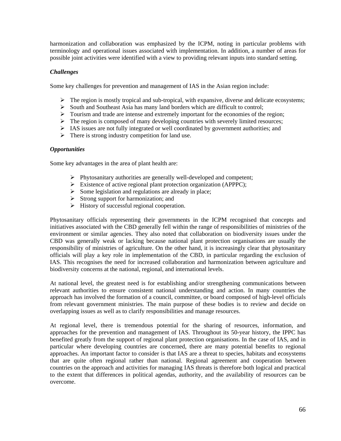harmonization and collaboration was emphasized by the ICPM, noting in particular problems with terminology and operational issues associated with implementation. In addition, a number of areas for possible joint activities were identified with a view to providing relevant inputs into standard setting.

## *Challenges*

Some key challenges for prevention and management of IAS in the Asian region include:

- $\triangleright$  The region is mostly tropical and sub-tropical, with expansive, diverse and delicate ecosystems;
- $\triangleright$  South and Southeast Asia has many land borders which are difficult to control;
- $\triangleright$  Tourism and trade are intense and extremely important for the economies of the region;
- $\triangleright$  The region is composed of many developing countries with severely limited resources;
- ! IAS issues are not fully integrated or well coordinated by government authorities; and
- $\triangleright$  There is strong industry competition for land use.

## *Opportunities*

Some key advantages in the area of plant health are:

- $\triangleright$  Phytosanitary authorities are generally well-developed and competent;
- $\triangleright$  Existence of active regional plant protection organization (APPPC);
- $\triangleright$  Some legislation and regulations are already in place;
- $\triangleright$  Strong support for harmonization; and
- $\triangleright$  History of successful regional cooperation.

Phytosanitary officials representing their governments in the ICPM recognised that concepts and initiatives associated with the CBD generally fell within the range of responsibilities of ministries of the environment or similar agencies. They also noted that collaboration on biodiversity issues under the CBD was generally weak or lacking because national plant protection organisations are usually the responsibility of ministries of agriculture. On the other hand, it is increasingly clear that phytosanitary officials will play a key role in implementation of the CBD, in particular regarding the exclusion of IAS. This recognises the need for increased collaboration and harmonization between agriculture and biodiversity concerns at the national, regional, and international levels.

At national level, the greatest need is for establishing and/or strengthening communications between relevant authorities to ensure consistent national understanding and action. In many countries the approach has involved the formation of a council, committee, or board composed of high-level officials from relevant government ministries. The main purpose of these bodies is to review and decide on overlapping issues as well as to clarify responsibilities and manage resources.

At regional level, there is tremendous potential for the sharing of resources, information, and approaches for the prevention and management of IAS. Throughout its 50-year history, the IPPC has benefited greatly from the support of regional plant protection organisations. In the case of IAS, and in particular where developing countries are concerned, there are many potential benefits to regional approaches. An important factor to consider is that IAS are a threat to species, habitats and ecosystems that are quite often regional rather than national. Regional agreement and cooperation between countries on the approach and activities for managing IAS threats is therefore both logical and practical to the extent that differences in political agendas, authority, and the availability of resources can be overcome.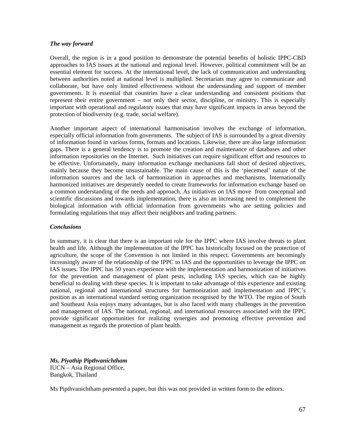#### *The way forward*

Overall, the region is in a good position to demonstrate the potential benefits of holistic IPPC-CBD approaches to IAS issues at the national and regional level. However, political commitment will be an essential element for success. At the international level, the lack of communication and understanding between authorities noted at national level is multiplied. Secretariats may agree to communicate and collaborate, but have only limited effectiveness without the understanding and support of member governments. It is essential that countries have a clear understanding and consistent positions that represent their entire government – not only their sector, discipline, or ministry. This is especially important with operational and regulatory issues that may have significant impacts in areas beyond the protection of biodiversity (e.g. trade, social welfare).

Another important aspect of international harmonisation involves the exchange of information, especially official information from governments. The subject of IAS is surrounded by a great diversity of information found in various forms, formats and locations. Likewise, there are also large information gaps. There is a general tendency is to promote the creation and maintenance of databases and other information repositories on the Internet. Such initiatives can require significant effort and resources to be effective. Unfortunately, many information exchange mechanisms fall short of desired objectives, mainly because they become unsustainable. The main cause of this is the 'piecemeal' nature of the information sources and the lack of harmonization in approaches and mechanisms. Internationally harmonized initiatives are desperately needed to create frameworks for information exchange based on a common understanding of the needs and approach. As initiatives on IAS move from conceptual and scientific discussions and towards implementation, there is also an increasing need to complement the biological information with official information from governments who are setting policies and formulating regulations that may affect their neighbors and trading partners.

## *Conclusions*

In summary, it is clear that there is an important role for the IPPC where IAS involve threats to plant health and life. Although the implementation of the IPPC has historically focused on the protection of agriculture, the scope of the Convention is not limited in this respect. Governments are becomingly increasingly aware of the relationship of the IPPC to IAS and the opportunities to leverage the IPPC on IAS issues. The IPPC has 50 years experience with the implementation and harmonization of initiatives for the prevention and management of plant pests, including IAS species, which can be highly beneficial to dealing with these species. It is important to take advantage of this experience and existing national, regional and international structures for harmonization and implementation and IPPC's position as an international standard setting organization recognised by the WTO. The region of South and Southeast Asia enjoys many advantages, but is also faced with many challenges in the prevention and management of IAS. The national, regional, and international resources associated with the IPPC provide significant opportunities for realizing synergies and promoting effective prevention and management as regards the protection of plant health.

*Ms. Piyathip Pipthvanichtham*  IUCN – Asia Regional Office, Bangkok, Thailand

Ms Pipthvanichtham presented a paper, but this was not provided in written form to the editors.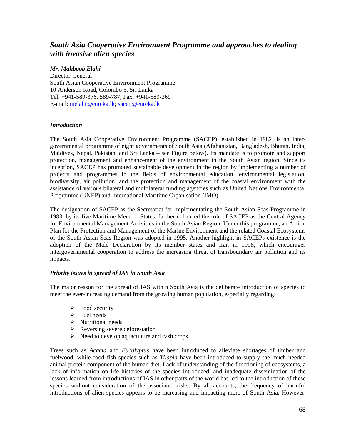# *South Asia Cooperative Environment Programme and approaches to dealing with invasive alien species*

## *Mr. Mahboob Elahi*

Director-General South Asian Cooperative Environment Programme 10 Anderson Road, Colombo 5, Sri Lanka Tel: +941-589-376, 589-787, Fax: +941-589-369 E-mail: melahi@eureka.lk; sacep@eureka.lk

## *Introduction*

The South Asia Cooperative Environment Programme (SACEP), established in 1982, is an intergovernmental programme of eight governments of South Asia (Afghanistan, Bangladesh, Bhutan, India, Maldives, Nepal, Pakistan, and Sri Lanka – see Figure below). Its mandate is to promote and support protection, management and enhancement of the environment in the South Asian region. Since its inception, SACEP has promoted sustainable development in the region by implementing a number of projects and programmes in the fields of environmental education, environmental legislation, biodiversity, air pollution, and the protection and management of the coastal environment with the assistance of various bilateral and multilateral funding agencies such as United Nations Environmental Programme (UNEP) and International Maritime Organisation (IMO).

The designation of SACEP as the Secretariat for implementating the South Asian Seas Programme in 1983, by its five Maritime Member States, further enhanced the role of SACEP as the Central Agency for Environmental Management Activities in the South Asian Region. Under this programme, an Action Plan for the Protection and Management of the Marine Environment and the related Coastal Ecosystems of the South Asian Seas Region was adopted in 1995. Another highlight in SACEPs existence is the adoption of the Malé Declaration by its member states and Iran in 1998, which encourages intergovernmental cooperation to address the increasing threat of transboundary air pollution and its impacts.

## *Priority issues in spread of IAS in South Asia*

The major reason for the spread of IAS within South Asia is the deliberate introduction of species to meet the ever-increasing demand from the growing human population, especially regarding:

- $\triangleright$  Food security
- $\triangleright$  Fuel needs
- $\triangleright$  Nutritional needs
- $\triangleright$  Reversing severe deforestation
- $\triangleright$  Need to develop aquaculture and cash crops.

Trees such as *Acacia* and *Eucalyptus* have been introduced to alleviate shortages of timber and fuelwood, while food fish species such as *Tilapia* have been introduced to supply the much needed animal protein component of the human diet. Lack of understanding of the functioning of ecosystems, a lack of information on life histories of the species introduced, and inadequate dissemination of the lessons learned from introductions of IAS in other parts of the world has led to the introduction of these species without consideration of the associated risks. By all accounts, the frequency of harmful introductions of alien species appears to be increasing and impacting more of South Asia. However,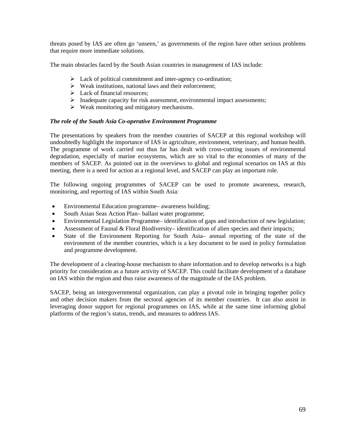threats posed by IAS are often go 'unseen,' as governments of the region have other serious problems that require more immediate solutions.

The main obstacles faced by the South Asian countries in management of IAS include:

- $\triangleright$  Lack of political commitment and inter-agency co-ordination;
- $\triangleright$  Weak institutions, national laws and their enforcement;
- $\triangleright$  Lack of financial resources;
- $\triangleright$  Inadequate capacity for risk assessment, environmental impact assessments;
- $\triangleright$  Weak monitoring and mitigatory mechanisms.

#### *The role of the South Asia Co-operative Environment Programme*

The presentations by speakers from the member countries of SACEP at this regional workshop will undoubtedly highlight the importance of IAS in agriculture, environment, veterinary, and human health. The programme of work carried out thus far has dealt with cross-cuttting issues of environmental degradation, especially of marine ecosystems, which are so vital to the economies of many of the members of SACEP. As pointed out in the overviews to global and regional scenarios on IAS at this meeting, there is a need for action at a regional level, and SACEP can play an important role.

The following ongoing programmes of SACEP can be used to promote awareness, research, monitoring, and reporting of IAS within South Asia:

- Environmental Education programme– awareness building;
- South Asian Seas Action Plan– ballast water programme;
- Environmental Legislation Programme– identification of gaps and introduction of new legislation;
- Assessment of Faunal & Floral Biodiversity– identification of alien species and their impacts;
- State of the Environment Reporting for South Asia– annual reporting of the state of the environment of the member countries, which is a key document to be used in policy formulation and programme development.

The development of a clearing-house mechanism to share information and to develop networks is a high priority for consideration as a future activity of SACEP. This could facilitate development of a database on IAS within the region and thus raise awareness of the magnitude of the IAS problem.

SACEP, being an intergovernmental organization, can play a pivotal role in bringing together policy and other decision makers from the sectoral agencies of its member countries. It can also assist in leveraging donor support for regional programmes on IAS, while at the same time informing global platforms of the region's status, trends, and measures to address IAS.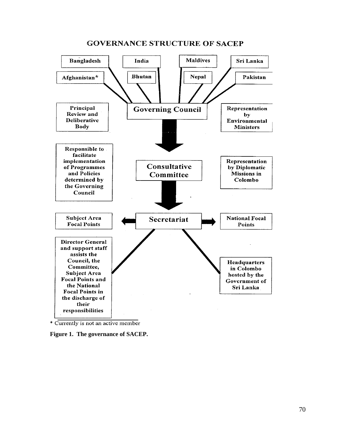

## **GOVERNANCE STRUCTURE OF SACEP**

\* Currently is not an active member

**Figure 1. The governance of SACEP.**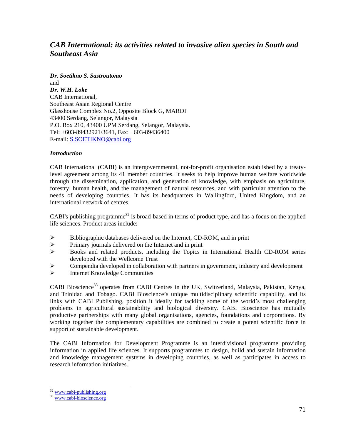# *CAB International: its activities related to invasive alien species in South and Southeast Asia*

*Dr. Soetikno S. Sastroutomo*  and *Dr. W.H. Loke*  CAB International, Southeast Asian Regional Centre Glasshouse Complex No.2, Opposite Block G, MARDI 43400 Serdang, Selangor, Malaysia P.O. Box 210, 43400 UPM Serdang, Selangor, Malaysia. Tel: +603-89432921/3641, Fax: +603-89436400 E-mail: S.SOETIKNO@cabi.org

## *Introduction*

CAB International (CABI) is an intergovernmental, not-for-profit organisation established by a treatylevel agreement among its 41 member countries. It seeks to help improve human welfare worldwide through the dissemination, application, and generation of knowledge, with emphasis on agriculture, forestry, human health, and the management of natural resources, and with particular attention to the needs of developing countries. It has its headquarters in Wallingford, United Kingdom, and an international network of centres.

CABI's publishing programme<sup>32</sup> is broad-based in terms of product type, and has a focus on the applied life sciences. Product areas include:

- $\triangleright$  Bibliographic databases delivered on the Internet, CD-ROM, and in print
- ! Primary journals delivered on the Internet and in print
- $\triangleright$  Books and related products, including the Topics in International Health CD-ROM series developed with the Wellcome Trust
- $\triangleright$  Compendia developed in collaboration with partners in government, industry and development<br>
Internet Knowledge Communities
- ! Internet Knowledge Communities

CABI Bioscience<sup>33</sup> operates from CABI Centres in the UK, Switzerland, Malaysia, Pakistan, Kenya, and Trinidad and Tobago. CABI Bioscience's unique multidisciplinary scientific capability, and its links with CABI Publishing, position it ideally for tackling some of the world's most challenging problems in agricultural sustainability and biological diversity. CABI Bioscience has mutually productive partnerships with many global organisations, agencies, foundations and corporations. By working together the complementary capabilities are combined to create a potent scientific force in support of sustainable development.

The CABI Information for Development Programme is an interdivisional programme providing information in applied life sciences. It supports programmes to design, build and sustain information and knowledge management systems in developing countries, as well as participates in access to research information initiatives.

<sup>&</sup>lt;sup>32</sup> www.cabi-publishing.org

<sup>33</sup> www.cabi-bioscience.org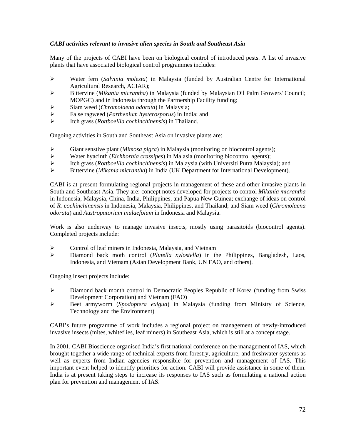## *CABI activities relevant to invasive alien species in South and Southeast Asia*

Many of the projects of CABI have been on biological control of introduced pests. A list of invasive plants that have associated biological control programmes includes:

- ! Water fern (*Salvinia molesta*) in Malaysia (funded by Australian Centre for International Agricultural Research, ACIAR);
- ! Bittervine (*Mikania micrantha*) in Malaysia (funded by Malaysian Oil Palm Growers' Council; MOPGC) and in Indonesia through the Partnership Facility funding;
- ! Siam weed (*Chromolaena odorata*) in Malaysia;
- ! False ragweed (*Parthenium hysterosporus*) in India; and
- ! Itch grass (*Rottboellia cochinchinensis*) in Thailand.

Ongoing activities in South and Southeast Asia on invasive plants are:

- > Giant senstive plant (*Mimosa pigra*) in Malaysia (monitoring on biocontrol agents);<br>
→ Water hyacinth (*Eichhornia crassines*) in Malasia (monitoring biocontrol agents):
- ! Water hyacinth (*Eichhornia crassipes*) in Malasia (monitoring biocontrol agents);
- ! Itch grass (*Rottboellia cochinchinensis*) in Malaysia (with Universiti Putra Malaysia); and
- ! Bittervine (*Mikania micrantha*) in India (UK Department for International Development).

CABI is at present formulating regional projects in management of these and other invasive plants in South and Southeast Asia. They are: concept notes developed for projects to control *Mikania micrantha* in Indonesia, Malaysia, China, India, Philippines, and Papua New Guinea; exchange of ideas on control of *R. cochinchinensis* in Indonesia, Malaysia, Philippines, and Thailand; and Siam weed (*Chromolaena odorata*) and *Austropatorium inulaefoium* in Indonesia and Malaysia.

Work is also underway to manage invasive insects, mostly using parasitoids (biocontrol agents). Completed projects include:

- $\triangleright$  Control of leaf miners in Indonesia, Malaysia, and Vietnam
- ! Diamond back moth control (*Plutella xylostella*) in the Philippines, Bangladesh, Laos, Indonesia, and Vietnam (Asian Development Bank, UN FAO, and others).

Ongoing insect projects include:

- ! Diamond back month control in Democratic Peoples Republic of Korea (funding from Swiss Development Corporation) and Vietnam (FAO)
- ! Beet armyworm (*Spodoptera exigua*) in Malaysia (funding from Ministry of Science, Technology and the Environment)

CABI's future programme of work includes a regional project on management of newly-introduced invasive insects (mites, whiteflies, leaf miners) in Southeast Asia, which is still at a concept stage.

In 2001, CABI Bioscience organised India's first national conference on the management of IAS, which brought together a wide range of technical experts from forestry, agriculture, and freshwater systems as well as experts from Indian agencies responsible for prevention and management of IAS. This important event helped to identify priorities for action. CABI will provide assistance in some of them. India is at present taking steps to increase its responses to IAS such as formulating a national action plan for prevention and management of IAS.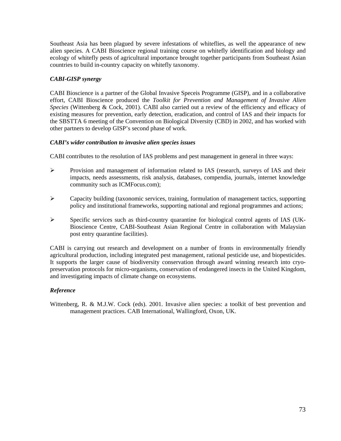Southeast Asia has been plagued by severe infestations of whiteflies, as well the appearance of new alien species. A CABI Bioscience regional training course on whitefly identification and biology and ecology of whitefly pests of agricultural importance brought together participants from Southeast Asian countries to build in-country capacity on whitefly taxonomy.

## *CABI-GISP synergy*

CABI Bioscience is a partner of the Global Invasive Speceis Programme (GISP), and in a collaborative effort, CABI Bioscience produced the *Toolkit for Prevention and Management of Invasive Alien Species* (Wittenberg & Cock, 2001). CABI also carried out a review of the efficiency and efficacy of existing measures for prevention, early detection, eradication, and control of IAS and their impacts for the SBSTTA 6 meeting of the Convention on Biological Diversity (CBD) in 2002, and has worked with other partners to develop GISP's second phase of work.

## *CABI's wider contribution to invasive alien species issues*

CABI contributes to the resolution of IAS problems and pest management in general in three ways:

- ! Provision and management of information related to IAS (research, surveys of IAS and their impacts, needs assessments, risk analysis, databases, compendia, journals, internet knowledge community such as ICMFocus.com);
- ! Capacity building (taxonomic services, training, formulation of management tactics, supporting policy and institutional frameworks, supporting national and regional programmes and actions;
- ! Specific services such as third-country quarantine for biological control agents of IAS (UK-Bioscience Centre, CABI-Southeast Asian Regional Centre in collaboration with Malaysian post entry quarantine facilities).

CABI is carrying out research and development on a number of fronts in environmentally friendly agricultural production, including integrated pest management, rational pesticide use, and biopesticides. It supports the larger cause of biodiversity conservation through award winning research into cryopreservation protocols for micro-organisms, conservation of endangered insects in the United Kingdom, and investigating impacts of climate change on ecosystems.

## *Reference*

Wittenberg, R. & M.J.W. Cock (eds). 2001. Invasive alien species: a toolkit of best prevention and management practices. CAB International, Wallingford, Oxon, UK.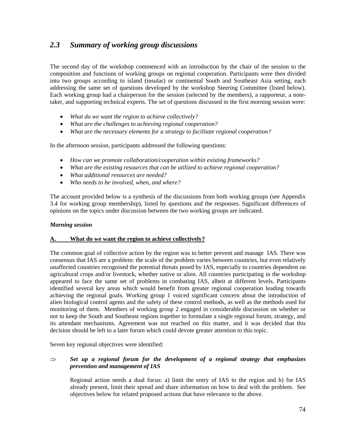# *2.3 Summary of working group discussions*

The second day of the workshop commenced with an introduction by the chair of the session to the composition and functions of working groups on regional cooperation. Participants were then divided into two groups according to island (insular) or continental South and Southeast Asia setting, each addressing the same set of questions developed by the workshop Steering Committee (listed below). Each working group had a chairperson for the session (selected by the members), a rapporteur, a notetaker, and supporting technical experts. The set of questions discussed in the first morning session were:

- *What do we want the region to achieve collectively?*
- *What are the challenges to achieving regional cooperation?*
- *What are the necessary elements for a strategy to facilitate regional cooperation?*

In the afternoon session, participants addressed the following questions:

- *How can we promote collaboration/cooperation within existing frameworks?*
- *What are the existing resources that can be utilized to achieve regional cooperation?*
- *What additional resources are needed?*
- *Who needs to be involved, when, and where?*

The account provided below is a synthesis of the discussions from both working groups (see Appendix 3.4 for working group membership), listed by questions and the responses. Significant differences of opinions on the topics under discussion between the two working groups are indicated.

## *Morning session*

## **A. What do we want the region to achieve collectively?**

The common goal of collective action by the region was to better prevent and manage IAS. There was consensus that IAS are a problem: the scale of the problem varies between countries, but even relatively unaffected countries recognised the potential threats posed by IAS, especially to countries dependent on agricultural crops and/or livestock, whether native or alien. All countries participating in the workshop appeared to face the same set of problems in combating IAS, albeit at different levels. Participants identified several key areas which would benefit from greater regional cooperation leading towards achieving the regional goals. Working group 1 voiced significant concern about the introduction of alien biological control agents and the safety of these control methods, as well as the methods used for monitoring of them. Members of working group 2 engaged in considerable discussion on whether or not to keep the South and Southeast regions together to formulate a single regional forum, strategy, and its attendant mechanisms. Agreement was not reached on this matter, and it was decided that this decision should be left to a later forum which could devote greater attention to this topic.

Seven key regional objectives were identified:

## ⇒ *Set up a regional forum for the development of a regional strategy that emphasizes prevention and management of IAS*

Regional action needs a dual focus: a) limit the entry of IAS to the region and b) for IAS already present, limit their spread and share information on how to deal with the problem. See objectives below for related proposed actions that have relevance to the above.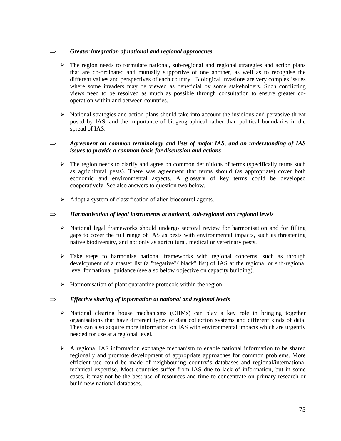## ⇒ *Greater integration of national and regional approaches*

- $\triangleright$  The region needs to formulate national, sub-regional and regional strategies and action plans that are co-ordinated and mutually supportive of one another, as well as to recognise the different values and perspectives of each country. Biological invasions are very complex issues where some invaders may be viewed as beneficial by some stakeholders. Such conflicting views need to be resolved as much as possible through consultation to ensure greater cooperation within and between countries.
- $\triangleright$  National strategies and action plans should take into account the insidious and pervasive threat posed by IAS, and the importance of biogeographical rather than political boundaries in the spread of IAS.

## ⇒ *Agreement on common terminology and lists of major IAS, and an understanding of IAS issues to provide a common basis for discussion and actions*

- $\triangleright$  The region needs to clarify and agree on common definitions of terms (specifically terms such as agricultural pests). There was agreement that terms should (as appropriate) cover both economic and environmental aspects. A glossary of key terms could be developed cooperatively. See also answers to question two below.
- $\triangleright$  Adopt a system of classification of alien biocontrol agents.

## ⇒ *Harmonisation of legal instruments at national, sub-regional and regional levels*

- $\triangleright$  National legal frameworks should undergo sectoral review for harmonisation and for filling gaps to cover the full range of IAS as pests with environmental impacts, such as threatening native biodiversity, and not only as agricultural, medical or veterinary pests.
- $\triangleright$  Take steps to harmonise national frameworks with regional concerns, such as through development of a master list (a "negative"/"black" list) of IAS at the regional or sub-regional level for national guidance (see also below objective on capacity building).
- $\triangleright$  Harmonisation of plant quarantine protocols within the region.

## ⇒ *Effective sharing of information at national and regional levels*

- $\triangleright$  National clearing house mechanisms (CHMs) can play a key role in bringing together organisations that have different types of data collection systems and different kinds of data. They can also acquire more information on IAS with environmental impacts which are urgently needed for use at a regional level.
- $\triangleright$  A regional IAS information exchange mechanism to enable national information to be shared regionally and promote development of appropriate approaches for common problems. More efficient use could be made of neighbouring country's databases and regional/international technical expertise. Most countries suffer from IAS due to lack of information, but in some cases, it may not be the best use of resources and time to concentrate on primary research or build new national databases.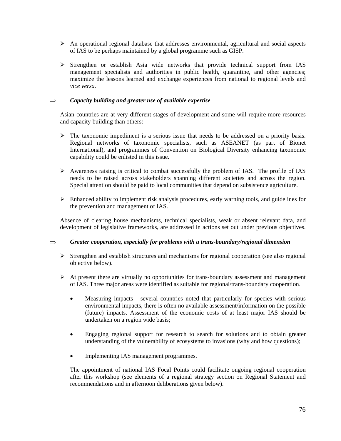- $\triangleright$  An operational regional database that addresses environmental, agricultural and social aspects of IAS to be perhaps maintained by a global programme such as GISP.
- ! Strengthen or establish Asia wide networks that provide technical support from IAS management specialists and authorities in public health, quarantine, and other agencies; maximize the lessons learned and exchange experiences from national to regional levels and *vice versa.*

## ⇒ *Capacity building and greater use of available expertise*

Asian countries are at very different stages of development and some will require more resources and capacity building than others:

- $\triangleright$  The taxonomic impediment is a serious issue that needs to be addressed on a priority basis. Regional networks of taxonomic specialists, such as ASEANET (as part of Bionet International), and programmes of Convention on Biological Diversity enhancing taxonomic capability could be enlisted in this issue.
- $\triangleright$  Awareness raising is critical to combat successfully the problem of IAS. The profile of IAS needs to be raised across stakeholders spanning different societies and across the region. Special attention should be paid to local communities that depend on subsistence agriculture.
- $\triangleright$  Enhanced ability to implement risk analysis procedures, early warning tools, and guidelines for the prevention and management of IAS.

Absence of clearing house mechanisms, technical specialists, weak or absent relevant data, and development of legislative frameworks, are addressed in actions set out under previous objectives.

## ⇒ *Greater cooperation, especially for problems with a trans-boundary/regional dimension*

- $\triangleright$  Strengthen and establish structures and mechanisms for regional cooperation (see also regional objective below).
- $\triangleright$  At present there are virtually no opportunities for trans-boundary assessment and management of IAS. Three major areas were identified as suitable for regional/trans-boundary cooperation.
	- Measuring impacts several countries noted that particularly for species with serious environmental impacts, there is often no available assessment/information on the possible (future) impacts. Assessment of the economic costs of at least major IAS should be undertaken on a region wide basis;
	- Engaging regional support for research to search for solutions and to obtain greater understanding of the vulnerability of ecosystems to invasions (why and how questions);
	- Implementing IAS management programmes.

The appointment of national IAS Focal Points could facilitate ongoing regional cooperation after this workshop (see elements of a regional strategy section on Regional Statement and recommendations and in afternoon deliberations given below).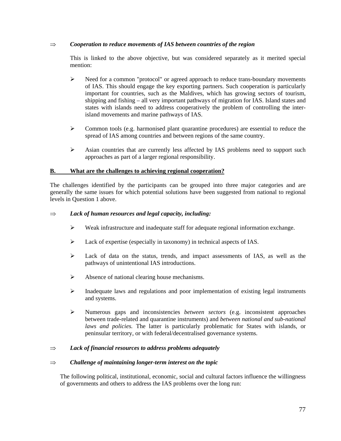## ⇒ *Cooperation to reduce movements of IAS between countries of the region*

This is linked to the above objective, but was considered separately as it merited special mention:

- ! Need for a common "protocol" or agreed approach to reduce trans-boundary movements of IAS. This should engage the key exporting partners. Such cooperation is particularly important for countries, such as the Maldives, which has growing sectors of tourism, shipping and fishing – all very important pathways of migration for IAS. Island states and states with islands need to address cooperatively the problem of controlling the interisland movements and marine pathways of IAS.
- ! Common tools (e.g. harmonised plant quarantine procedures) are essential to reduce the spread of IAS among countries and between regions of the same country.
- > Asian countries that are currently less affected by IAS problems need to support such approaches as part of a larger regional responsibility.

## **B. What are the challenges to achieving regional cooperation?**

The challenges identified by the participants can be grouped into three major categories and are generally the same issues for which potential solutions have been suggested from national to regional levels in Question 1 above.

## ⇒ *Lack of human resources and legal capacity, including:*

- $\triangleright$  Weak infrastructure and inadequate staff for adequate regional information exchange.
- ! Lack of expertise (especially in taxonomy) in technical aspects of IAS.
- ! Lack of data on the status, trends, and impact assessments of IAS, as well as the pathways of unintentional IAS introductions.
- $\triangleright$  Absence of national clearing house mechanisms.
- $\triangleright$  Inadequate laws and regulations and poor implementation of existing legal instruments and systems.
- ! Numerous gaps and inconsistencies *between sectors* (e.g. inconsistent approaches between trade-related and quarantine instruments) and *between national and sub-national laws and policies.* The latter is particularly problematic for States with islands, or peninsular territory, or with federal/decentralised governance systems.

## ⇒ *Lack of financial resources to address problems adequately*

## ⇒ *Challenge of maintaining longer-term interest on the topic*

The following political, institutional, economic, social and cultural factors influence the willingness of governments and others to address the IAS problems over the long run: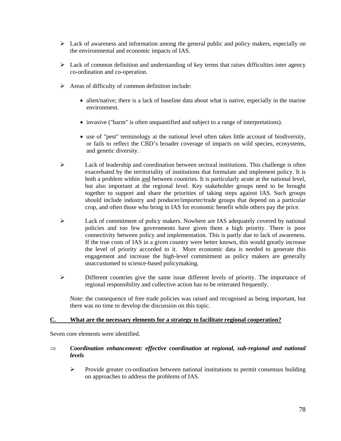- $\triangleright$  Lack of awareness and information among the general public and policy makers, especially on the environmental and economic impacts of IAS.
- $\triangleright$  Lack of common definition and understanding of key terms that raises difficulties inter agency co-ordination and co-operation.
- $\triangleright$  Areas of difficulty of common definition include:
	- alien/native; there is a lack of baseline data about what is native, especially in the marine environment.
	- invasive ("harm" is often unquantified and subject to a range of interpretations).
	- use of "pest" terminology at the national level often takes little account of biodiversity, or fails to reflect the CBD's broader coverage of impacts on wild species, ecosystems, and genetic diversity.
- $\triangleright$  Lack of leadership and coordination between sectoral institutions. This challenge is often exacerbated by the territoriality of institutions that formulate and implement policy. It is both a problem within and between countries. It is particularly acute at the national level, but also important at the regional level. Key stakeholder groups need to be brought together to support and share the priorities of taking steps against IAS. Such groups should include industry and producer/importer/trade groups that depend on a particular crop, and often those who bring in IAS for economic benefit while others pay the price.
- $\triangleright$  Lack of commitment of policy makers. Nowhere are IAS adequately covered by national policies and too few governments have given them a high priority. There is poor connectivity between policy and implementation. This is partly due to lack of awareness. If the true costs of IAS in a given country were better known, this would greatly increase the level of priority accorded to it. More economic data is needed to generate this engagement and increase the high-level commitment as policy makers are generally unaccustomed to science-based policymaking.
- $\triangleright$  Different countries give the same issue different levels of priority. The importance of regional responsibility and collective action has to be reiterated frequently.

Note: the consequence of free trade policies was raised and recognised as being important, but there was no time to develop the discussion on this topic.

## **C. What are the necessary elements for a strategy to facilitate regional cooperation?**

Seven core elements were identified.

## ⇒ *Coordination enhancement: effective coordination at regional, sub-regional and national levels*

 $\triangleright$  Provide greater co-ordination between national institutions to permit consensus building on approaches to address the problems of IAS.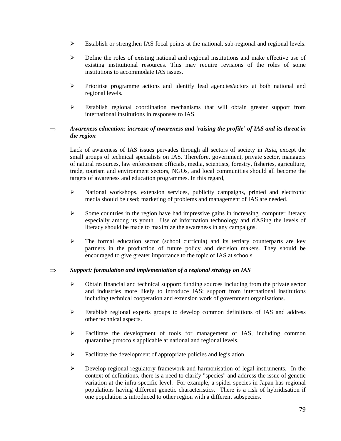- $\triangleright$  Establish or strengthen IAS focal points at the national, sub-regional and regional levels.
- ! Define the roles of existing national and regional institutions and make effective use of existing institutional resources. This may require revisions of the roles of some institutions to accommodate IAS issues.
- $\triangleright$  Prioritise programme actions and identify lead agencies/actors at both national and regional levels.
- Establish regional coordination mechanisms that will obtain greater support from international institutions in responses to IAS.

## ⇒ *Awareness education: increase of awareness and 'raising the profile' of IAS and its threat in the region*

Lack of awareness of IAS issues pervades through all sectors of society in Asia, except the small groups of technical specialists on IAS. Therefore, government, private sector, managers of natural resources, law enforcement officials, media, scientists, forestry, fisheries, agriculture, trade, tourism and environment sectors, NGOs, and local communities should all become the targets of awareness and education programmes. In this regard,

- ! National workshops, extension services, publicity campaigns, printed and electronic media should be used; marketing of problems and management of IAS are needed.
- $\triangleright$  Some countries in the region have had impressive gains in increasing computer literacy especially among its youth. Use of information technology and rIASing the levels of literacy should be made to maximize the awareness in any campaigns.
- $\triangleright$  The formal education sector (school curricula) and its tertiary counterparts are key partners in the production of future policy and decision makers. They should be encouraged to give greater importance to the topic of IAS at schools.

## ⇒ *Support: formulation and implementation of a regional strategy on IAS*

- $\triangleright$  Obtain financial and technical support: funding sources including from the private sector and industries more likely to introduce IAS; support from international institutions including technical cooperation and extension work of government organisations.
- ! Establish regional experts groups to develop common definitions of IAS and address other technical aspects.
- $\triangleright$  Facilitate the development of tools for management of IAS, including common quarantine protocols applicable at national and regional levels.
- $\triangleright$  Facilitate the development of appropriate policies and legislation.
- $\triangleright$  Develop regional regulatory framework and harmonisation of legal instruments. In the context of definitions, there is a need to clarify "species" and address the issue of genetic variation at the infra-specific level. For example, a spider species in Japan has regional populations having different genetic characteristics. There is a risk of hybridisation if one population is introduced to other region with a different subspecies.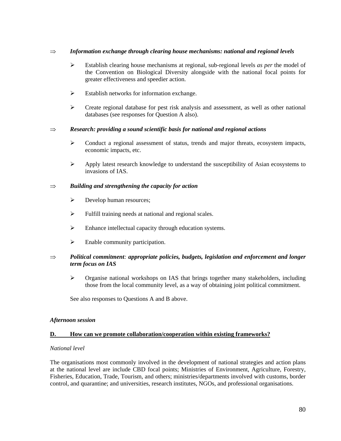## ⇒ *Information exchange through clearing house mechanisms: national and regional levels*

- ! Establish clearing house mechanisms at regional, sub-regional levels *as per* the model of the Convention on Biological Diversity alongside with the national focal points for greater effectiveness and speedier action.
- $\triangleright$  Establish networks for information exchange.
- $\triangleright$  Create regional database for pest risk analysis and assessment, as well as other national databases (see responses for Question A also).

## ⇒ *Research: providing a sound scientific basis for national and regional actions*

- $\triangleright$  Conduct a regional assessment of status, trends and major threats, ecosystem impacts, economic impacts, etc.
- $\triangleright$  Apply latest research knowledge to understand the susceptibility of Asian ecosystems to invasions of IAS.

## ⇒ *Building and strengthening the capacity for action*

- $\triangleright$  Develop human resources;
- $\triangleright$  Fulfill training needs at national and regional scales.
- $\triangleright$  Enhance intellectual capacity through education systems.
- $\triangleright$  Enable community participation.

## ⇒ *Political commitment: appropriate policies, budgets, legislation and enforcement and longer term focus on IAS*

 $\triangleright$  Organise national workshops on IAS that brings together many stakeholders, including those from the local community level, as a way of obtaining joint political commitment.

See also responses to Questions A and B above.

## *Afternoon session*

## **D. How can we promote collaboration/cooperation within existing frameworks?**

## *National level*

The organisations most commonly involved in the development of national strategies and action plans at the national level are include CBD focal points; Ministries of Environment, Agriculture, Forestry, Fisheries, Education, Trade, Tourism, and others; ministries/departments involved with customs, border control, and quarantine; and universities, research institutes, NGOs, and professional organisations.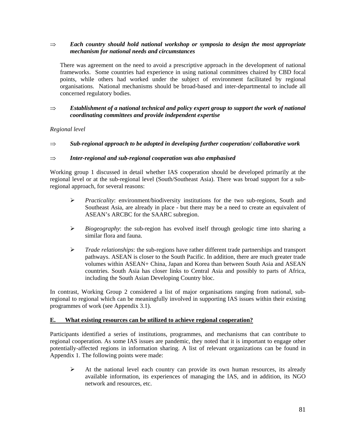## ⇒ *Each country should hold national workshop or symposia to design the most appropriate mechanism for national needs and circumstances*

There was agreement on the need to avoid a prescriptive approach in the development of national frameworks. Some countries had experience in using national committees chaired by CBD focal points, while others had worked under the subject of environment facilitated by regional organisations. National mechanisms should be broad-based and inter-departmental to include all concerned regulatory bodies.

## ⇒ *Establishment of a national technical and policy expert group to support the work of national coordinating committees and provide independent expertise*

## *Regional level*

## ⇒ *Sub-regional approach to be adopted in developing further cooperation/ collaborative work*

## ⇒ *Inter-regional and sub-regional cooperation was also emphasised*

Working group 1 discussed in detail whether IAS cooperation should be developed primarily at the regional level or at the sub-regional level (South/Southeast Asia). There was broad support for a subregional approach, for several reasons:

- ! *Practicality*: environment/biodiversity institutions for the two sub-regions, South and Southeast Asia, are already in place - but there may be a need to create an equivalent of ASEAN's ARCBC for the SAARC subregion.
- ! *Biogeography*: the sub-region has evolved itself through geologic time into sharing a similar flora and fauna.
- ! *Trade relationships*: the sub-regions have rather different trade partnerships and transport pathways. ASEAN is closer to the South Pacific. In addition, there are much greater trade volumes within ASEAN+ China, Japan and Korea than between South Asia and ASEAN countries. South Asia has closer links to Central Asia and possibly to parts of Africa, including the South Asian Developing Country bloc.

In contrast, Working Group 2 considered a list of major organisations ranging from national, subregional to regional which can be meaningfully involved in supporting IAS issues within their existing programmes of work (see Appendix 3.1).

## **E. What existing resources can be utilized to achieve regional cooperation?**

Participants identified a series of institutions, programmes, and mechanisms that can contribute to regional cooperation. As some IAS issues are pandemic, they noted that it is important to engage other potentially-affected regions in information sharing. A list of relevant organizations can be found in Appendix 1. The following points were made:

 $\triangleright$  At the national level each country can provide its own human resources, its already available information, its experiences of managing the IAS, and in addition, its NGO network and resources, etc.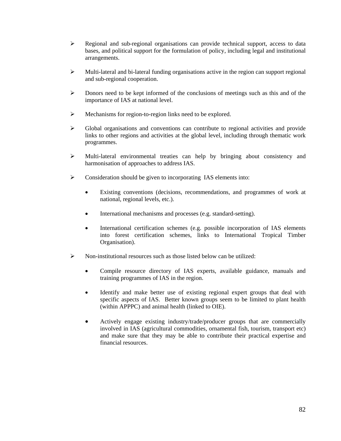- $\triangleright$  Regional and sub-regional organisations can provide technical support, access to data bases, and political support for the formulation of policy, including legal and institutional arrangements.
- $\triangleright$  Multi-lateral and bi-lateral funding organisations active in the region can support regional and sub-regional cooperation.
- $\triangleright$  Donors need to be kept informed of the conclusions of meetings such as this and of the importance of IAS at national level.
- $\triangleright$  Mechanisms for region-to-region links need to be explored.
- ! Global organisations and conventions can contribute to regional activities and provide links to other regions and activities at the global level, including through thematic work programmes.
- ! Multi-lateral environmental treaties can help by bringing about consistency and harmonisation of approaches to address IAS.
- $\triangleright$  Consideration should be given to incorporating IAS elements into:
	- Existing conventions (decisions, recommendations, and programmes of work at national, regional levels, etc.).
	- International mechanisms and processes (e.g. standard-setting).
	- International certification schemes (e.g. possible incorporation of IAS elements into forest certification schemes, links to International Tropical Timber Organisation).
- $\triangleright$  Non-institutional resources such as those listed below can be utilized:
	- Compile resource directory of IAS experts, available guidance, manuals and training programmes of IAS in the region.
	- Identify and make better use of existing regional expert groups that deal with specific aspects of IAS. Better known groups seem to be limited to plant health (within APPPC) and animal health (linked to OIE).
	- Actively engage existing industry/trade/producer groups that are commercially involved in IAS (agricultural commodities, ornamental fish, tourism, transport etc) and make sure that they may be able to contribute their practical expertise and financial resources.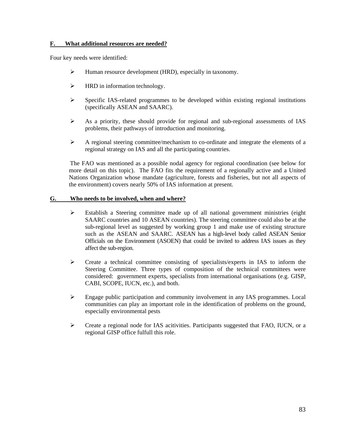## **F. What additional resources are needed?**

Four key needs were identified:

- ! Human resource development (HRD), especially in taxonomy.
- $\triangleright$  HRD in information technology.
- $\triangleright$  Specific IAS-related programmes to be developed within existing regional institutions (specifically ASEAN and SAARC).
- $\triangleright$  As a priority, these should provide for regional and sub-regional assessments of IAS problems, their pathways of introduction and monitoring.
- $\triangleright$  A regional steering committee/mechanism to co-ordinate and integrate the elements of a regional strategy on IAS and all the participating countries.

The FAO was mentioned as a possible nodal agency for regional coordination (see below for more detail on this topic). The FAO fits the requirement of a regionally active and a United Nations Organization whose mandate (agriculture, forests and fisheries, but not all aspects of the environment) covers nearly 50% of IAS information at present.

## **G. Who needs to be involved, when and where?**

- $\triangleright$  Establish a Steering committee made up of all national government ministries (eight SAARC countries and 10 ASEAN countries). The steering committee could also be at the sub-regional level as suggested by working group 1 and make use of existing structure such as the ASEAN and SAARC. ASEAN has a high-level body called ASEAN Senior Officials on the Environment (ASOEN) that could be invited to address IAS issues as they affect the sub-region.
- $\triangleright$  Create a technical committee consisting of specialists/experts in IAS to inform the Steering Committee. Three types of composition of the technical committees were considered: government experts, specialists from international organisations (e.g. GISP, CABI, SCOPE, IUCN, etc.), and both.
- $\triangleright$  Engage public participation and community involvement in any IAS programmes. Local communities can play an important role in the identification of problems on the ground, especially environmental pests
- $\triangleright$  Create a regional node for IAS acitivities. Participants suggested that FAO, IUCN, or a regional GISP office fulfull this role.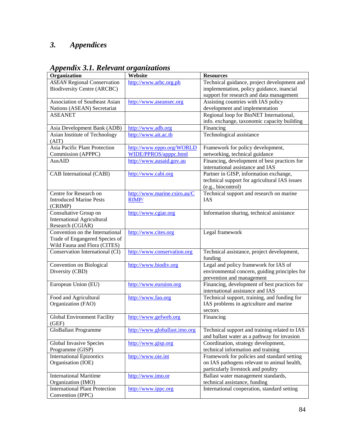# *3. Appendices*

| Organization                                        | Website                       | <b>Resources</b>                              |
|-----------------------------------------------------|-------------------------------|-----------------------------------------------|
| <b>ASEAN Regional Conservation</b>                  | http://www.arbc.org.ph        | Technical guidance, project development and   |
| <b>Biodiversity Centre (ARCBC)</b>                  |                               | implementation, policy guidance, inancial     |
|                                                     |                               | support for research and data management      |
| <b>Association of Southeast Asian</b>               | http://www.aseansec.org       | Assisting countries with IAS policy           |
| Nations (ASEAN) Secretariat                         |                               | development and implementation                |
| <b>ASEANET</b>                                      |                               | Regional loop for BioNET International,       |
|                                                     |                               | info. exchange, taxonomic capacity building   |
| Asia Development Bank (ADB)                         | http://www.adb.org            | Financing                                     |
| Asian Institute of Technology                       | http://www.ait.ac.th          | Technological assistance                      |
| (AIT)                                               |                               |                                               |
| Asia Pacific Plant Protection                       | http://www.eppo.org/WORLD     | Framework for policy development,             |
| Commission (APPPC)                                  | WIDE/PPROS/apppc.html         | networking, technical guidance                |
| AusAID                                              | http://www.ausaid.gov.au      | Financing, development of best practices for  |
|                                                     |                               | international assistance and IAS              |
| CAB International (CABI)                            | http://www.cabi.org           | Partner in GISP, information exchange,        |
|                                                     |                               | technical support for agricultural IAS issues |
|                                                     |                               | (e.g., biocontrol)                            |
| Centre for Research on                              | http://www.marine.csiro.au/C  | Technical support and research on marine      |
| <b>Introduced Marine Pests</b>                      | RIMP/                         | IAS                                           |
| (CRIMP)                                             |                               |                                               |
| Consultative Group on                               | http://www.cgiar.org          | Information sharing, technical assistance     |
| <b>International Agricultural</b>                   |                               |                                               |
| Research (CGIAR)<br>Convention on the International |                               | Legal framework                               |
| Trade of Engangered Species of                      | http://www.cites.org          |                                               |
| Wild Fauna and Flora (CITES)                        |                               |                                               |
| Conservation International (CI)                     | http://www.conservation.org   | Technical assistance, project development,    |
|                                                     |                               | funding                                       |
| Convention on Biological                            | http://www.biodiv.org         | Legal and policy framework for IAS of         |
| Diversity (CBD)                                     |                               | environmental concern, guiding principles for |
|                                                     |                               | prevention and management                     |
| European Union (EU)                                 | http://www.euruion.org        | Financing, development of best practices for  |
|                                                     |                               | international assistance and IAS              |
| Food and Agricultural                               | http://www.fao.org            | Technical support, training, and funding for  |
| Organization (FAO)                                  |                               | IAS problems in agriculture and marine        |
|                                                     |                               | sectors                                       |
| Global Environment Facility                         | http://www.gefweb.org         | Financing                                     |
| (GEF)                                               |                               |                                               |
| GloBallast Programme                                | http://www.globallast.imo.org | Technical support and training related to IAS |
|                                                     |                               | and ballast water as a pathway for invasion   |
| Global Invasive Species                             | http://www.gisp.org           | Coordination, strategy development,           |
| Programme (GISP)                                    |                               | technical information and training            |
| <b>International Epizootics</b>                     | http://www.oie.int            | Framework for policies and standard setting   |
| Organisation (IOE)                                  |                               | on IAS pathogens relevant to animal health,   |
|                                                     |                               | particularly livestock and poultry            |
| <b>International Maritime</b>                       | http://www.imo.or             | Ballast water management standards,           |
| Organization (IMO)                                  |                               | technical assistance, funding                 |
| <b>International Plant Protection</b>               | http://www.ippc.org           | International cooperation, standard setting   |
| Convention (IPPC)                                   |                               |                                               |

*Appendix 3.1. Relevant organizations*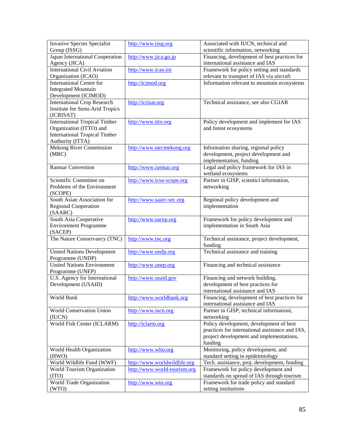| <b>Invasive Species Specialist</b><br>Group (ISSG) | http://www.issg.org          | Associated with IUCN, technical and<br>scientific information, networking |
|----------------------------------------------------|------------------------------|---------------------------------------------------------------------------|
| Japan International Cooperation                    | http://www.jica.go.jp        | Financing, development of best practices for                              |
| Agency (JICA)                                      |                              | international assistance and IAS                                          |
| <b>International Civil Aviation</b>                | http://www.icao.int          | Framework for policy setting and standards                                |
| Organization (ICAO)                                |                              | relevant to transport of IAS via aircraft                                 |
| <b>International Centre for</b>                    | http://icimod.org            | Information relevant to mountain ecosystems                               |
| <b>Integrated Mountain</b>                         |                              |                                                                           |
| Development (ICIMOD)                               |                              |                                                                           |
| <b>International Crop Research</b>                 | http://icrisat.org           | Technical assistance, see also CGIAR                                      |
| <b>Institute for Semi-Arid Tropics</b>             |                              |                                                                           |
| (ICRISAT)                                          |                              |                                                                           |
| <b>International Tropical Timber</b>               | http://www.itto.org          | Policy development and implement for IAS                                  |
| Organization (ITTO) and                            |                              | and forest ecosystems                                                     |
| <b>International Tropical Timber</b>               |                              |                                                                           |
| Authority (ITTA)                                   |                              |                                                                           |
| Mekong River Commission                            | http://www.mrcmekong.org     | Information sharing, regional policy                                      |
| (MRC)                                              |                              | development, project development and                                      |
|                                                    |                              | implementation, funding                                                   |
| <b>Ramsar Convention</b>                           | http://www.ramsar.org        | Legal and policy framework for IAS in                                     |
|                                                    |                              | wetland ecosystems                                                        |
| Scientific Committee on                            | http://www.icsu-scope.org    | Partner in GISP, scientici information,                                   |
| Problems of the Environment                        |                              | networking                                                                |
| (SCOPE)                                            |                              |                                                                           |
| South Asian Association for                        |                              |                                                                           |
|                                                    | http://www.saarc-sec.org     | Regional policy development and                                           |
| Regional Cooperation                               |                              | implementation                                                            |
| (SAARC)                                            |                              |                                                                           |
| South Asia Cooperative                             | http://www.sacep.org         | Framework for policy development and                                      |
| <b>Environment Programme</b>                       |                              | implementation in South Asia                                              |
| (SACEP)                                            |                              |                                                                           |
| The Nature Conservancy (TNC)                       | http://www.tnc.org           | Technical assistance, project development,                                |
|                                                    |                              | funding                                                                   |
| <b>United Nations Development</b>                  | http://www.undp.org          | Technical assistance and training                                         |
| Programme (UNDP)                                   |                              |                                                                           |
| <b>United Nations Environment</b>                  | http://www.unep.org          | Financing and technical assistance                                        |
| Programme (UNEP)                                   |                              |                                                                           |
| U.S. Agency for International                      | http://www.usaid.gov         | Financing and network building,                                           |
| Development (USAID)                                |                              | development of best practices for                                         |
|                                                    |                              | international assistance and IAS                                          |
| World Bank                                         | http://www.worldbank.org     | Financing, development of best practices for                              |
|                                                    |                              | international assistance and IAS                                          |
| <b>World Conservation Union</b>                    | http://www.iucn.org          | Partner in GISP, technical informationi,                                  |
| (IUCN)                                             |                              | networking                                                                |
| World Fish Center (ICLARM)                         | http://iclarm.org            | Policy development, development of best                                   |
|                                                    |                              | practices for international assistance and IAS,                           |
|                                                    |                              | project development and implementations,                                  |
|                                                    |                              | funding                                                                   |
| World Health Organization                          | http://www.who.org           | Monitoring, policy development, and                                       |
| (HWO)                                              |                              | standard setting in epideimiology                                         |
| World Wildlife Fund (WWF)                          | http://www.worldwildlife.org | Tech. assistance, proj. development, funding                              |
| World Tourism Organization                         | http://www.world-tourism.org | Framework for policy development and                                      |
| (TTO)                                              |                              | standards on spread of IAS through tourism                                |
| World Trade Organization                           | http://www.wto.org           | Framework for trade policy and standard                                   |
| (WTO)                                              |                              | setting institutions                                                      |
|                                                    |                              |                                                                           |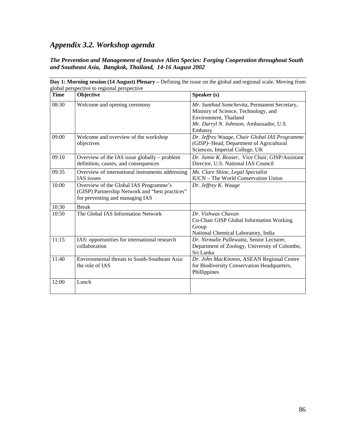# *Appendix 3.2. Workshop agenda*

## *The Prevention and Management of Invasive Alien Species: Forging Cooperation throughout South and Southeast Asia, Bangkok, Thailand, 14-16 August 2002*

| <b>Time</b> | Objective                                                                                                                    | Speaker (s)                                                                                                                                                         |
|-------------|------------------------------------------------------------------------------------------------------------------------------|---------------------------------------------------------------------------------------------------------------------------------------------------------------------|
| 08:30       | Welcome and opening ceremony                                                                                                 | Mr. Sunthad Somchevita, Permanent Secretary,<br>Ministry of Science, Technology, and<br>Environment, Thailand<br>Mr. Darryl N. Johnson, Ambassador, U.S.<br>Embassy |
| 09:00       | Welcome and overview of the workshop<br>objectives                                                                           | Dr. Jeffrey Waage, Chair Global IAS Programme<br>(GISP)- Head, Department of Agricultural<br>Sciences, Imperial College, UK                                         |
| 09:10       | Overview of the IAS issue globally – problem<br>definition, causes, and consequences                                         | Dr. Jamie K. Reaser, Vice Chair, GISP/Assistant<br>Director, U.S. National IAS Council                                                                              |
| 09:35       | Overview of international instruments addressing<br>IAS issues                                                               | Ms. Clare Shine, Legal Specialist<br><b>IUCN</b> – The World Conservation Union                                                                                     |
| 10:00       | Overview of the Global IAS Programme's<br>(GISP) Partnership Network and "best practices"<br>for preventing and managing IAS | Dr. Jeffrey K. Waage                                                                                                                                                |
| 10:30       | <b>Break</b>                                                                                                                 |                                                                                                                                                                     |
| 10:50       | The Global IAS Information Network                                                                                           | Dr. Vishwas Chavan<br>Co-Chair GISP Global Information Working<br>Group<br>National Chemical Laboratory, India                                                      |
| 11:15       | IAS: opportunities for international research<br>collaboration                                                               | Dr. Nirmalie Pallewatta, Senior Lecturer,<br>Department of Zoology, University of Colombo,<br>Sri Lanka                                                             |
| 11:40       | Environmental threats to South-Southeast Asia:<br>the role of IAS                                                            | Dr. John MacKinnon, ASEAN Regional Centre<br>for Biodiversity Conservation Headquarters,<br>Phillippines                                                            |
| 12:00       | Lunch                                                                                                                        |                                                                                                                                                                     |

**Day 1: Morning session (14 August) Plenary – Defining the issue on the global and regional scale. Moving from global perspective to regional perspective** global perspective to regional perspective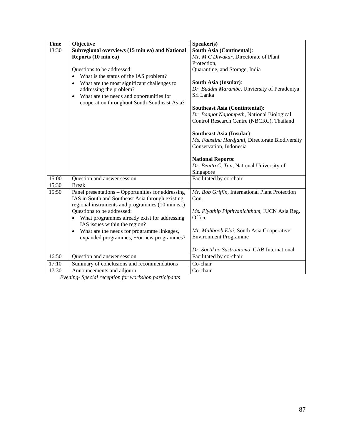| <b>Time</b> | Objective                                                                   | Speaker(s)                                                                         |
|-------------|-----------------------------------------------------------------------------|------------------------------------------------------------------------------------|
| 13:30       | Subregional overviews (15 min ea) and National                              | <b>South Asia (Continental):</b>                                                   |
|             | Reports (10 min ea)                                                         | Mr. M C Diwakar, Directorate of Plant                                              |
|             |                                                                             | Protection,                                                                        |
|             | Questions to be addressed:                                                  | Quarantine, and Storage, India                                                     |
|             | What is the status of the IAS problem?<br>$\bullet$                         |                                                                                    |
|             | What are the most significant challenges to                                 | South Asia (Insular):                                                              |
|             | addressing the problem?                                                     | Dr. Buddhi Marambe, Unviersity of Peradeniya                                       |
|             | What are the needs and opportunities for<br>$\bullet$                       | Sri Lanka                                                                          |
|             | cooperation throughout South-Southeast Asia?                                |                                                                                    |
|             |                                                                             | <b>Southeast Asia (Contintental):</b><br>Dr. Banpot Napompeth, National Biological |
|             |                                                                             | Control Research Centre (NBCRC), Thailand                                          |
|             |                                                                             |                                                                                    |
|             |                                                                             | <b>Southeast Asia (Insular):</b>                                                   |
|             |                                                                             | Ms. Faustina Hardjanti, Directorate Biodiversity                                   |
|             |                                                                             | Conservation, Indonesia                                                            |
|             |                                                                             |                                                                                    |
|             |                                                                             | <b>National Reports:</b>                                                           |
|             |                                                                             | Dr. Benito C. Tan, National University of                                          |
|             |                                                                             | Singapore                                                                          |
| 15:00       | Question and answer session                                                 | Facilitated by co-chair                                                            |
| 15:30       | <b>Break</b>                                                                |                                                                                    |
| 15:50       | Panel presentations - Opportunities for addressing                          | Mr. Bob Griffin, International Plant Protection                                    |
|             | IAS in South and Southeast Asia through existing                            | Con.                                                                               |
|             | regional instruments and programmes (10 min ea.)                            |                                                                                    |
|             | Questions to be addressed:                                                  | Ms. Piyathip Pipthvanichtham, IUCN Asia Reg.<br>Office                             |
|             | What programmes already exist for addressing                                |                                                                                    |
|             | IAS issues within the region?<br>What are the needs for programme linkages, | Mr. Mahboob Elai, South Asia Cooperative                                           |
|             | expanded programmes, +/or new programmes?                                   | <b>Environment Programme</b>                                                       |
|             |                                                                             |                                                                                    |
|             |                                                                             | Dr. Soetikno Sastroutomo, CAB International                                        |
| 16:50       | Question and answer session                                                 | Facilitated by co-chair                                                            |
| 17:10       | Summary of conclusions and recommendations                                  | Co-chair                                                                           |
| 17:30       | Announcements and adjourn                                                   | Co-chair                                                                           |

*Evening- Special reception for workshop participants*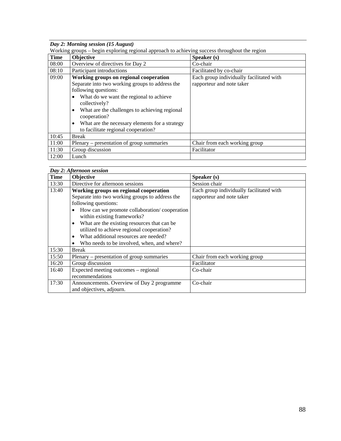*Day 2: Morning session (15 August)* 

|  |  | Working groups – begin exploring regional approach to achieving success throughout the region |
|--|--|-----------------------------------------------------------------------------------------------|
|  |  |                                                                                               |

| <b>Time</b> | $\circ$ $\circ$<br>Objective                               | Speaker (s)                              |
|-------------|------------------------------------------------------------|------------------------------------------|
| 08:00       | Overview of directives for Day 2                           | Co-chair                                 |
| 08:10       | Participant introductions                                  | Facilitated by co-chair                  |
| 09:00       | Working groups on regional cooperation                     | Each group individually facilitated with |
|             | Separate into two working groups to address the            | rapporteur and note taker                |
|             | following questions:                                       |                                          |
|             | What do we want the regional to achieve<br>$\bullet$       |                                          |
|             | collectively?                                              |                                          |
|             | What are the challenges to achieving regional<br>$\bullet$ |                                          |
|             | cooperation?                                               |                                          |
|             | What are the necessary elements for a strategy<br>٠        |                                          |
|             | to facilitate regional cooperation?                        |                                          |
| 10:45       | <b>Break</b>                                               |                                          |
| 11:00       | Plenary – presentation of group summaries                  | Chair from each working group            |
| 11:30       | Group discussion                                           | Facilitator                              |
| 12:00       | Lunch                                                      |                                          |

| Day 2: Afternoon session |                                                           |                                          |
|--------------------------|-----------------------------------------------------------|------------------------------------------|
| <b>Time</b>              | Objective                                                 | Speaker (s)                              |
| 13:30                    | Directive for afternoon sessions                          | Session chair                            |
| 13:40                    | Working groups on regional cooperation                    | Each group individually facilitated with |
|                          | Separate into two working groups to address the           | rapporteur and note taker                |
|                          | following questions:                                      |                                          |
|                          | How can we promote collaboration/cooperation<br>$\bullet$ |                                          |
|                          | within existing frameworks?                               |                                          |
|                          | What are the existing resources that can be<br>$\bullet$  |                                          |
|                          | utilized to achieve regional cooperation?                 |                                          |
|                          | What additional resources are needed?<br>$\bullet$        |                                          |
|                          | Who needs to be involved, when, and where?<br>٠           |                                          |
| 15:30                    | <b>Break</b>                                              |                                          |
| 15:50                    | Plenary – presentation of group summaries                 | Chair from each working group            |
| 16:20                    | Group discussion                                          | Facilitator                              |
| 16:40                    | Expected meeting outcomes – regional                      | Co-chair                                 |
|                          | recommendations                                           |                                          |
| 17:30                    | Announcements. Overview of Day 2 programme                | Co-chair                                 |
|                          | and objectives, adjourn.                                  |                                          |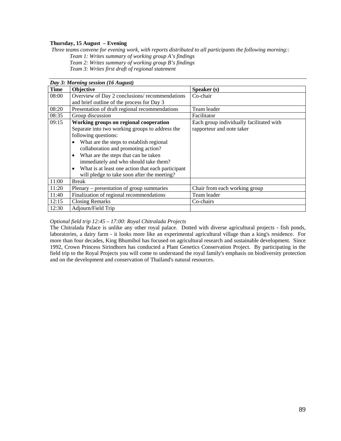### **Thursday, 15 August – Evening**

 *Three teams convene for evening work, with reports distributed to all participants the following morning:: Team 1: Writes summary of working group A's findings Team 2: Writes summary of working group B's findings* 

*Team 3: Writes first draft of regional statement* 

|       | Day 3: Morning session (16 August)                             |                                          |  |
|-------|----------------------------------------------------------------|------------------------------------------|--|
| Time  | Objective                                                      | Speaker (s)                              |  |
| 08:00 | Overview of Day 2 conclusions/recommendations                  | Co-chair                                 |  |
|       | and brief outline of the process for Day 3                     |                                          |  |
| 08:20 | Presentation of draft regional recommendations                 | Team leader                              |  |
| 08:35 | Group discussion                                               | Facilitator                              |  |
| 09:15 | Working groups on regional cooperation                         | Each group individually facilitated with |  |
|       | Separate into two working groups to address the                | rapporteur and note taker                |  |
|       | following questions:                                           |                                          |  |
|       | What are the steps to establish regional<br>$\bullet$          |                                          |  |
|       | collaboration and promoting action?                            |                                          |  |
|       | What are the steps that can be taken<br>$\bullet$              |                                          |  |
|       | immediately and who should take them?                          |                                          |  |
|       | What is at least one action that each participant<br>$\bullet$ |                                          |  |
|       | will pledge to take soon after the meeting?                    |                                          |  |
| 11:00 | <b>Break</b>                                                   |                                          |  |
| 11:20 | Plenary – presentation of group summaries                      | Chair from each working group            |  |
| 11:40 | Finalization of regional recommendations                       | Team leader                              |  |
| 12:15 | <b>Closing Remarks</b>                                         | Co-chairs                                |  |
| 12:30 | Adjourn/Field Trip                                             |                                          |  |

#### *Optional field trip 12:45 – 17:00: Royal Chitralada Projects*

The Chitralada Palace is unlike any other royal palace. Dotted with diverse agricultural projects - fish ponds, laboratories, a dairy farm - it looks more like an experimental agricultural village than a king's residence. For more than four decades, King Bhumibol has focused on agricultural research and sustainable development. Since 1992, Crown Princess Sirindhorn has conducted a Plant Genetics Conservation Project. By participating in the field trip to the Royal Projects you will come to understand the royal family's emphasis on biodiversity protection and on the development and conservation of Thailand's natural resources.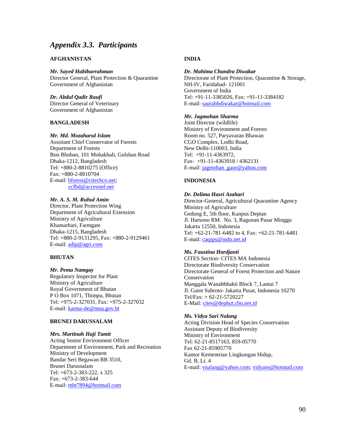## *Appendix 3.3. Participants*

## **AFGHANISTAN**

*Mr. Sayed Habiburrahman*  Director General, Plant Protection & Quarantine Government of Afghanistan

*Dr. Abdul Qadir Raufi*  Director General of Veterinary Government of Afghanistan

#### **BANGLADESH**

#### *Mr. Md. Mozaharul Islam*

Assistant Chief Conservator of Forests Department of Forests Bon Bhoban, 101 Mohakhali, Gulshan Road Dhaka-1212, Bangladesh Tel: +880-2-8810275 (Office) Fax: +880-2-8810704 E-mail: bforest@citechco.net; ccfbd@accesstel.net

#### *Mr. A. S. M. Ruhul Amin*

Director, Plant Protection Wing Department of Agricultural Extension Ministry of Agriculture Khamarbari, Farmgate Dhaka-1215, Bangladesh Tel: +880-2-9131295, Fax: +880-2-9129461 E-mail: adip@agri.com

#### **BHUTAN**

#### *Mr. Pema Namgay*

Regulatory Inspector for Plant Ministry of Agriculture Royal Government of Bhutan P O Box 1071, Thimpu, Bhutan Tel: +975-2-327031, Fax: +975-2-327032 E-mail: karma-de@moa.gov.bt

#### **BRUNEI DARUSSALAM**

#### *Mrs. Martinah Haji Tamit*

Acting Senior Environment Officer Department of Environment, Park and Recreation Ministry of Development Bandar Seri Begawan BB 3510, Brunei Darussalam Tel: +673-2-383-222, x 325 Fax: +673-2-383-644 E-mail: mht7894@hotmail.com

## **INDIA**

#### *Dr. Mahima Chandra Diwakar*

Directorate of Plant Protection, Quarantine & Storage, NH-IV, Faridabad- 121001 Government of India Tel: +91-11-3385026, Fax: +91-11-3384182 E-mail: saurabhdiwakar@hotmail.com

#### *Mr. Jagmohan Sharma*

Joint Director (wildlife) Ministry of Environment and Forests Room no. 527, Paryavaran Bhawan CGO Complex, Lodhi Road, New Delhi-110003, India Tel: +91-11-4363972, Fax- +91-11-4363918 / 4362131 E-mail: jagmohan\_gaur@yahoo.com

## **INDONESIA**

## *Dr. Delima Hasri Azahari*

Director-General, Agricultural Quarantine Agency Ministry of Agriculture Gedung E, 5th floor, Kanpus Deptan Jl. Harsono RM. No. 3, Ragunan Pasar Minggu Jakarta 12550, Indonesia Tel: +62-21-781-6482 to 4, Fax: +62-21-781-6481 E-mail: caqsps@indo.net.id

#### *Ms. Faustina Hardjanti*

CITES Section- CITES MA Indonesia Directorate Biodiversity Conservation Directorate General of Forest Protection and Nature Conservation Manggala Wanabbhakti Block 7, Lantai 7 Jl. Gatot Subroto- Jakarta Pusat, Indonesia 10270 Tel/Fax: + 62-21-5720227 E-Mail: cites@dephut.cbn.net.id

#### *Ms. Vidya Sari Nalang*

Acting Division Head of Species Conservation Assistant Deputy of Biodiversity Ministry of Environment Tel: 62-21-8517163, 859-05770 Fax 62-21-85905770 Kantor Kementrian Lingkungan Hidup, Gd. B, Lt. 4 E-mail: vnalang@yahoo.com; vidyans@hotmail.com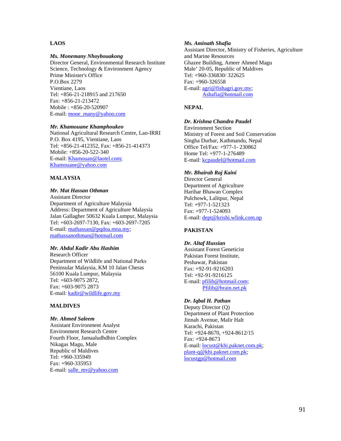## **LAOS**

#### *Ms. Monemany Nhoybouakong*

Director General, Environmental Research Institute Science, Technology & Environment Agency Prime Minister's Office P.O.Box 2279 Vientiane, Laos Tel: +856-21-218915 and 217650 Fax: +856-21-213472 Mobile : +856-20-520907 E-mail: mone\_many@yahoo.com

#### *Mr. Khamouane Khamphoukeo*

National Agricultural Research Centre, Lao-IRRI P.O. Box 4195, Vientiane, Laos Tel: +856-21-412352, Fax: +856-21-414373 Mobile: +856-20-522-340 E-mail: Khamouan@laotel.com; Khamouane@yahoo.com

#### **MALAYSIA**

#### *Mr. Mat Hassan Othman*

Assistant Director Department of Agriculture Malaysia Address: Department of Agriculture Malaysia Jalan Gallagher 50632 Kuala Lumpur, Malaysia Tel: +603-2697-7130, Fax: +603-2697-7205 E-mail: mathassan@pqdoa.moa.my; mathassanothman@hotmail.com

#### *Mr. Abdul Kadir Abu Hashim*

Research Officer Department of Wildlife and National Parks Peninsular Malaysia, KM 10 Jalan Cheras 56100 Kuala Lumpur, Malaysia Tel: +603-9075 2872, Fax: +603-9075 2873 E-mail: kadir@wildlife.gov.my

### **MALDIVES**

#### *Mr. Ahmed Saleem*

Assistant Environment Analyst Environment Research Centre Fourth Floor, Jamaaludhdhin Complex Nikagas Magu, Male Republic of Maldives Tel: +960-335949 Fax: +960-335953 E-mail: salle\_mv@yahoo.com

#### *Ms. Aminath Shafia*

Assistant Director, Ministry of Fisheries, Agriculture and Marine Resources Ghazee Building, Ameer Ahmed Magu Male' 20-05, Republic of Maldives Tel: +960-336830/ 322625 Fax: +960-326558 E-mail: agri@fishagri.gov.mv; Ashafia@hotmail.com

## **NEPAL**

## *Dr. Krishna Chandra Paudel*

Environment Section Ministry of Forest and Soil Conservation Singha Durbar, Kathmandu, Nepal Office Tel/Fax: +977-1- 230862 Home Tel: +977-1-276489 E-mail: kcpaudel@hotmail.com

#### *Mr. Bhairab Raj Kaini*

Director General Department of Agriculture Harihar Bhawan Complex Pulchowk, Lalitpur, Nepal Tel: +977-1-521323 Fax: +977-1-524093 E-mail: dept@krishi.wlink.com.np

#### **PAKISTAN**

#### *Dr. Altaf Hussian*

Assistant Forest Geneticist Pakistan Forest Institute, Peshawar, Pakistan Fax: +92-91-9216203 Tel: +92-91-9216125 E-mail: pfilib@hotmail.com; Pfilib@brain.net.pk

#### *Dr. Iqbal H. Pathan*

Deputy Director (Q) Department of Plant Protection Jinnah Avenue, Malir Halt Karachi, Pakistan Tel: +924-8670, +924-8612/15 Fax: +924-8673 E-mail: locust@khi.paknet.com.pk; plant-q@khi.paknet.com.pk; locustgp@hotmail.com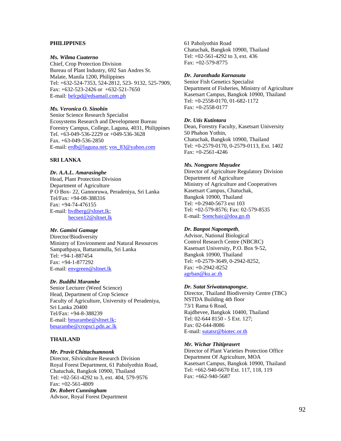#### **PHILIPPINES**

#### *Ms. Wilma Cuaterno*

Chief, Crop Protection Division Bureau of Plant Industry, 692 San Andres St. Malate, Manila 1200, Philippines Tel: +632-524-7353, 524-2812, 523- 9132, 525-7909, Fax: +632-523-2426 or +632-521-7650 E-mail: belcpd@edsamail.com.ph

#### *Ms. Veronica O. Sinohin*

Senior Science Research Specialist Ecosystems Research and Development Bureau Forestry Campus, College, Laguna, 4031, Philippines Tel. +63-049-536-2229 or +049-536-3628 Fax. +63-049-536-2850 E-mail: erdb@laguna.net; vos\_83@yahoo.com

#### **SRI LANKA**

## *Dr. A.A.L. Amarasinghe*

Head, Plant Protection Division Department of Agriculture P O Box- 22, Gannoruwa, Peradeniya, Sri Lanka Tel/Fax: +94-08-388316 Fax: +94-74-476155 E-mail: hvdberg@sltnet.lk; hecsen12@sltnet.lk

## *Mr. Gamini Gamage*

Director/Biodiversity Ministry of Environment and Natural Resources Sampathpaya, Battaramulla, Sri Lanka Tel: +94-1-887454 Fax: +94-1-877292 E-mail: envgreen@sltnet.lk

#### *Dr. Buddhi Marambe*

Senior Lecturer (Weed Science) Head, Department of Crop Science Faculty of Agriculture, University of Peradeniya, Sri Lanka 20400 Tel/Fax: +94-8-388239 E-mail: bmarambe@sltnet.lk; bmarambe@cropsci.pdn.ac.lk

#### **THAILAND**

#### *Mr. Pravit Chittachumnonk*

Director, Silviculture Research Division Royal Forest Department, 61 Paholyothin Road, Chatuchak, Bangkok 10900, Thailand Tel: +02-561-4292 to 3, ext. 404, 579-9576 Fax: +02-561-4809 *Dr. Robert Cunningham*  Advisor, Royal Forest Department

61 Paholyothin Road Chatuchak, Bangkok 10900, Thailand Tel: +02-561-4292 to 3, ext. 436 Fax: +02-579-8775

#### *Dr. Jaranthada Karnasuta*

Senior Fish Genetics Specialist Department of Fisheries, Ministry of Agriculture Kasetsart Campus, Bangkok 10900, Thailand Tel: +0-2558-0170, 01-682-1172 Fax: +0-2558-0177

#### *Dr. Utis Kutintara*

Dean, Forestry Faculty, Kasetsart University 50 Phahon Yothin, Chatuchak, Bangkok 10900, Thailand Tel: +0-2579-0170, 0-2579-0113, Ext. 1402 Fax: +0-2561-4246

#### *Ms. Nongporn Mayudee*

Director of Agriculture Regulatory Division Department of Agriculture Ministry of Agriculture and Cooperatives Kasetsart Campus, Chatuchak, Bangkok 10900, Thailand Tel: +0-2940-5673 ext 103 Tel: +02-579-8576; Fax: 02-579-8535 E-mail: Somchaic@doa.go.th

#### *Dr. Banpot Napompeth,*

Advisor, National Biological Control Research Centre (NBCRC) Kasetsart University, P.O. Box 9-52, Bangkok 10900, Thailand Tel: +0-2579-3649, 0-2942-8252, Fax: +0-2942-8252 agrban@ku.ac.th

#### *Dr. Sutat Sriwatanapongse,*

Director, Thailand Biodiversity Centre (TBC) NSTDA Building 4th floor 73/1 Rama 6 Road, Rajdhevee, Bangkok 10400, Thailand Tel: 02-644 8150 - 5 Ext. 127; Fax: 02-644-8086 E-mail: sutatsr@biotec.or.th

#### *Mr. Wichar Thitiprasert*

Director of Plant Varieties Protection Office Department Of Agriculture, MOA Kasetsart Campus, Bangkok 10900, Thailand Tel: +662-940-6670 Ext. 117, 118, 119 Fax: +662-940-5687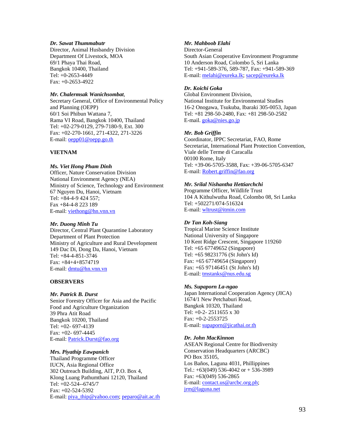#### *Dr. Sawat Thummabutr*

Director, Animal Husbandry Division Department Of Livestock, MOA 69/1 Phaya Thai Road, Bangkok 10400, Thailand Tel: +0-2653-4449 Fax: +0-2653-4922

## *Mr. Chalermsak Wanichsombat,*

Secretary General, Office of Environmental Policy and Planning (OEPP) 60/1 Soi Phibun Wattana 7, Rama VI Road, Bangkok 10400, Thailand Tel: +02-279-0129, 279-7180-9, Ext. 300 Fax: +02-270-1661, 271-4322, 271-3226 E-mail: oepp01@oepp.go.th

## **VIETNAM**

## *Ms. Viet Hong Pham Dinh*

Officer, Nature Conservation Division National Environment Agency (NEA) Ministry of Science, Technology and Environment 67 Nguyen Du, Hanoi, Vietnam Tel: +84-4-9 424 557; Fax +84-4-8 223 189 E-mail: viethong@hn.vnn.vn

### *Mr. Duong Minh Tu*

Director, Central Plant Quarantine Laboratory Department of Plant Protection Ministry of Agriculture and Rural Development 149 Dac Di, Dong Da, Hanoi, Vietnam Tel: +84-4-851-3746 Fax: +84+4+8574719 E-mail: dmtu@hn.vnn.vn

### **OBSERVERS**

### *Mr. Patrick B. Durst*

Senior Forestry Officer for Asia and the Pacific Food and Agriculture Organization 39 Phra Atit Road Bangkok 10200, Thailand Tel: +02- 697-4139 Fax: +02- 697-4445 E-mail: Patrick.Durst@fao.org

### *Mrs. Piyathip Eawpanich*

Thailand Programme Officer IUCN, Asia Regional Office 302 Outreach Building, AlT, P.O. Box 4, Klong Luang Pathumthani 12120, Thailand Tel: +02-524--6745/7 Fax: +02-524-5392 E-mail: piya\_thip@yahoo.com; peparo@ait.ac.th

## *Mr. Mahboob Elahi*

Director-General South Asian Cooperative Environment Programme 10 Anderson Road, Colombo 5, Sri Lanka Tel: +941-589-376, 589-787, Fax: +941-589-369 E-mail: melahi@eureka.lk; sacep@eureka.lk

## *Dr. Koichi Goka*

Global Environment Division, National Institute for Environmental Studies 16-2 Onogawa, Tsukuba, Ibaraki 305-0053, Japan Tel: +81 298-50-2480, Fax: +81 298-50-2582 E-mail. goka@nies.go.jp

## *Mr. Bob Griffin*

Coordinator, IPPC Secretariat, FAO, Rome Secretariat, International Plant Protection Convention, Viale delle Terme di Caracalla 00100 Rome, Italy Tel: +39-06-5705-3588, Fax: +39-06-5705-6347 E-mail: Robert.griffin@fao.org

## *Mr. Srilal Nishantha Hettiarchchi*

Programme Officer, Wildlife Trust 104 A Kithulwutha Road, Colombo 08, Sri Lanka Tel: +502271/074-516324 E-mail: wltrust@itmin.com

## *Dr Tan Koh-Siang*

Tropical Marine Science Institute National University of Singapore 10 Kent Ridge Crescent, Singapore 119260 Tel: +65 67749652 (Singapore) Tel: +65 98231776 (St John's Id) Fax: +65 67749654 (Singapore) Fax: +65 97146451 (St John's Id) E-mail: tmstanks@nus.edu.sg

## *Ms. Supaporn La-ngao*

Japan International Cooperation Agency (JICA) 1674/1 New Petchaburi Road, Bangkok 10320, Thailand Tel: +0-2- 2511655 x 30 Fax: +0-2-2553725 E-mail: supaporn@jicathai.or.th

### *Dr. John MacKinnon*

ASEAN Regional Centre for Biodiversity Conservation Headquarters (ARCBC) PO Box 35105, Los Baños, Laguna 4031, Phillippines Tel.: +63(049) 536-4042 or + 536-3989 Fax: +63(049) 536-2865 E-mail: contact.us@arcbc.org.ph; jrm@laguna.net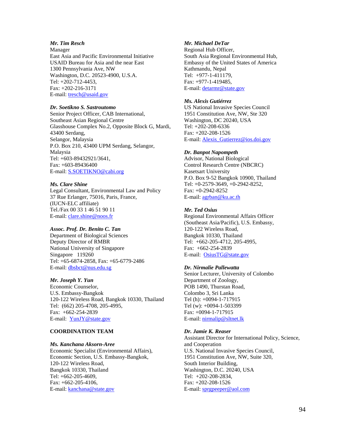## *Mr. Tim Resch*

Manager East Asia and Pacific Environmental Initiative USAID Bureau for Asia and the near East 1300 Pennsylvania Ave, NW Washington, D.C. 20523-4900, U.S.A. Tel: +202-712-4453, Fax: +202-216-3171 E-mail: tresch@usaid.gov

## *Dr. Soetikno S. Sastroutomo*

Senior Project Officer, CAB International, Southeast Asian Regional Centre Glasshouse Complex No.2, Opposite Block G, Mardi, 43400 Serdang, Selangor, Malaysia P.O. Box 210, 43400 UPM Serdang, Selangor, Malaysia Tel: +603-89432921/3641, Fax: +603-89436400 E-mail: **S.SOETIKNO@cabi.org** 

#### *Ms. Clare Shine*

Legal Consultant, Environmental Law and Policy 37 Rue Erlanger, 75016, Paris, France, (IUCN-ELC affiliate) Tel./Fax 00 33 1 46 51 90 11 E-mail: clare.shine@noos.fr

#### *Assoc. Prof. Dr. Benito C. Tan*

Department of Biological Sciences Deputy Director of RMBR National University of Singapore Singapore 119260 Tel: +65-6874-2858, Fax: +65-6779-2486 E-mail: dbsbct@nus.edu.sg

#### *Mr. Joseph Y. Yun*

Economic Counselor, U.S. Embassy-Bangkok 120-122 Wireless Road, Bangkok 10330, Thailand Tel: (662) 205-4708, 205-4995, Fax: +662-254-2839 E-mail: YunJY@state.gov

## **COORDINATION TEAM**

#### *Ms. Kanchana Aksorn-Aree*

Economic Specialist (Environmental Affairs), Economic Section, U.S. Embassy-Bangkok, 120-122 Wireless Road, Bangkok 10330, Thailand Tel: +662-205-4609, Fax: +662-205-4106, E-mail: kanchana@state.gov

## *Mr. Michael DeTar*

Regional Hub Officer, South Asia Regional Environmental Hub, Embassy of the United States of America Kathmandu, Nepal Tel: +977-1-411179, Fax: +977-1-419485, E-mail: detarmr@state.gov

#### *Ms. Alexis Gutiérrez*

US National Invasive Species Council 1951 Constitution Ave, NW, Ste 320 Washington, DC 20240, USA Tel: +202-208-6336 Fax: +202-208-1526 E-mail: Alexis\_Gutierrez@ios.doi.gov

#### *Dr. Banpot Napompeth*

Advisor, National Biological Control Research Centre (NBCRC) Kasetsart University P.O. Box 9-52 Bangkok 10900, Thailand Tel: +0-2579-3649, +0-2942-8252, Fax: +0-2942-8252 E-mail: agrban@ku.ac.th

#### *Mr. Ted Osius*

Regional Environmental Affairs Officer (Southeast Asia/Pacific), U.S. Embassy, 120-122 Wireless Road, Bangkok 10330, Thailand Tel: +662-205-4712, 205-4995, Fax: +662-254-2839 E-mail: OsiusTG@state.gov

#### *Dr. Nirmalie Pallewatta*

Senior Lecturer, University of Colombo Department of Zoology, POB 1490, Thurstan Road, Colombo 3, Sri Lanka Tel (h): +0094-1-717915 Tel (w): +0094-1-503399 Fax: +0094-1-717915 E-mail: nirmalip@sltnet.lk

#### *Dr. Jamie K. Reaser*

Assistant Director for International Policy, Science, and Cooperation U.S. National Invasive Species Council, 1951 Constitution Ave, NW, Suite 320, South Interior Building, Washington, D.C. 20240, USA Tel: +202-208-2834, Fax: +202-208-1526 E-mail: sprgpeeper@aol.com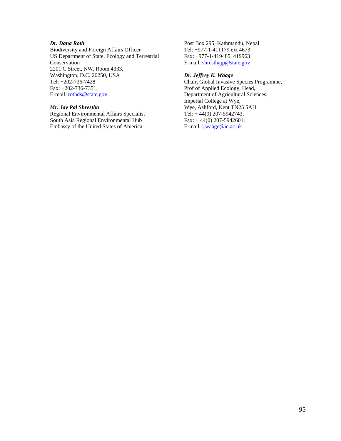## *Dr. Dana Roth*

Biodiversity and Foreign Affairs Officer US Department of State, Ecology and Terrestrial Conservation 2201 C Street, NW, Room 4333, Washington, D.C. 20250, USA Tel: +202-736-7428 Fax: +202-736-7351, E-mail: rothds@state.gov

#### *Mr. Jay Pal Shrestha*

Regional Environmental Affairs Specialist South Asia Regional Environmental Hub Embassy of the United States of America

Post Box 295, Kathmandu, Nepal Tel: +977-1-411179 ext 4673 Fax: +977-1-419485, 419963 E-mail: shresthajp@state.gov

## *Dr. Jeffrey K. Waage*

Chair, Global Invasive Species Programme, Prof of Applied Ecology, Head, Department of Agricultural Sciences, Imperial College at Wye, Wye, Ashford, Kent TN25 5AH, Tel: + 44(0) 207-5942743, Fax: + 44(0) 207-5942601, E-mail: j.waage@ic.ac.uk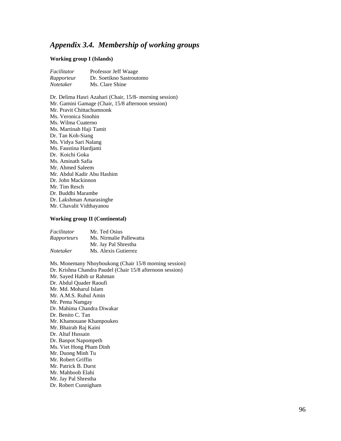# *Appendix 3.4. Membership of working groups*

#### **Working group I (Islands)**

| Facilitator | Professor Jeff Waage     |
|-------------|--------------------------|
| Rapporteur  | Dr. Soetikno Sastroutomo |
| Notetaker   | Ms. Clare Shine          |

Dr. Delima Hasri Azahari (Chair, 15/8- morning session) Mr. Gamini Gamage (Chair, 15/8 afternoon session) Mr. Pravit Chittachumnonk Ms. Veronica Sinohin Ms. Wilma Cuaterno Ms. Martinah Haji Tamit Dr. Tan Koh-Siang Ms. Vidya Sari Nalang Ms. Faustina Hardjanti Dr. Koichi Goka Ms. Aminath Safia Mr. Ahmed Saleem Mr. Abdul Kadir Abu Hashim Dr. John Mackinnon Mr. Tim Resch Dr. Buddhi Marambe Dr. Lakshman Amarasinghe Mr. Chavalit Vidthayanou

#### **Working group II (Continental)**

| Facilitator | Mr. Ted Osius           |
|-------------|-------------------------|
| Rapporteurs | Ms. Nirmalie Pallewatta |
|             | Mr. Jay Pal Shrestha    |
| Notetaker   | Ms. Alexis Gutierrez    |

Ms. Monemany Nhoyboukong (Chair 15/8 morning session) Dr. Krishna Chandra Paudel (Chair 15/8 afternoon session) Mr. Sayed Habib ur Rahman Dr. Abdul Quader Raoufi Mr. Md. Moharul Islam Mr. A.M.S. Ruhul Amin Mr. Pema Namgay Dr. Mahima Chandra Diwakar Dr. Benito C. Tan Mr. Khamouane Khampoukeo Mr. Bhairab Raj Kaini Dr. Altaf Hussain Dr. Banpot Napompeth Ms. Viet Hong Pham Dinh Mr. Duong Minh Tu Mr. Robert Griffin Mr. Patrick B. Durst Mr. Mahboob Elahi Mr. Jay Pal Shrestha Dr. Robert Cunnigham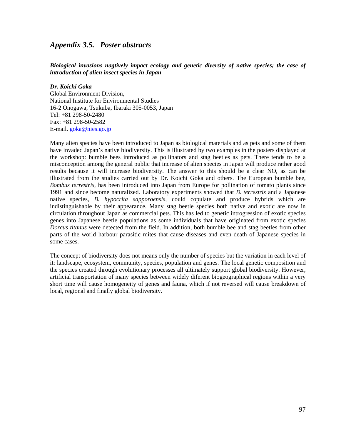## *Appendix 3.5. Poster abstracts*

## *Biological invasions nagtively impact ecology and genetic diversity of native species; the case of introduction of alien insect species in Japan*

## *Dr. Koichi Goka*

Global Environment Division, National Institute for Environmental Studies 16-2 Onogawa, Tsukuba, Ibaraki 305-0053, Japan Tel: +81 298-50-2480 Fax: +81 298-50-2582 E-mail. goka@nies.go.jp

Many alien species have been introduced to Japan as biological materials and as pets and some of them have invaded Japan's native biodiversity. This is illustrated by two examples in the posters displayed at the workshop: bumble bees introduced as pollinators and stag beetles as pets. There tends to be a misconception among the general public that increase of alien species in Japan will produce rather good results because it will increase biodiversity. The answer to this should be a clear NO, as can be illustrated from the studies carried out by Dr. Koichi Goka and others. The European bumble bee, *Bombus terrestris,* has been introduced into Japan from Europe for pollination of tomato plants since 1991 and since become naturalized. Laboratory experiments showed that *B. terrestris* and a Japanese native species, *B. hypocrita sapporoensis,* could copulate and produce hybrids which are indistinguishable by their appearance. Many stag beetle species both native and exotic are now in circulation throughout Japan as commercial pets. This has led to genetic introgression of exotic species genes into Japanese beetle populations as some individuals that have originated from exotic species *Dorcus titanus* were detected from the field. In addition, both bumble bee and stag beetles from other parts of the world harbour parasitic mites that cause diseases and even death of Japanese species in some cases.

The concept of biodiversity does not means only the number of species but the variation in each level of it: landscape, ecosystem, community, species, population and genes. The local genetic composition and the species created through evolutionary processes all ultimately support global biodiversity. However, artificial transportation of many species between widely diferent biogeographical regions within a very short time will cause homogeneity of genes and fauna, which if not reversed will cause breakdown of local, regional and finally global biodiversity.